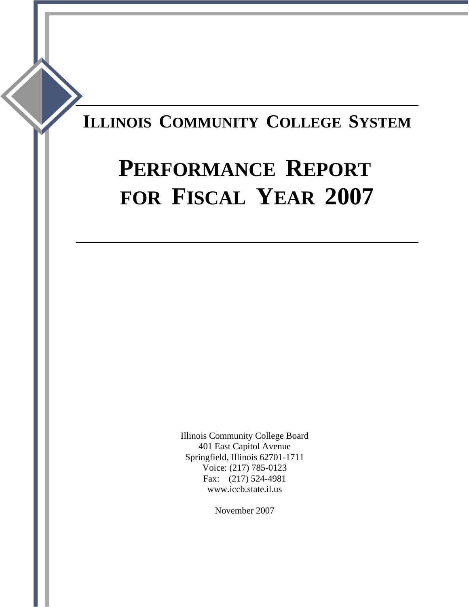# **ILLINOIS COMMUNITY COLLEGE SYSTEM**

# **PERFORMANCE REPORT FOR FISCAL YEAR 2007**

Illinois Community College Board 401 East Capitol Avenue Springfield, Illinois 62701-1711 Voice: (217) 785-0123 Fax: (217) 524-4981 www.iccb.state.il.us

November 2007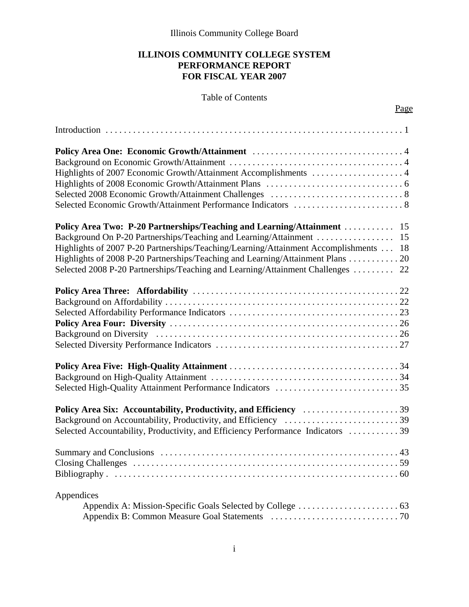Illinois Community College Board

#### **ILLINOIS COMMUNITY COLLEGE SYSTEM PERFORMANCE REPORT FOR FISCAL YEAR 2007**

### Table of Contents

Page

| Highlights of 2007 Economic Growth/Attainment Accomplishments  4<br>Selected Economic Growth/Attainment Performance Indicators  8                                                                                                                                                                                                                                                                              |
|----------------------------------------------------------------------------------------------------------------------------------------------------------------------------------------------------------------------------------------------------------------------------------------------------------------------------------------------------------------------------------------------------------------|
| Policy Area Two: P-20 Partnerships/Teaching and Learning/Attainment  15<br>Background On P-20 Partnerships/Teaching and Learning/Attainment  15<br>Highlights of 2007 P-20 Partnerships/Teaching/Learning/Attainment Accomplishments  18<br>Highlights of 2008 P-20 Partnerships/Teaching and Learning/Attainment Plans  20<br>Selected 2008 P-20 Partnerships/Teaching and Learning/Attainment Challenges  22 |
|                                                                                                                                                                                                                                                                                                                                                                                                                |
|                                                                                                                                                                                                                                                                                                                                                                                                                |
| Policy Area Six: Accountability, Productivity, and Efficiency 39<br>Background on Accountability, Productivity, and Efficiency 39<br>Selected Accountability, Productivity, and Efficiency Performance Indicators  39                                                                                                                                                                                          |
|                                                                                                                                                                                                                                                                                                                                                                                                                |
| Appendices                                                                                                                                                                                                                                                                                                                                                                                                     |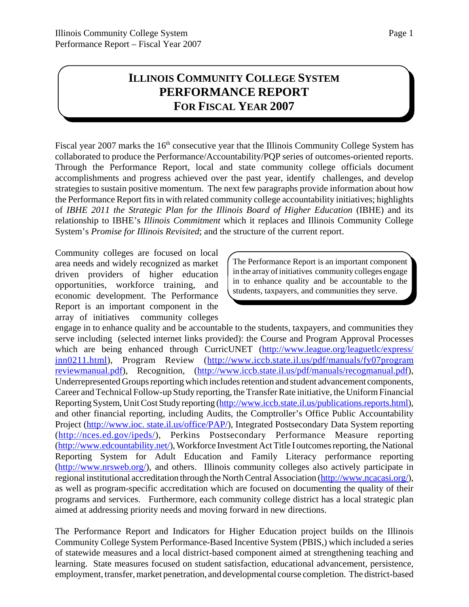# **ILLINOIS COMMUNITY COLLEGE SYSTEM PERFORMANCE REPORT FOR FISCAL YEAR 2007**

Fiscal year 2007 marks the 16<sup>th</sup> consecutive year that the Illinois Community College System has collaborated to produce the Performance/Accountability/PQP series of outcomes-oriented reports. Through the Performance Report, local and state community college officials document accomplishments and progress achieved over the past year, identify challenges, and develop strategies to sustain positive momentum. The next few paragraphs provide information about how the Performance Report fits in with related community college accountability initiatives; highlights of *IBHE 2011 the Strategic Plan for the Illinois Board of Higher Education* (IBHE) and its relationship to IBHE's *Illinois Commitment* which it replaces and Illinois Community College System's *Promise for Illinois Revisited*; and the structure of the current report.

Community colleges are focused on local area needs and widely recognized as market driven providers of higher education opportunities, workforce training, and economic development. The Performance Report is an important component in the array of initiatives community colleges

The Performance Report is an important component in the array of initiatives community colleges engage in to enhance quality and be accountable to the students, taxpayers, and communities they serve.

engage in to enhance quality and be accountable to the students, taxpayers, and communities they serve including (selected internet links provided): the Course and Program Approval Processes which are being enhanced through CurricUNET (http://www.league.org/leaguetlc/express/ inn0211.html), Program Review (http://www.iccb.state.il.us/pdf/manuals/fy07program reviewmanual.pdf), Recognition, (http://www.iccb.state.il.us/pdf/manuals/recogmanual.pdf), Underrepresented Groups reporting which includes retention and student advancement components, Career and Technical Follow-up Study reporting, the Transfer Rate initiative, the Uniform Financial Reporting System, Unit Cost Study reporting (http://www.iccb.state.il.us/publications.reports.html), and other financial reporting, including Audits, the Comptroller's Office Public Accountability Project (http://www.ioc. state.il.us/office/PAP/), Integrated Postsecondary Data System reporting (http://nces.ed.gov/ipeds/), Perkins Postsecondary Performance Measure reporting (http://www.edcountability.net/), Workforce Investment Act Title I outcomes reporting, the National Reporting System for Adult Education and Family Literacy performance reporting (http://www.nrsweb.org/), and others. Illinois community colleges also actively participate in regional institutional accreditation through the North Central Association (http://www.ncacasi.org/), as well as program-specific accreditation which are focused on documenting the quality of their programs and services. Furthermore, each community college district has a local strategic plan aimed at addressing priority needs and moving forward in new directions.

The Performance Report and Indicators for Higher Education project builds on the Illinois Community College System Performance-Based Incentive System (PBIS,) which included a series of statewide measures and a local district-based component aimed at strengthening teaching and learning. State measures focused on student satisfaction, educational advancement, persistence, employment, transfer, market penetration, and developmental course completion. The district-based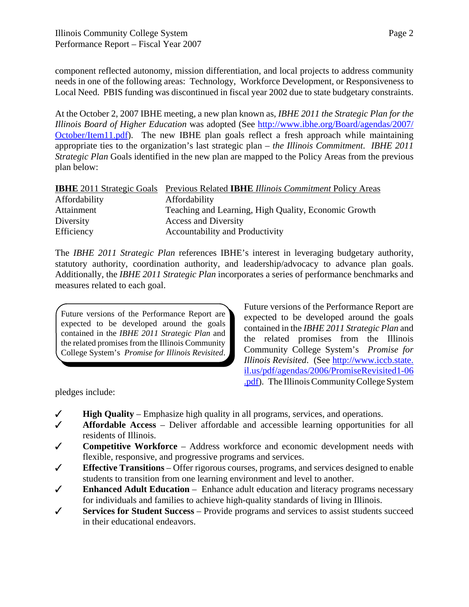component reflected autonomy, mission differentiation, and local projects to address community needs in one of the following areas: Technology, Workforce Development, or Responsiveness to Local Need. PBIS funding was discontinued in fiscal year 2002 due to state budgetary constraints.

At the October 2, 2007 IBHE meeting, a new plan known as, *IBHE 2011 the Strategic Plan for the Illinois Board of Higher Education* was adopted (See http://www.ibhe.org/Board/agendas/2007/ October/Item11.pdf). The new IBHE plan goals reflect a fresh approach while maintaining appropriate ties to the organization's last strategic plan – *the Illinois Commitment*. *IBHE 2011 Strategic Plan* Goals identified in the new plan are mapped to the Policy Areas from the previous plan below:

|               | <b>IBHE</b> 2011 Strategic Goals Previous Related <b>IBHE</b> Illinois Commitment Policy Areas |
|---------------|------------------------------------------------------------------------------------------------|
| Affordability | Affordability                                                                                  |
| Attainment    | Teaching and Learning, High Quality, Economic Growth                                           |
| Diversity     | <b>Access and Diversity</b>                                                                    |
| Efficiency    | Accountability and Productivity                                                                |

The *IBHE 2011 Strategic Plan* references IBHE's interest in leveraging budgetary authority, statutory authority, coordination authority, and leadership/advocacy to advance plan goals. Additionally, the *IBHE 2011 Strategic Plan* incorporates a series of performance benchmarks and measures related to each goal.

Future versions of the Performance Report are expected to be developed around the goals contained in the *IBHE 2011 Strategic Plan* and the related promises from the Illinois Community College System's *Promise for Illinois Revisited*. Future versions of the Performance Report are expected to be developed around the goals contained in the *IBHE 2011 Strategic Plan* and the related promises from the Illinois Community College System's *Promise for Illinois Revisited*. (See http://www.iccb.state. il.us/pdf/agendas/2006/PromiseRevisited1-06 .pdf). The Illinois Community College System

pledges include:

- $\checkmark$  **High Quality** Emphasize high quality in all programs, services, and operations.
- $\checkmark$  **Affordable Access** Deliver affordable and accessible learning opportunities for all residents of Illinois.
- **∠** Competitive Workforce Address workforce and economic development needs with flexible, responsive, and progressive programs and services.
- $\checkmark$  **Effective Transitions** Offer rigorous courses, programs, and services designed to enable students to transition from one learning environment and level to another.
- $\checkmark$  **Enhanced Adult Education** Enhance adult education and literacy programs necessary for individuals and families to achieve high-quality standards of living in Illinois.
- T **Services for Student Success** Provide programs and services to assist students succeed in their educational endeavors.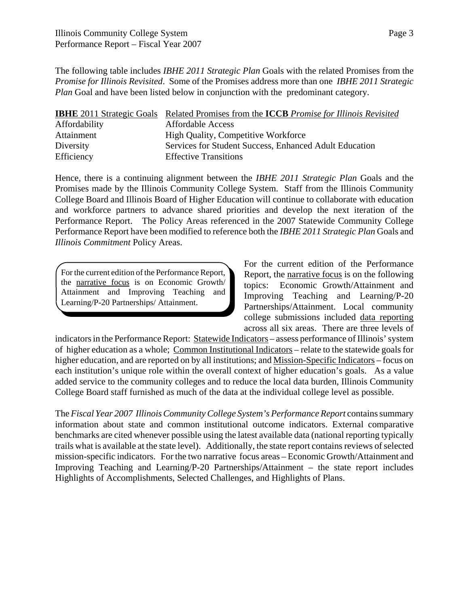The following table includes *IBHE 2011 Strategic Plan* Goals with the related Promises from the *Promise for Illinois Revisited*. Some of the Promises address more than one *IBHE 2011 Strategic Plan* Goal and have been listed below in conjunction with the predominant category.

|               | <b>IBHE</b> 2011 Strategic Goals Related Promises from the <b>ICCB</b> Promise for Illinois Revisited |
|---------------|-------------------------------------------------------------------------------------------------------|
| Affordability | <b>Affordable Access</b>                                                                              |
| Attainment    | <b>High Quality, Competitive Workforce</b>                                                            |
| Diversity     | Services for Student Success, Enhanced Adult Education                                                |
| Efficiency    | <b>Effective Transitions</b>                                                                          |

Hence, there is a continuing alignment between the *IBHE 2011 Strategic Plan* Goals and the Promises made by the Illinois Community College System. Staff from the Illinois Community College Board and Illinois Board of Higher Education will continue to collaborate with education and workforce partners to advance shared priorities and develop the next iteration of the Performance Report. The Policy Areas referenced in the 2007 Statewide Community College Performance Report have been modified to reference both the *IBHE 2011 Strategic Plan* Goals and *Illinois Commitment* Policy Areas.

For the current edition of the Performance Report, the narrative focus is on Economic Growth/ Attainment and Improving Teaching and Learning/P-20 Partnerships/ Attainment.

For the current edition of the Performance Report, the narrative focus is on the following topics: Economic Growth/Attainment and Improving Teaching and Learning/P-20 Partnerships/Attainment. Local community college submissions included data reporting across all six areas. There are three levels of

indicators in the Performance Report: Statewide Indicators – assess performance of Illinois' system of higher education as a whole; Common Institutional Indicators – relate to the statewide goals for higher education, and are reported on by all institutions; and Mission-Specific Indicators – focus on each institution's unique role within the overall context of higher education's goals. As a value added service to the community colleges and to reduce the local data burden, Illinois Community College Board staff furnished as much of the data at the individual college level as possible.

The *Fiscal Year 2007 Illinois Community College System's Performance Report* contains summary information about state and common institutional outcome indicators. External comparative benchmarks are cited whenever possible using the latest available data (national reporting typically trails what is available at the state level). Additionally, the state report contains reviews of selected mission-specific indicators. For the two narrative focus areas – Economic Growth/Attainment and Improving Teaching and Learning/P-20 Partnerships/Attainment – the state report includes Highlights of Accomplishments, Selected Challenges, and Highlights of Plans.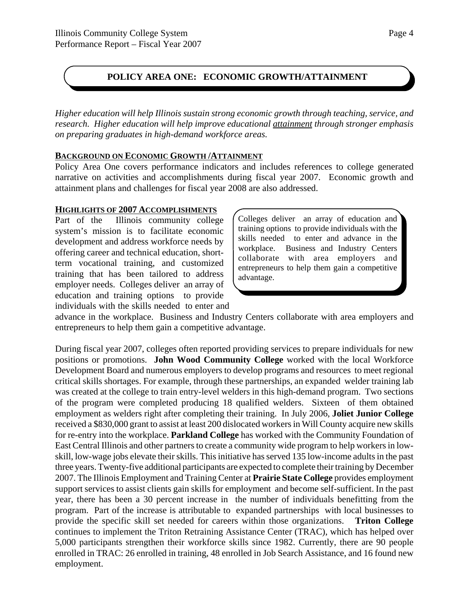# **POLICY AREA ONE: ECONOMIC GROWTH/ATTAINMENT**

*Higher education will help Illinois sustain strong economic growth through teaching, service, and research. Higher education will help improve educational attainment through stronger emphasis on preparing graduates in high-demand workforce areas.*

#### **BACKGROUND ON ECONOMIC GROWTH /ATTAINMENT**

Policy Area One covers performance indicators and includes references to college generated narrative on activities and accomplishments during fiscal year 2007. Economic growth and attainment plans and challenges for fiscal year 2008 are also addressed.

#### **HIGHLIGHTS OF 2007 ACCOMPLISHMENTS**

Part of the Illinois community college system's mission is to facilitate economic development and address workforce needs by offering career and technical education, shortterm vocational training, and customized training that has been tailored to address employer needs. Colleges deliver an array of education and training options to provide individuals with the skills needed to enter and Colleges deliver an array of education and training options to provide individuals with the skills needed to enter and advance in the workplace. Business and Industry Centers collaborate with area employers and entrepreneurs to help them gain a competitive advantage.

advance in the workplace. Business and Industry Centers collaborate with area employers and entrepreneurs to help them gain a competitive advantage.

During fiscal year 2007, colleges often reported providing services to prepare individuals for new positions or promotions. **John Wood Community College** worked with the local Workforce Development Board and numerous employers to develop programs and resources to meet regional critical skills shortages. For example, through these partnerships, an expanded welder training lab was created at the college to train entry-level welders in this high-demand program. Two sections of the program were completed producing 18 qualified welders. Sixteen of them obtained employment as welders right after completing their training. In July 2006, **Joliet Junior College** received a \$830,000 grant to assist at least 200 dislocated workers in Will County acquire new skills for re-entry into the workplace. **Parkland College** has worked with the Community Foundation of East Central Illinois and other partners to create a community wide program to help workers in lowskill, low-wage jobs elevate their skills. This initiative has served 135 low-income adults in the past three years. Twenty-five additional participants are expected to complete their training by December 2007. The Illinois Employment and Training Center at **Prairie State College** provides employment support services to assist clients gain skills for employment and become self-sufficient. In the past year, there has been a 30 percent increase in the number of individuals benefitting from the program. Part of the increase is attributable to expanded partnerships with local businesses to provide the specific skill set needed for careers within those organizations. **Triton College** continues to implement the Triton Retraining Assistance Center (TRAC), which has helped over 5,000 participants strengthen their workforce skills since 1982. Currently, there are 90 people enrolled in TRAC: 26 enrolled in training, 48 enrolled in Job Search Assistance, and 16 found new employment.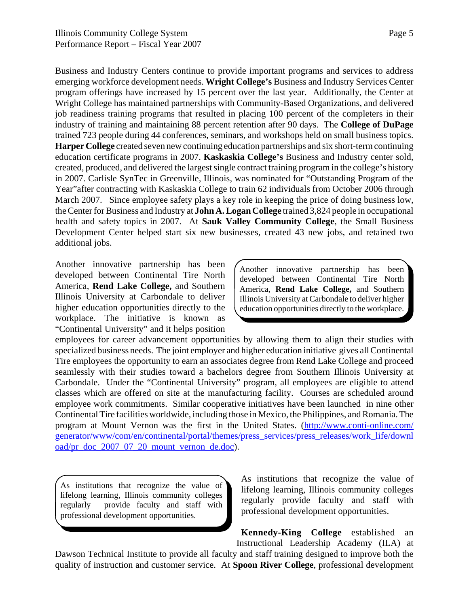Page 5

Business and Industry Centers continue to provide important programs and services to address emerging workforce development needs. **Wright College's** Business and Industry Services Center program offerings have increased by 15 percent over the last year. Additionally, the Center at Wright College has maintained partnerships with Community-Based Organizations, and delivered job readiness training programs that resulted in placing 100 percent of the completers in their industry of training and maintaining 88 percent retention after 90 days. The **College of DuPage** trained 723 people during 44 conferences, seminars, and workshops held on small business topics. **Harper College** created seven new continuing education partnerships and six short-term continuing education certificate programs in 2007. **Kaskaskia College's** Business and Industry center sold, created, produced, and delivered the largest single contract training program in the college's history in 2007. Carlisle SynTec in Greenville, Illinois, was nominated for "Outstanding Program of the Year"after contracting with Kaskaskia College to train 62 individuals from October 2006 through March 2007. Since employee safety plays a key role in keeping the price of doing business low, the Center for Business and Industry at **John A. Logan College** trained 3,824 people in occupational health and safety topics in 2007. At **Sauk Valley Community College**, the Small Business Development Center helped start six new businesses, created 43 new jobs, and retained two additional jobs.

Another innovative partnership has been developed between Continental Tire North America, **Rend Lake College,** and Southern Illinois University at Carbondale to deliver higher education opportunities directly to the workplace. The initiative is known as "Continental University" and it helps position

Another innovative partnership has been developed between Continental Tire North America, **Rend Lake College,** and Southern Illinois University at Carbondale to deliver higher education opportunities directly to the workplace.

employees for career advancement opportunities by allowing them to align their studies with specialized business needs. The joint employer and higher education initiative gives all Continental Tire employees the opportunity to earn an associates degree from Rend Lake College and proceed seamlessly with their studies toward a bachelors degree from Southern Illinois University at Carbondale. Under the "Continental University" program, all employees are eligible to attend classes which are offered on site at the manufacturing facility. Courses are scheduled around employee work commitments. Similar cooperative initiatives have been launched in nine other Continental Tire facilities worldwide, including those in Mexico, the Philippines, and Romania. The program at Mount Vernon was the first in the United States. (http://www.conti-online.com/ generator/www/com/en/continental/portal/themes/press\_services/press\_releases/work\_life/downl oad/pr\_doc\_2007\_07\_20\_mount\_vernon\_de.doc).

As institutions that recognize the value of lifelong learning, Illinois community colleges regularly provide faculty and staff with professional development opportunities.

As institutions that recognize the value of lifelong learning, Illinois community colleges regularly provide faculty and staff with professional development opportunities.

**Kennedy-King College** established an Instructional Leadership Academy (ILA) at

Dawson Technical Institute to provide all faculty and staff training designed to improve both the quality of instruction and customer service. At **Spoon River College**, professional development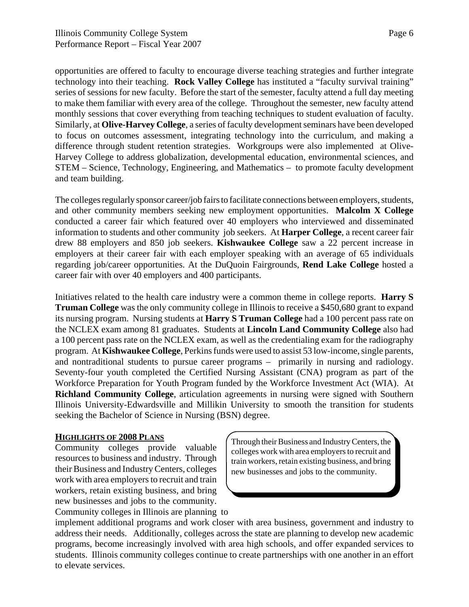opportunities are offered to faculty to encourage diverse teaching strategies and further integrate technology into their teaching. **Rock Valley College** has instituted a "faculty survival training" series of sessions for new faculty. Before the start of the semester, faculty attend a full day meeting to make them familiar with every area of the college. Throughout the semester, new faculty attend monthly sessions that cover everything from teaching techniques to student evaluation of faculty. Similarly, at **Olive-Harvey College**, a series of faculty development seminars have been developed to focus on outcomes assessment, integrating technology into the curriculum, and making a difference through student retention strategies. Workgroups were also implemented at Olive-Harvey College to address globalization, developmental education, environmental sciences, and STEM – Science, Technology, Engineering, and Mathematics – to promote faculty development and team building.

The colleges regularly sponsor career/job fairs to facilitate connections between employers, students, and other community members seeking new employment opportunities. **Malcolm X College** conducted a career fair which featured over 40 employers who interviewed and disseminated information to students and other community job seekers. At **Harper College**, a recent career fair drew 88 employers and 850 job seekers. **Kishwaukee College** saw a 22 percent increase in employers at their career fair with each employer speaking with an average of 65 individuals regarding job/career opportunities. At the DuQuoin Fairgrounds, **Rend Lake College** hosted a career fair with over 40 employers and 400 participants.

Initiatives related to the health care industry were a common theme in college reports. **Harry S Truman College** was the only community college in Illinois to receive a \$450,680 grant to expand its nursing program. Nursing students at **Harry S Truman College** had a 100 percent pass rate on the NCLEX exam among 81 graduates. Students at **Lincoln Land Community College** also had a 100 percent pass rate on the NCLEX exam, as well as the credentialing exam for the radiography program. At **Kishwaukee College**, Perkins funds were used to assist 53 low-income, single parents, and nontraditional students to pursue career programs – primarily in nursing and radiology. Seventy-four youth completed the Certified Nursing Assistant (CNA) program as part of the Workforce Preparation for Youth Program funded by the Workforce Investment Act (WIA). At **Richland Community College**, articulation agreements in nursing were signed with Southern Illinois University-Edwardsville and Millikin University to smooth the transition for students seeking the Bachelor of Science in Nursing (BSN) degree.

#### **HIGHLIGHTS OF 2008 PLANS**

Community colleges provide valuable resources to business and industry. Through their Business and Industry Centers, colleges work with area employers to recruit and train workers, retain existing business, and bring new businesses and jobs to the community. Community colleges in Illinois are planning to

Through their Business and Industry Centers, the colleges work with area employers to recruit and train workers, retain existing business, and bring new businesses and jobs to the community.

implement additional programs and work closer with area business, government and industry to address their needs. Additionally, colleges across the state are planning to develop new academic programs, become increasingly involved with area high schools, and offer expanded services to students. Illinois community colleges continue to create partnerships with one another in an effort to elevate services.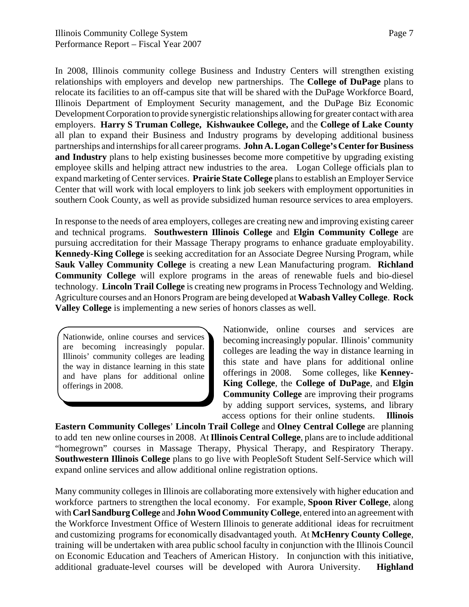In 2008, Illinois community college Business and Industry Centers will strengthen existing relationships with employers and develop new partnerships. The **College of DuPage** plans to relocate its facilities to an off-campus site that will be shared with the DuPage Workforce Board, Illinois Department of Employment Security management, and the DuPage Biz Economic Development Corporation to provide synergistic relationships allowing for greater contact with area employers. **Harry S Truman College, Kishwaukee College,** and the **College of Lake County** all plan to expand their Business and Industry programs by developing additional business partnerships and internships for all career programs. **John A. Logan College's Center for Business and Industry** plans to help existing businesses become more competitive by upgrading existing employee skills and helping attract new industries to the area. Logan College officials plan to expand marketing of Center services. **Prairie State College** plans to establish an Employer Service Center that will work with local employers to link job seekers with employment opportunities in southern Cook County, as well as provide subsidized human resource services to area employers.

In response to the needs of area employers, colleges are creating new and improving existing career and technical programs. **Southwestern Illinois College** and **Elgin Community College** are pursuing accreditation for their Massage Therapy programs to enhance graduate employability. **Kennedy-King College** is seeking accreditation for an Associate Degree Nursing Program, while **Sauk Valley Community College** is creating a new Lean Manufacturing program. **Richland Community College** will explore programs in the areas of renewable fuels and bio-diesel technology. **Lincoln Trail College** is creating new programs in Process Technology and Welding. Agriculture courses and an Honors Program are being developed at **Wabash Valley College**. **Rock Valley College** is implementing a new series of honors classes as well.

Nationwide, online courses and services are becoming increasingly popular. Illinois' community colleges are leading the way in distance learning in this state and have plans for additional online offerings in 2008.

Nationwide, online courses and services are becoming increasingly popular. Illinois' community colleges are leading the way in distance learning in this state and have plans for additional online offerings in 2008. Some colleges, like **Kenney-King College**, the **College of DuPage**, and **Elgin Community College** are improving their programs by adding support services, systems, and library access options for their online students. **Illinois**

**Eastern Community Colleges**' **Lincoln Trail College** and **Olney Central College** are planning to add ten new online courses in 2008. At **Illinois Central College**, plans are to include additional "homegrown" courses in Massage Therapy, Physical Therapy, and Respiratory Therapy. **Southwestern Illinois College** plans to go live with PeopleSoft Student Self-Service which will expand online services and allow additional online registration options.

Many community colleges in Illinois are collaborating more extensively with higher education and workforce partners to strengthen the local economy. For example, **Spoon River College**, along with **Carl Sandburg College** and **John Wood Community College**, entered into an agreement with the Workforce Investment Office of Western Illinois to generate additional ideas for recruitment and customizing programs for economically disadvantaged youth. At **McHenry County College**, training will be undertaken with area public school faculty in conjunction with the Illinois Council on Economic Education and Teachers of American History. In conjunction with this initiative, additional graduate-level courses will be developed with Aurora University. **Highland**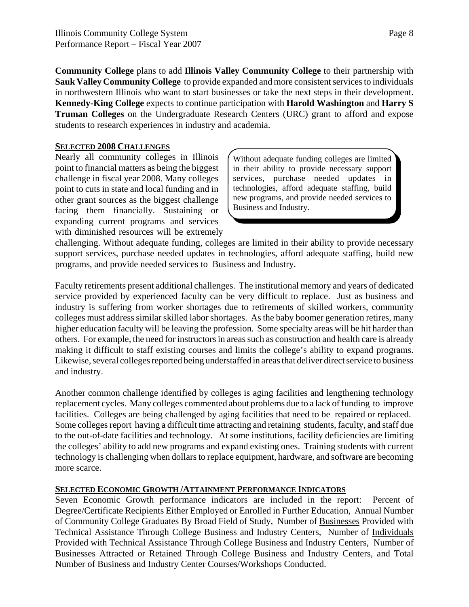**Community College** plans to add **Illinois Valley Community College** to their partnership with **Sauk Valley Community College** to provide expanded and more consistent services to individuals in northwestern Illinois who want to start businesses or take the next steps in their development. **Kennedy-King College** expects to continue participation with **Harold Washington** and **Harry S Truman Colleges** on the Undergraduate Research Centers (URC) grant to afford and expose students to research experiences in industry and academia.

#### **SELECTED 2008 CHALLENGES**

Nearly all community colleges in Illinois point to financial matters as being the biggest challenge in fiscal year 2008. Many colleges point to cuts in state and local funding and in other grant sources as the biggest challenge facing them financially. Sustaining or expanding current programs and services with diminished resources will be extremely

Without adequate funding colleges are limited in their ability to provide necessary support services, purchase needed updates in technologies, afford adequate staffing, build new programs, and provide needed services to Business and Industry.

challenging. Without adequate funding, colleges are limited in their ability to provide necessary support services, purchase needed updates in technologies, afford adequate staffing, build new programs, and provide needed services to Business and Industry.

Faculty retirements present additional challenges. The institutional memory and years of dedicated service provided by experienced faculty can be very difficult to replace. Just as business and industry is suffering from worker shortages due to retirements of skilled workers, community colleges must address similar skilled labor shortages. As the baby boomer generation retires, many higher education faculty will be leaving the profession. Some specialty areas will be hit harder than others. For example, the need for instructors in areas such as construction and health care is already making it difficult to staff existing courses and limits the college's ability to expand programs. Likewise, several colleges reported being understaffed in areas that deliver direct service to business and industry.

Another common challenge identified by colleges is aging facilities and lengthening technology replacement cycles. Many colleges commented about problems due to a lack of funding to improve facilities. Colleges are being challenged by aging facilities that need to be repaired or replaced. Some colleges report having a difficult time attracting and retaining students, faculty, and staff due to the out-of-date facilities and technology. At some institutions, facility deficiencies are limiting the colleges' ability to add new programs and expand existing ones. Training students with current technology is challenging when dollars to replace equipment, hardware, and software are becoming more scarce.

#### **SELECTED ECONOMIC GROWTH /ATTAINMENT PERFORMANCE INDICATORS**

Seven Economic Growth performance indicators are included in the report: Percent of Degree/Certificate Recipients Either Employed or Enrolled in Further Education, Annual Number of Community College Graduates By Broad Field of Study, Number of Businesses Provided with Technical Assistance Through College Business and Industry Centers, Number of Individuals Provided with Technical Assistance Through College Business and Industry Centers, Number of Businesses Attracted or Retained Through College Business and Industry Centers, and Total Number of Business and Industry Center Courses/Workshops Conducted.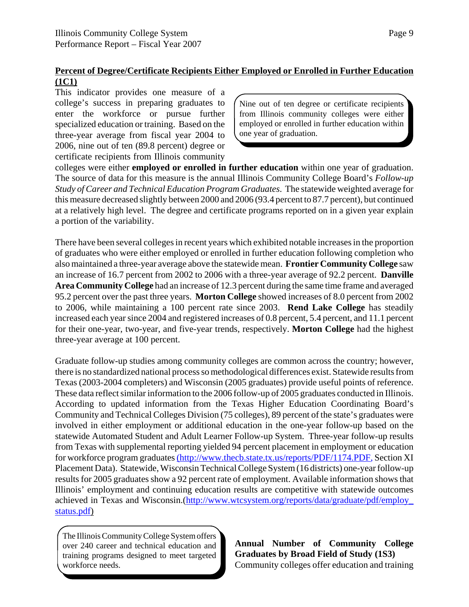#### **Percent of Degree/Certificate Recipients Either Employed or Enrolled in Further Education (1C1)**

This indicator provides one measure of a college's success in preparing graduates to enter the workforce or pursue further specialized education or training. Based on the three-year average from fiscal year 2004 to 2006, nine out of ten (89.8 percent) degree or certificate recipients from Illinois community

Nine out of ten degree or certificate recipients from Illinois community colleges were either employed or enrolled in further education within one year of graduation.

colleges were either **employed or enrolled in further education** within one year of graduation. The source of data for this measure is the annual Illinois Community College Board's *Follow-up Study of Career and Technical Education Program Graduates*. The statewide weighted average for this measure decreased slightly between 2000 and 2006 (93.4 percent to 87.7 percent), but continued at a relatively high level. The degree and certificate programs reported on in a given year explain a portion of the variability.

There have been several colleges in recent years which exhibited notable increases in the proportion of graduates who were either employed or enrolled in further education following completion who also maintained a three-year average above the statewide mean. **Frontier Community College** saw an increase of 16.7 percent from 2002 to 2006 with a three-year average of 92.2 percent. **Danville Area Community College** had an increase of 12.3 percent during the same time frame and averaged 95.2 percent over the past three years. **Morton College** showed increases of 8.0 percent from 2002 to 2006, while maintaining a 100 percent rate since 2003. **Rend Lake College** has steadily increased each year since 2004 and registered increases of 0.8 percent, 5.4 percent, and 11.1 percent for their one-year, two-year, and five-year trends, respectively. **Morton College** had the highest three-year average at 100 percent.

Graduate follow-up studies among community colleges are common across the country; however, there is no standardized national process so methodological differences exist. Statewide results from Texas (2003-2004 completers) and Wisconsin (2005 graduates) provide useful points of reference. These data reflect similar information to the 2006 follow-up of 2005 graduates conducted in Illinois. According to updated information from the Texas Higher Education Coordinating Board's Community and Technical Colleges Division (75 colleges), 89 percent of the state's graduates were involved in either employment or additional education in the one-year follow-up based on the statewide Automated Student and Adult Learner Follow-up System. Three-year follow-up results from Texas with supplemental reporting yielded 94 percent placement in employment or education for workforce program graduates (http://www.thecb.state.tx.us/reports/PDF/1174.PDF, Section XI Placement Data). Statewide, Wisconsin Technical College System (16 districts) one-year follow-up results for 2005 graduates show a 92 percent rate of employment. Available information shows that Illinois' employment and continuing education results are competitive with statewide outcomes achieved in Texas and Wisconsin.(http://www.wtcsystem.org/reports/data/graduate/pdf/employ\_ status.pdf)

The Illinois Community College System offers over 240 career and technical education and training programs designed to meet targeted workforce needs.

**Annual Number of Community College Graduates by Broad Field of Study (1S3)** Community colleges offer education and training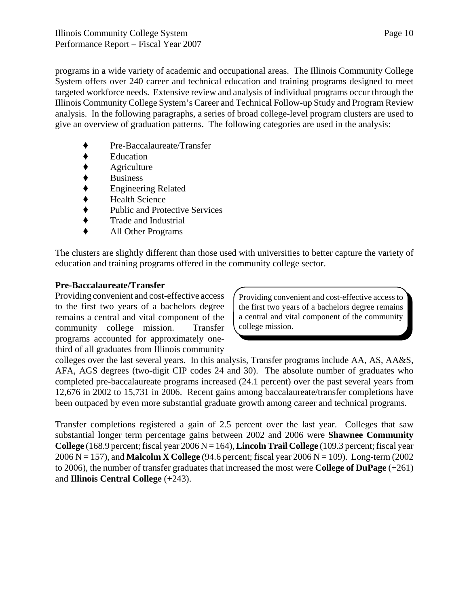programs in a wide variety of academic and occupational areas. The Illinois Community College System offers over 240 career and technical education and training programs designed to meet targeted workforce needs. Extensive review and analysis of individual programs occur through the Illinois Community College System's Career and Technical Follow-up Study and Program Review analysis. In the following paragraphs, a series of broad college-level program clusters are used to give an overview of graduation patterns. The following categories are used in the analysis:

- Pre-Baccalaureate/Transfer
- **Education**
- Agriculture
- **Business**
- ' Engineering Related
- ◆ Health Science<br>◆ Public and Prote
- Public and Protective Services
- ' Trade and Industrial
- ' All Other Programs

The clusters are slightly different than those used with universities to better capture the variety of education and training programs offered in the community college sector.

#### **Pre-Baccalaureate/Transfer**

Providing convenient and cost-effective access to the first two years of a bachelors degree remains a central and vital component of the community college mission. Transfer programs accounted for approximately onethird of all graduates from Illinois community

Providing convenient and cost-effective access to the first two years of a bachelors degree remains a central and vital component of the community college mission.

colleges over the last several years. In this analysis, Transfer programs include AA, AS, AA&S, AFA, AGS degrees (two-digit CIP codes 24 and 30). The absolute number of graduates who completed pre-baccalaureate programs increased (24.1 percent) over the past several years from 12,676 in 2002 to 15,731 in 2006. Recent gains among baccalaureate/transfer completions have been outpaced by even more substantial graduate growth among career and technical programs.

Transfer completions registered a gain of 2.5 percent over the last year. Colleges that saw substantial longer term percentage gains between 2002 and 2006 were **Shawnee Community College** (168.9 percent; fiscal year  $2006 N = 164$ ), **Lincoln Trail College** (109.3 percent; fiscal year 2006 N = 157), and **Malcolm X College** (94.6 percent; fiscal year 2006 N = 109). Long-term (2002 to 2006), the number of transfer graduates that increased the most were **College of DuPage** (+261) and **Illinois Central College** (+243).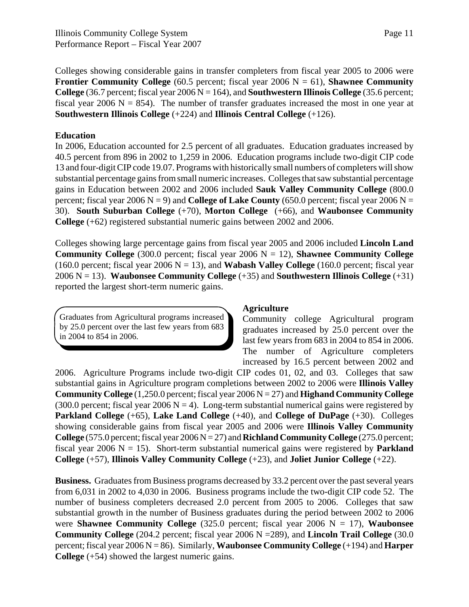Colleges showing considerable gains in transfer completers from fiscal year 2005 to 2006 were **Frontier Community College** (60.5 percent; fiscal year 2006  $N = 61$ ), **Shawnee Community College** (36.7 percent; fiscal year  $2006 N = 164$ ), and **Southwestern Illinois College** (35.6 percent; fiscal year 2006  $N = 854$ ). The number of transfer graduates increased the most in one year at **Southwestern Illinois College** (+224) and **Illinois Central College** (+126).

#### **Education**

In 2006, Education accounted for 2.5 percent of all graduates. Education graduates increased by 40.5 percent from 896 in 2002 to 1,259 in 2006. Education programs include two-digit CIP code 13 and four-digit CIP code 19.07. Programs with historically small numbers of completers will show substantial percentage gains from small numeric increases. Colleges that saw substantial percentage gains in Education between 2002 and 2006 included **Sauk Valley Community College** (800.0 percent; fiscal year 2006  $N = 9$ ) and **College of Lake County** (650.0 percent; fiscal year 2006  $N =$ 30). **South Suburban College** (+70), **Morton College** (+66), and **Waubonsee Community College** (+62) registered substantial numeric gains between 2002 and 2006.

Colleges showing large percentage gains from fiscal year 2005 and 2006 included **Lincoln Land Community College** (300.0 percent; fiscal year 2006  $N = 12$ ), **Shawnee Community College** (160.0 percent; fiscal year 2006  $N = 13$ ), and **Wabash Valley College** (160.0 percent; fiscal year 2006 N = 13). **Waubonsee Community College** (+35) and **Southwestern Illinois College** (+31) reported the largest short-term numeric gains.

Graduates from Agricultural programs increased by 25.0 percent over the last few years from 683 in 2004 to 854 in 2006.

#### **Agriculture**

Community college Agricultural program graduates increased by 25.0 percent over the last few years from 683 in 2004 to 854 in 2006. The number of Agriculture completers increased by 16.5 percent between 2002 and

2006. Agriculture Programs include two-digit CIP codes 01, 02, and 03. Colleges that saw substantial gains in Agriculture program completions between 2002 to 2006 were **Illinois Valley Community College** (1,250.0 percent; fiscal year 2006 N = 27) and **Highand Community College** (300.0 percent; fiscal year 2006 N = 4). Long-term substantial numerical gains were registered by **Parkland College** (+65), **Lake Land College** (+40), and **College of DuPage** (+30). Colleges showing considerable gains from fiscal year 2005 and 2006 were **Illinois Valley Community College**  $(575.0 \text{ percent}; \text{fiscal year } 2006 \text{ N} = 27)$  and **Richland Community College**  $(275.0 \text{ percent}; \text{fiscal year } 2006 \text{ N} = 27)$ fiscal year 2006  $N = 15$ ). Short-term substantial numerical gains were registered by **Parkland College** (+57), **Illinois Valley Community College** (+23), and **Joliet Junior College** (+22).

**Business.** Graduates from Business programs decreased by 33.2 percent over the past several years from 6,031 in 2002 to 4,030 in 2006. Business programs include the two-digit CIP code 52. The number of business completers decreased 2.0 percent from 2005 to 2006. Colleges that saw substantial growth in the number of Business graduates during the period between 2002 to 2006 were **Shawnee Community College** (325.0 percent; fiscal year 2006 N = 17), **Waubonsee Community College** (204.2 percent; fiscal year 2006 N =289), and **Lincoln Trail College** (30.0 percent; fiscal year 2006 N = 86). Similarly, **Waubonsee Community College** (+194) and **Harper College** (+54) showed the largest numeric gains.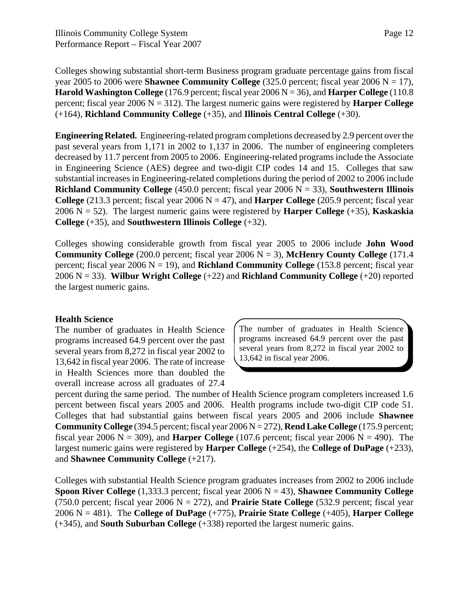Colleges showing substantial short-term Business program graduate percentage gains from fiscal year 2005 to 2006 were **Shawnee Community College**  $(325.0$  percent; fiscal year 2006 N = 17), **Harold Washington College** (176.9 percent; fiscal year 2006 N = 36), and **Harper College** (110.8 percent; fiscal year  $2006 \text{ N} = 312$ ). The largest numeric gains were registered by **Harper College** (+164), **Richland Community College** (+35), and **Illinois Central College** (+30).

**Engineering Related.** Engineering-related program completions decreased by 2.9 percent over the past several years from 1,171 in 2002 to 1,137 in 2006. The number of engineering completers decreased by 11.7 percent from 2005 to 2006. Engineering-related programs include the Associate in Engineering Science (AES) degree and two-digit CIP codes 14 and 15. Colleges that saw substantial increases in Engineering-related completions during the period of 2002 to 2006 include **Richland Community College** (450.0 percent; fiscal year 2006 N = 33), **Southwestern Illinois College** (213.3 percent; fiscal year 2006  $N = 47$ ), and **Harper College** (205.9 percent; fiscal year 2006 N = 52). The largest numeric gains were registered by **Harper College** (+35), **Kaskaskia College** (+35), and **Southwestern Illinois College** (+32).

Colleges showing considerable growth from fiscal year 2005 to 2006 include **John Wood Community College**  $(200.0 \text{ percent}; \text{fised year } 2006 \text{ N} = 3)$ , **McHenry County College**  $(171.4 \text{ m})$ percent; fiscal year 2006 N = 19), and **Richland Community College** (153.8 percent; fiscal year 2006 N = 33). **Wilbur Wright College** (+22) and **Richland Community College** (+20) reported the largest numeric gains.

#### **Health Science**

The number of graduates in Health Science programs increased 64.9 percent over the past several years from 8,272 in fiscal year 2002 to 13,642 in fiscal year 2006. The rate of increase in Health Sciences more than doubled the overall increase across all graduates of 27.4

The number of graduates in Health Science programs increased 64.9 percent over the past several years from 8,272 in fiscal year 2002 to 13,642 in fiscal year 2006.

percent during the same period. The number of Health Science program completers increased 1.6 percent between fiscal years 2005 and 2006. Health programs include two-digit CIP code 51. Colleges that had substantial gains between fiscal years 2005 and 2006 include **Shawnee Community College** (394.5 percent; fiscal year 2006 N = 272), **Rend Lake College** (175.9 percent; fiscal year 2006  $N = 309$ ), and **Harper College** (107.6 percent; fiscal year 2006  $N = 490$ ). The largest numeric gains were registered by **Harper College** (+254), the **College of DuPage** (+233), and **Shawnee Community College** (+217).

Colleges with substantial Health Science program graduates increases from 2002 to 2006 include **Spoon River College** (1,333.3 percent; fiscal year  $2006 \text{ N} = 43$ ), **Shawnee Community College** (750.0 percent; fiscal year  $2006 \text{ N} = 272$ ), and **Prairie State College** (532.9 percent; fiscal year 2006 N = 481). The **College of DuPage** (+775), **Prairie State College** (+405), **Harper College** (+345), and **South Suburban College** (+338) reported the largest numeric gains.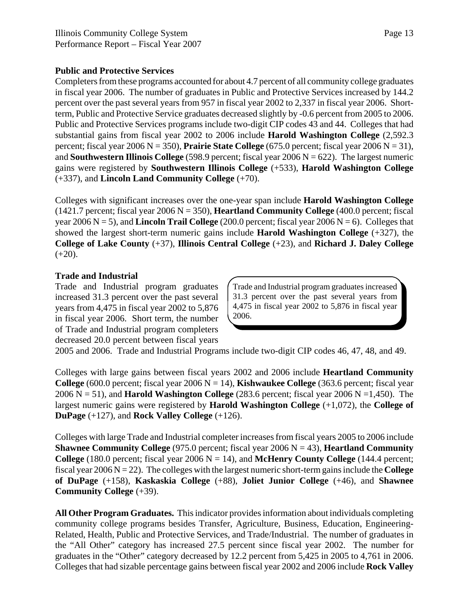#### **Public and Protective Services**

Completers from these programs accounted for about 4.7 percent of all community college graduates in fiscal year 2006. The number of graduates in Public and Protective Services increased by 144.2 percent over the past several years from 957 in fiscal year 2002 to 2,337 in fiscal year 2006. Shortterm, Public and Protective Service graduates decreased slightly by -0.6 percent from 2005 to 2006. Public and Protective Services programs include two-digit CIP codes 43 and 44. Colleges that had substantial gains from fiscal year 2002 to 2006 include **Harold Washington College** (2,592.3 percent; fiscal year 2006 N = 350), **Prairie State College**  $(675.0$  percent; fiscal year 2006 N = 31), and **Southwestern Illinois College** (598.9 percent; fiscal year  $2006 \text{ N} = 622$ ). The largest numeric gains were registered by **Southwestern Illinois College** (+533), **Harold Washington College** (+337), and **Lincoln Land Community College** (+70).

Colleges with significant increases over the one-year span include **Harold Washington College** (1421.7 percent; fiscal year 2006 N = 350), **Heartland Community College** (400.0 percent; fiscal year 2006  $N = 5$ ), and **Lincoln Trail College** (200.0 percent; fiscal year 2006  $N = 6$ ). Colleges that showed the largest short-term numeric gains include **Harold Washington College** (+327), the **College of Lake County** (+37), **Illinois Central College** (+23), and **Richard J. Daley College**  $(+20)$ .

#### **Trade and Industrial**

Trade and Industrial program graduates increased 31.3 percent over the past several years from 4,475 in fiscal year 2002 to 5,876 in fiscal year 2006. Short term, the number of Trade and Industrial program completers decreased 20.0 percent between fiscal years Trade and Industrial program graduates increased 31.3 percent over the past several years from 4,475 in fiscal year 2002 to 5,876 in fiscal year 2006.

2005 and 2006. Trade and Industrial Programs include two-digit CIP codes 46, 47, 48, and 49.

Colleges with large gains between fiscal years 2002 and 2006 include **Heartland Community College**  $(600.0 \text{ percent}; \text{fical year } 2006 \text{ N} = 14)$ , **Kishwaukee College**  $(363.6 \text{ percent}; \text{fical year})$ 2006  $N = 51$ ), and **Harold Washington College** (283.6 percent; fiscal year 2006  $N = 1,450$ ). The largest numeric gains were registered by **Harold Washington College** (+1,072), the **College of DuPage** (+127), and **Rock Valley College** (+126).

Colleges with large Trade and Industrial completer increases from fiscal years 2005 to 2006 include **Shawnee Community College** (975.0 percent; fiscal year 2006 N = 43), **Heartland Community College** (180.0 percent; fiscal year 2006  $N = 14$ ), and **McHenry County College** (144.4 percent; fiscal year 2006 N = 22). The colleges with the largest numeric short-term gains include the **College of DuPage** (+158), **Kaskaskia College** (+88), **Joliet Junior College** (+46), and **Shawnee Community College** (+39).

**All Other Program Graduates.** This indicator provides information about individuals completing community college programs besides Transfer, Agriculture, Business, Education, Engineering-Related, Health, Public and Protective Services, and Trade/Industrial. The number of graduates in the "All Other" category has increased 27.5 percent since fiscal year 2002. The number for graduates in the "Other" category decreased by 12.2 percent from 5,425 in 2005 to 4,761 in 2006. Colleges that had sizable percentage gains between fiscal year 2002 and 2006 include **Rock Valley**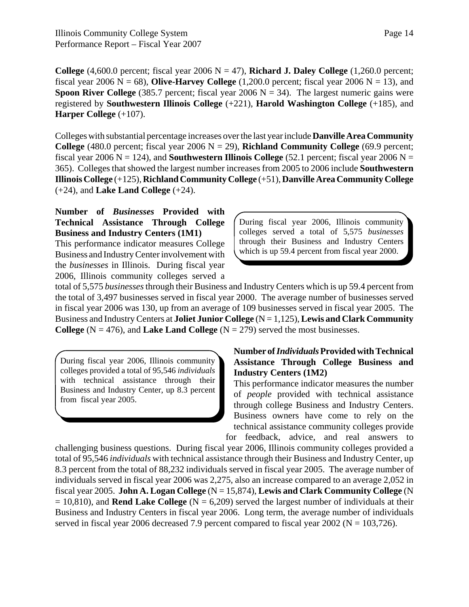**College**  $(4,600.0$  percent; fiscal year  $2006 \text{ N} = 47$ ), **Richard J. Daley College**  $(1,260.0$  percent; fiscal year 2006  $N = 68$ ), **Olive-Harvey College** (1,200.0 percent; fiscal year 2006  $N = 13$ ), and **Spoon River College** (385.7 percent; fiscal year 2006  $N = 34$ ). The largest numeric gains were registered by **Southwestern Illinois College** (+221), **Harold Washington College** (+185), and **Harper College** (+107).

Colleges with substantial percentage increases over the last year include **Danville Area Community College** (480.0 percent; fiscal year 2006  $N = 29$ ), **Richland Community College** (69.9 percent; fiscal year 2006  $N = 124$ ), and **Southwestern Illinois College** (52.1 percent; fiscal year 2006  $N =$ 365). Colleges that showed the largest number increases from 2005 to 2006 include **Southwestern Illinois College** (+125), **Richland Community College** (+51), **Danville Area Community College** (+24), and **Lake Land College** (+24).

#### **Number of** *Businesses* **Provided with Technical Assistance Through College Business and Industry Centers (1M1)**

This performance indicator measures College Business and Industry Center involvement with the *businesses* in Illinois. During fiscal year 2006, Illinois community colleges served a During fiscal year 2006, Illinois community colleges served a total of 5,575 *businesses* through their Business and Industry Centers which is up 59.4 percent from fiscal year 2000.

total of 5,575 *businesses* through their Business and Industry Centers which is up 59.4 percent from the total of 3,497 businesses served in fiscal year 2000. The average number of businesses served in fiscal year 2006 was 130, up from an average of 109 businesses served in fiscal year 2005. The Business and Industry Centers at **Joliet Junior College** (N = 1,125), **Lewis and Clark Community College**  $(N = 476)$ , and **Lake Land College**  $(N = 279)$  served the most businesses.

During fiscal year 2006, Illinois community colleges provided a total of 95,546 *individuals* with technical assistance through their Business and Industry Center, up 8.3 percent from fiscal year 2005.

#### **Number of** *Individuals* **Provided with Technical Assistance Through College Business and Industry Centers (1M2)**

This performance indicator measures the number of *people* provided with technical assistance through college Business and Industry Centers. Business owners have come to rely on the technical assistance community colleges provide for feedback, advice, and real answers to

challenging business questions. During fiscal year 2006, Illinois community colleges provided a total of 95,546 *individuals* with technical assistance through their Business and Industry Center, up 8.3 percent from the total of 88,232 individuals served in fiscal year 2005. The average number of individuals served in fiscal year 2006 was 2,275, also an increase compared to an average 2,052 in fiscal year 2005. **John A. Logan College** (N = 15,874), **Lewis and Clark Community College** (N  $= 10,810$ ), and **Rend Lake College** (N = 6,209) served the largest number of individuals at their Business and Industry Centers in fiscal year 2006. Long term, the average number of individuals served in fiscal year 2006 decreased 7.9 percent compared to fiscal year 2002 ( $N = 103,726$ ).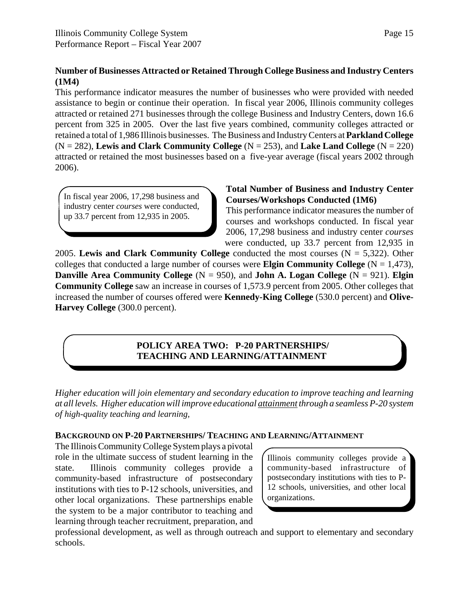#### **Number of Businesses Attracted or Retained Through College Business and Industry Centers (1M4)**

This performance indicator measures the number of businesses who were provided with needed assistance to begin or continue their operation. In fiscal year 2006, Illinois community colleges attracted or retained 271 businesses through the college Business and Industry Centers, down 16.6 percent from 325 in 2005. Over the last five years combined, community colleges attracted or retained a total of 1,986 Illinois businesses. The Business and Industry Centers at **Parkland College**  $(N = 282)$ , **Lewis and Clark Community College**  $(N = 253)$ , and **Lake Land College**  $(N = 220)$ attracted or retained the most businesses based on a five-year average (fiscal years 2002 through 2006).

In fiscal year 2006, 17,298 business and industry center *courses* were conducted, up 33.7 percent from 12,935 in 2005.

#### **Total Number of Business and Industry Center Courses/Workshops Conducted (1M6)**

This performance indicator measures the number of courses and workshops conducted. In fiscal year 2006, 17,298 business and industry center *courses* were conducted, up 33.7 percent from 12,935 in

2005. **Lewis and Clark Community College** conducted the most courses (N = 5,322). Other colleges that conducted a large number of courses were **Elgin Community College**  $(N = 1,473)$ , **Danville Area Community College**  $(N = 950)$ , and **John A. Logan College**  $(N = 921)$ . **Elgin Community College** saw an increase in courses of 1,573.9 percent from 2005. Other colleges that increased the number of courses offered were **Kennedy-King College** (530.0 percent) and **Olive-Harvey College** (300.0 percent).

# **POLICY AREA TWO: P-20 PARTNERSHIPS/ TEACHING AND LEARNING/ATTAINMENT**

*Higher education will join elementary and secondary education to improve teaching and learning at all levels. Higher education will improve educational attainment through a seamless P-20 system of high-quality teaching and learning,*

#### **BACKGROUND ON P-20 PARTNERSHIPS/ TEACHING AND LEARNING/ATTAINMENT**

The Illinois Community College System plays a pivotal role in the ultimate success of student learning in the state. Illinois community colleges provide a community-based infrastructure of postsecondary institutions with ties to P-12 schools, universities, and other local organizations. These partnerships enable the system to be a major contributor to teaching and learning through teacher recruitment, preparation, and

Illinois community colleges provide a community-based infrastructure of postsecondary institutions with ties to P-12 schools, universities, and other local organizations.

professional development, as well as through outreach and support to elementary and secondary schools.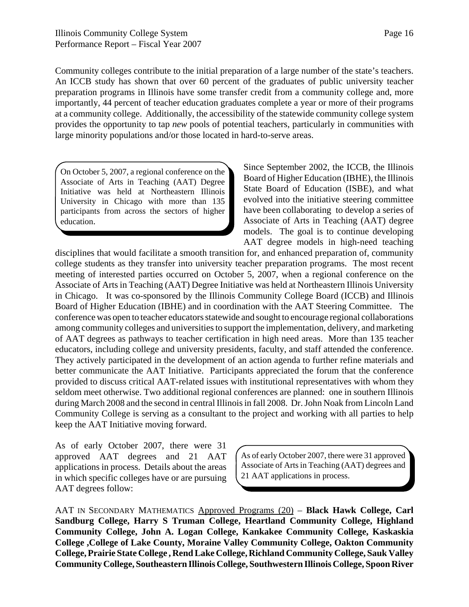Community colleges contribute to the initial preparation of a large number of the state's teachers. An ICCB study has shown that over 60 percent of the graduates of public university teacher preparation programs in Illinois have some transfer credit from a community college and, more importantly, 44 percent of teacher education graduates complete a year or more of their programs at a community college. Additionally, the accessibility of the statewide community college system provides the opportunity to tap *new* pools of potential teachers, particularly in communities with large minority populations and/or those located in hard-to-serve areas.

On October 5, 2007, a regional conference on the Associate of Arts in Teaching (AAT) Degree Initiative was held at Northeastern Illinois University in Chicago with more than 135 participants from across the sectors of higher education.

Since September 2002, the ICCB, the Illinois Board of Higher Education (IBHE), the Illinois State Board of Education (ISBE), and what evolved into the initiative steering committee have been collaborating to develop a series of Associate of Arts in Teaching (AAT) degree models. The goal is to continue developing AAT degree models in high-need teaching

disciplines that would facilitate a smooth transition for, and enhanced preparation of, community college students as they transfer into university teacher preparation programs. The most recent meeting of interested parties occurred on October 5, 2007, when a regional conference on the Associate of Arts in Teaching (AAT) Degree Initiative was held at Northeastern Illinois University in Chicago. It was co-sponsored by the Illinois Community College Board (ICCB) and Illinois Board of Higher Education (IBHE) and in coordination with the AAT Steering Committee. The conference was open to teacher educators statewide and sought to encourage regional collaborations among community colleges and universities to support the implementation, delivery, and marketing of AAT degrees as pathways to teacher certification in high need areas. More than 135 teacher educators, including college and university presidents, faculty, and staff attended the conference. They actively participated in the development of an action agenda to further refine materials and better communicate the AAT Initiative. Participants appreciated the forum that the conference provided to discuss critical AAT-related issues with institutional representatives with whom they seldom meet otherwise. Two additional regional conferences are planned: one in southern Illinois during March 2008 and the second in central Illinois in fall 2008. Dr. John Noak from Lincoln Land Community College is serving as a consultant to the project and working with all parties to help keep the AAT Initiative moving forward.

As of early October 2007, there were 31 approved AAT degrees and 21 AAT applications in process. Details about the areas in which specific colleges have or are pursuing AAT degrees follow:

As of early October 2007, there were 31 approved Associate of Arts in Teaching (AAT) degrees and 21 AAT applications in process.

AAT IN SECONDARY MATHEMATICS Approved Programs (20) – **Black Hawk College, Carl Sandburg College, Harry S Truman College, Heartland Community College, Highland Community College, John A. Logan College, Kankakee Community College, Kaskaskia College ,College of Lake County, Moraine Valley Community College, Oakton Community College, Prairie State College , Rend Lake College, Richland Community College, Sauk Valley Community College, Southeastern Illinois College, Southwestern Illinois College, Spoon River**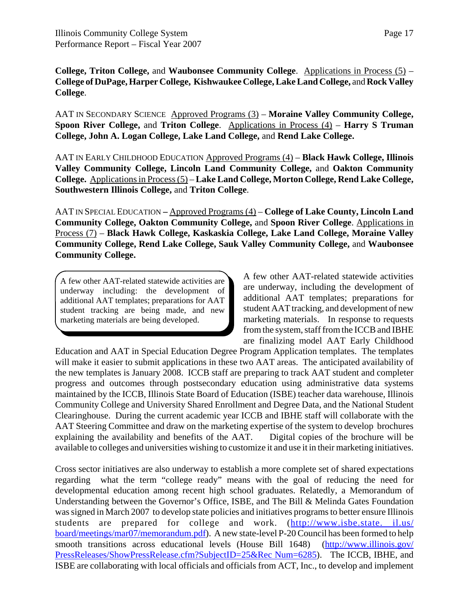**College, Triton College,** and **Waubonsee Community College**. Applications in Process (5) – **College of DuPage, Harper College, Kishwaukee College, Lake Land College,** and **Rock Valley College**.

AAT IN SECONDARY SCIENCEApproved Programs (3) – **Moraine Valley Community College, Spoon River College,** and **Triton College**. Applications in Process (4) – **Harry S Truman College, John A. Logan College, Lake Land College,** and **Rend Lake College.**

AAT IN EARLY CHILDHOOD EDUCATION Approved Programs (4) – **Black Hawk College, Illinois Valley Community College, Lincoln Land Community College,** and **Oakton Community College.** Applications in Process (5) – **Lake Land College, Morton College, Rend Lake College, Southwestern Illinois College,** and **Triton College**.

AAT IN SPECIAL EDUCATION **–** Approved Programs (4) – **College of Lake County, Lincoln Land Community College, Oakton Community College,** and **Spoon River College**. Applications in Process (7) – **Black Hawk College, Kaskaskia College, Lake Land College, Moraine Valley Community College, Rend Lake College, Sauk Valley Community College,** and **Waubonsee Community College.**

A few other AAT-related statewide activities are underway including: the development of additional AAT templates; preparations for AAT student tracking are being made, and new marketing materials are being developed.

A few other AAT-related statewide activities are underway, including the development of additional AAT templates; preparations for student AAT tracking, and development of new marketing materials. In response to requests from the system, staff from the ICCB and IBHE are finalizing model AAT Early Childhood

Education and AAT in Special Education Degree Program Application templates. The templates will make it easier to submit applications in these two AAT areas. The anticipated availability of the new templates is January 2008. ICCB staff are preparing to track AAT student and completer progress and outcomes through postsecondary education using administrative data systems maintained by the ICCB, Illinois State Board of Education (ISBE) teacher data warehouse, Illinois Community College and University Shared Enrollment and Degree Data, and the National Student Clearinghouse. During the current academic year ICCB and IBHE staff will collaborate with the AAT Steering Committee and draw on the marketing expertise of the system to develop brochures explaining the availability and benefits of the AAT. Digital copies of the brochure will be available to colleges and universities wishing to customize it and use it in their marketing initiatives.

Cross sector initiatives are also underway to establish a more complete set of shared expectations regarding what the term "college ready" means with the goal of reducing the need for developmental education among recent high school graduates. Relatedly, a Memorandum of Understanding between the Governor's Office, ISBE, and The Bill & Melinda Gates Foundation was signed in March 2007 to develop state policies and initiatives programs to better ensure Illinois students are prepared for college and work. (http://www.isbe.state. il.us/ board/meetings/mar07/memorandum.pdf). A new state-level P-20 Council has been formed to help smooth transitions across educational levels (House Bill 1648) (http://www.illinois.gov/ PressReleases/ShowPressRelease.cfm?SubjectID=25&Rec Num=6285). The ICCB, IBHE, and ISBE are collaborating with local officials and officials from ACT, Inc., to develop and implement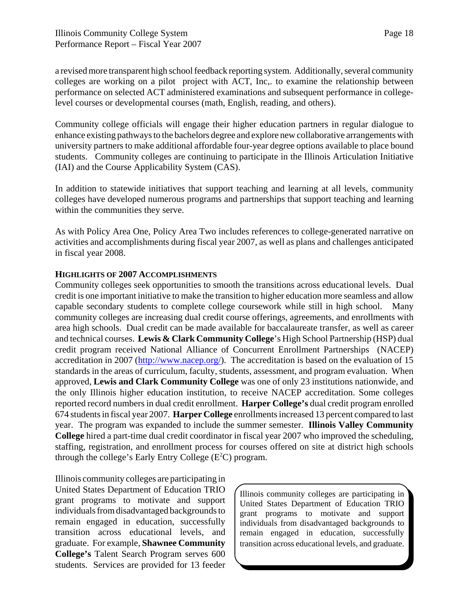a revised more transparent high school feedback reporting system. Additionally, several community colleges are working on a pilot project with ACT, Inc,. to examine the relationship between performance on selected ACT administered examinations and subsequent performance in collegelevel courses or developmental courses (math, English, reading, and others).

Community college officials will engage their higher education partners in regular dialogue to enhance existing pathways to the bachelors degree and explore new collaborative arrangements with university partners to make additional affordable four-year degree options available to place bound students. Community colleges are continuing to participate in the Illinois Articulation Initiative (IAI) and the Course Applicability System (CAS).

In addition to statewide initiatives that support teaching and learning at all levels, community colleges have developed numerous programs and partnerships that support teaching and learning within the communities they serve.

As with Policy Area One, Policy Area Two includes references to college-generated narrative on activities and accomplishments during fiscal year 2007, as well as plans and challenges anticipated in fiscal year 2008.

#### **HIGHLIGHTS OF 2007 ACCOMPLISHMENTS**

Community colleges seek opportunities to smooth the transitions across educational levels. Dual credit is one important initiative to make the transition to higher education more seamless and allow capable secondary students to complete college coursework while still in high school. Many community colleges are increasing dual credit course offerings, agreements, and enrollments with area high schools. Dual credit can be made available for baccalaureate transfer, as well as career and technical courses. **Lewis & Clark Community College**'s High School Partnership (HSP) dual credit program received National Alliance of Concurrent Enrollment Partnerships (NACEP) accreditation in 2007 (http://www.nacep.org/). The accreditation is based on the evaluation of 15 standards in the areas of curriculum, faculty, students, assessment, and program evaluation. When approved, **Lewis and Clark Community College** was one of only 23 institutions nationwide, and the only Illinois higher education institution, to receive NACEP accreditation. Some colleges reported record numbers in dual credit enrollment. **Harper College's** dual credit program enrolled 674 students in fiscal year 2007. **Harper College** enrollments increased 13 percent compared to last year. The program was expanded to include the summer semester. **Illinois Valley Community College** hired a part-time dual credit coordinator in fiscal year 2007 who improved the scheduling, staffing, registration, and enrollment process for courses offered on site at district high schools through the college's Early Entry College  $(E<sup>2</sup>C)$  program.

Illinois community colleges are participating in United States Department of Education TRIO grant programs to motivate and support individuals from disadvantaged backgrounds to remain engaged in education, successfully transition across educational levels, and graduate. For example, **Shawnee Community College's** Talent Search Program serves 600 students. Services are provided for 13 feeder

Illinois community colleges are participating in United States Department of Education TRIO grant programs to motivate and support individuals from disadvantaged backgrounds to remain engaged in education, successfully transition across educational levels, and graduate.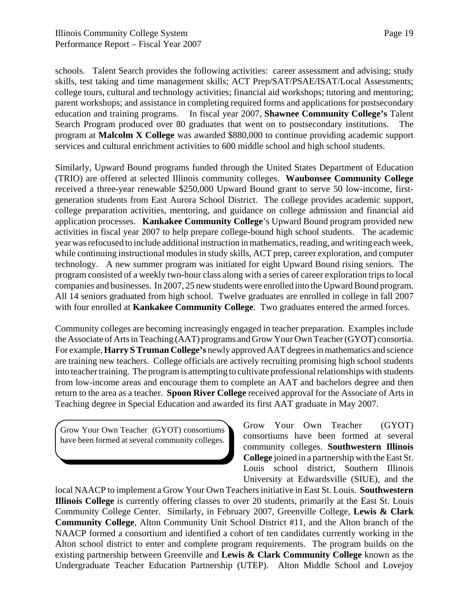schools. Talent Search provides the following activities: career assessment and advising; study skills, test taking and time management skills; ACT Prep/SAT/PSAE/ISAT/Local Assessments; college tours, cultural and technology activities; financial aid workshops; tutoring and mentoring; parent workshops; and assistance in completing required forms and applications for postsecondary education and training programs. In fiscal year 2007, **Shawnee Community College's** Talent Search Program produced over 80 graduates that went on to postsecondary institutions. The program at **Malcolm X College** was awarded \$880,000 to continue providing academic support services and cultural enrichment activities to 600 middle school and high school students.

Similarly, Upward Bound programs funded through the United States Department of Education (TRIO) are offered at selected Illinois community colleges. **Waubonsee Community College** received a three-year renewable \$250,000 Upward Bound grant to serve 50 low-income, firstgeneration students from East Aurora School District. The college provides academic support, college preparation activities, mentoring, and guidance on college admission and financial aid application processes. **Kankakee Community College**'s Upward Bound program provided new activities in fiscal year 2007 to help prepare college-bound high school students. The academic year was refocused to include additional instruction in mathematics, reading, and writing each week, while continuing instructional modules in study skills, ACT prep, career exploration, and computer technology. A new summer program was initiated for eight Upward Bound rising seniors. The program consisted of a weekly two-hour class along with a series of career exploration trips to local companies and businesses. In 2007, 25 new students were enrolled into the Upward Bound program. All 14 seniors graduated from high school. Twelve graduates are enrolled in college in fall 2007 with four enrolled at **Kankakee Community College**. Two graduates entered the armed forces.

Community colleges are becoming increasingly engaged in teacher preparation. Examples include the Associate of Arts in Teaching (AAT) programs and Grow Your Own Teacher (GYOT) consortia. For example, **Harry S Truman College's** newly approved AAT degrees in mathematics and science are training new teachers. College officials are actively recruiting promising high school students into teacher training. The program is attempting to cultivate professional relationships with students from low-income areas and encourage them to complete an AAT and bachelors degree and then return to the area as a teacher. **Spoon River College** received approval for the Associate of Arts in Teaching degree in Special Education and awarded its first AAT graduate in May 2007.

Grow Your Own Teacher (GYOT) consortiums have been formed at several community colleges.

Grow Your Own Teacher (GYOT) consortiums have been formed at several community colleges. **Southwestern Illinois College** joined in a partnership with the East St. Louis school district, Southern Illinois University at Edwardsville (SIUE), and the

local NAACP to implement a Grow Your Own Teachers initiative in East St. Louis. **Southwestern Illinois College** is currently offering classes to over 20 students, primarily at the East St. Louis Community College Center. Similarly, in February 2007, Greenville College, **Lewis & Clark Community College**, Alton Community Unit School District #11, and the Alton branch of the NAACP formed a consortium and identified a cohort of ten candidates currently working in the Alton school district to enter and complete program requirements. The program builds on the existing partnership between Greenville and **Lewis & Clark Community College** known as the Undergraduate Teacher Education Partnership (UTEP). Alton Middle School and Lovejoy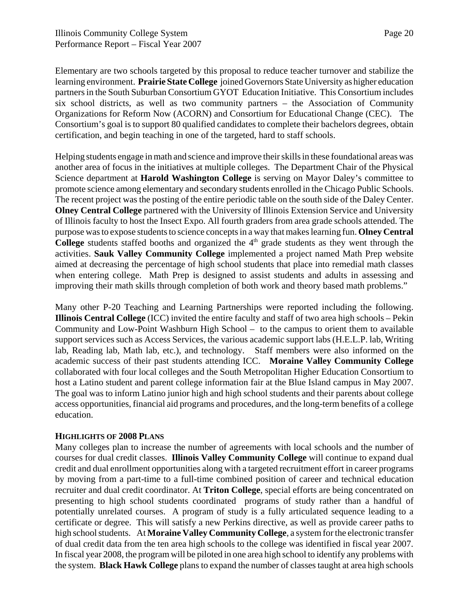Elementary are two schools targeted by this proposal to reduce teacher turnover and stabilize the learning environment. **Prairie State College** joined Governors State University as higher education partners in the South Suburban Consortium GYOT Education Initiative. This Consortium includes six school districts, as well as two community partners – the Association of Community Organizations for Reform Now (ACORN) and Consortium for Educational Change (CEC). The Consortium's goal is to support 80 qualified candidates to complete their bachelors degrees, obtain certification, and begin teaching in one of the targeted, hard to staff schools.

Helping students engage in math and science and improve their skills in these foundational areas was another area of focus in the initiatives at multiple colleges. The Department Chair of the Physical Science department at **Harold Washington College** is serving on Mayor Daley's committee to promote science among elementary and secondary students enrolled in the Chicago Public Schools. The recent project was the posting of the entire periodic table on the south side of the Daley Center. **Olney Central College** partnered with the University of Illinois Extension Service and University of Illinois faculty to host the Insect Expo. All fourth graders from area grade schools attended. The purpose was to expose students to science concepts in a way that makes learning fun. **Olney Central College** students staffed booths and organized the 4<sup>th</sup> grade students as they went through the activities. **Sauk Valley Community College** implemented a project named Math Prep website aimed at decreasing the percentage of high school students that place into remedial math classes when entering college. Math Prep is designed to assist students and adults in assessing and improving their math skills through completion of both work and theory based math problems."

Many other P-20 Teaching and Learning Partnerships were reported including the following. **Illinois Central College** (ICC) invited the entire faculty and staff of two area high schools – Pekin Community and Low-Point Washburn High School – to the campus to orient them to available support services such as Access Services, the various academic support labs (H.E.L.P. lab, Writing lab, Reading lab, Math lab, etc.), and technology. Staff members were also informed on the academic success of their past students attending ICC. **Moraine Valley Community College** collaborated with four local colleges and the South Metropolitan Higher Education Consortium to host a Latino student and parent college information fair at the Blue Island campus in May 2007. The goal was to inform Latino junior high and high school students and their parents about college access opportunities, financial aid programs and procedures, and the long-term benefits of a college education.

#### **HIGHLIGHTS OF 2008 PLANS**

Many colleges plan to increase the number of agreements with local schools and the number of courses for dual credit classes. **Illinois Valley Community College** will continue to expand dual credit and dual enrollment opportunities along with a targeted recruitment effort in career programs by moving from a part-time to a full-time combined position of career and technical education recruiter and dual credit coordinator. At **Triton College**, special efforts are being concentrated on presenting to high school students coordinated programs of study rather than a handful of potentially unrelated courses. A program of study is a fully articulated sequence leading to a certificate or degree. This will satisfy a new Perkins directive, as well as provide career paths to high school students. At **Moraine Valley Community College**, a system for the electronic transfer of dual credit data from the ten area high schools to the college was identified in fiscal year 2007. In fiscal year 2008, the program will be piloted in one area high school to identify any problems with the system. **Black Hawk College** plans to expand the number of classes taught at area high schools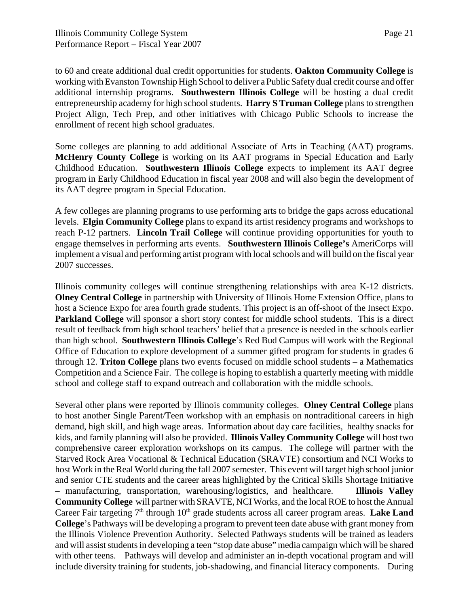to 60 and create additional dual credit opportunities for students. **Oakton Community College** is working with Evanston Township High School to deliver a Public Safety dual credit course and offer additional internship programs. **Southwestern Illinois College** will be hosting a dual credit entrepreneurship academy for high school students. **Harry S Truman College** plans to strengthen Project Align, Tech Prep, and other initiatives with Chicago Public Schools to increase the enrollment of recent high school graduates.

Some colleges are planning to add additional Associate of Arts in Teaching (AAT) programs. **McHenry County College** is working on its AAT programs in Special Education and Early Childhood Education. **Southwestern Illinois College** expects to implement its AAT degree program in Early Childhood Education in fiscal year 2008 and will also begin the development of its AAT degree program in Special Education.

A few colleges are planning programs to use performing arts to bridge the gaps across educational levels. **Elgin Community College** plans to expand its artist residency programs and workshops to reach P-12 partners. **Lincoln Trail College** will continue providing opportunities for youth to engage themselves in performing arts events. **Southwestern Illinois College's** AmeriCorps will implement a visual and performing artist program with local schools and will build on the fiscal year 2007 successes.

Illinois community colleges will continue strengthening relationships with area K-12 districts. **Olney Central College** in partnership with University of Illinois Home Extension Office, plans to host a Science Expo for area fourth grade students. This project is an off-shoot of the Insect Expo. **Parkland College** will sponsor a short story contest for middle school students. This is a direct result of feedback from high school teachers' belief that a presence is needed in the schools earlier than high school. **Southwestern Illinois College**'s Red Bud Campus will work with the Regional Office of Education to explore development of a summer gifted program for students in grades 6 through 12. **Triton College** plans two events focused on middle school students – a Mathematics Competition and a Science Fair. The college is hoping to establish a quarterly meeting with middle school and college staff to expand outreach and collaboration with the middle schools.

Several other plans were reported by Illinois community colleges. **Olney Central College** plans to host another Single Parent/Teen workshop with an emphasis on nontraditional careers in high demand, high skill, and high wage areas. Information about day care facilities, healthy snacks for kids, and family planning will also be provided. **Illinois Valley Community College** will host two comprehensive career exploration workshops on its campus. The college will partner with the Starved Rock Area Vocational & Technical Education (SRAVTE) consortium and NCI Works to host Work in the Real World during the fall 2007 semester. This event will target high school junior and senior CTE students and the career areas highlighted by the Critical Skills Shortage Initiative – manufacturing, transportation, warehousing/logistics, and healthcare. **Illinois Valley Community College** will partner with SRAVTE, NCI Works, and the local ROE to host the Annual Career Fair targeting 7<sup>th</sup> through 10<sup>th</sup> grade students across all career program areas. Lake Land **College**'s Pathways will be developing a program to prevent teen date abuse with grant money from the Illinois Violence Prevention Authority. Selected Pathways students will be trained as leaders and will assist students in developing a teen "stop date abuse" media campaign which will be shared with other teens. Pathways will develop and administer an in-depth vocational program and will include diversity training for students, job-shadowing, and financial literacy components. During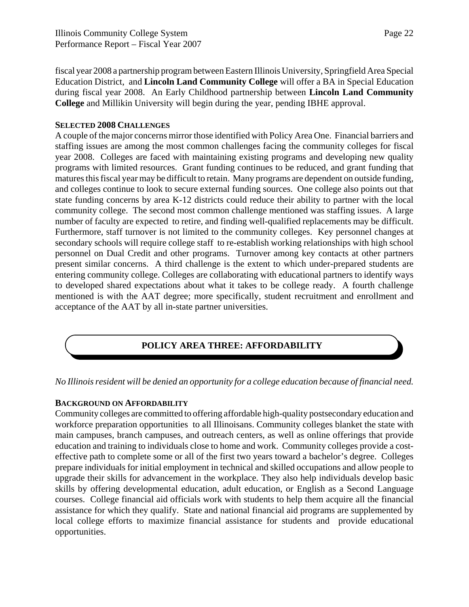fiscal year 2008 a partnership program between Eastern Illinois University, Springfield Area Special Education District, and **Lincoln Land Community College** will offer a BA in Special Education during fiscal year 2008. An Early Childhood partnership between **Lincoln Land Community College** and Millikin University will begin during the year, pending IBHE approval.

#### **SELECTED 2008 CHALLENGES**

A couple of the major concerns mirror those identified with Policy Area One. Financial barriers and staffing issues are among the most common challenges facing the community colleges for fiscal year 2008. Colleges are faced with maintaining existing programs and developing new quality programs with limited resources. Grant funding continues to be reduced, and grant funding that matures this fiscal year may be difficult to retain. Many programs are dependent on outside funding, and colleges continue to look to secure external funding sources. One college also points out that state funding concerns by area K-12 districts could reduce their ability to partner with the local community college. The second most common challenge mentioned was staffing issues. A large number of faculty are expected to retire, and finding well-qualified replacements may be difficult. Furthermore, staff turnover is not limited to the community colleges. Key personnel changes at secondary schools will require college staff to re-establish working relationships with high school personnel on Dual Credit and other programs. Turnover among key contacts at other partners present similar concerns. A third challenge is the extent to which under-prepared students are entering community college. Colleges are collaborating with educational partners to identify ways to developed shared expectations about what it takes to be college ready. A fourth challenge mentioned is with the AAT degree; more specifically, student recruitment and enrollment and acceptance of the AAT by all in-state partner universities.

# **POLICY AREA THREE: AFFORDABILITY**

*No Illinois resident will be denied an opportunity for a college education because of financial need.*

#### **BACKGROUND ON AFFORDABILITY**

Community colleges are committed to offering affordable high-quality postsecondary education and workforce preparation opportunities to all Illinoisans. Community colleges blanket the state with main campuses, branch campuses, and outreach centers, as well as online offerings that provide education and training to individuals close to home and work. Community colleges provide a costeffective path to complete some or all of the first two years toward a bachelor's degree. Colleges prepare individuals for initial employment in technical and skilled occupations and allow people to upgrade their skills for advancement in the workplace. They also help individuals develop basic skills by offering developmental education, adult education, or English as a Second Language courses. College financial aid officials work with students to help them acquire all the financial assistance for which they qualify. State and national financial aid programs are supplemented by local college efforts to maximize financial assistance for students and provide educational opportunities.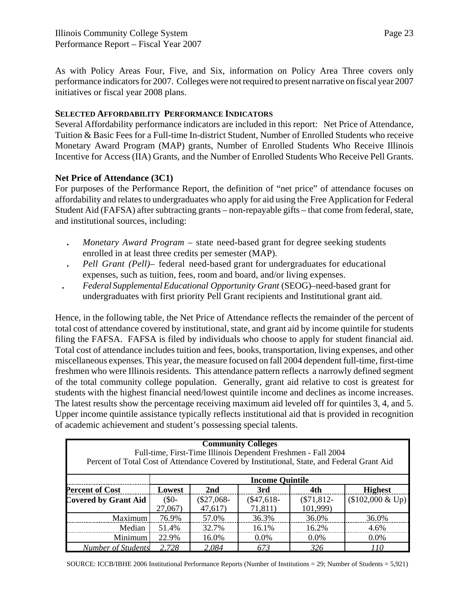initiatives or fiscal year 2008 plans.

As with Policy Areas Four, Five, and Six, information on Policy Area Three covers only performance indicators for 2007. Colleges were not required to present narrative on fiscal year 2007

#### **SELECTED AFFORDABILITY PERFORMANCE INDICATORS**

Several Affordability performance indicators are included in this report: Net Price of Attendance, Tuition & Basic Fees for a Full-time In-district Student, Number of Enrolled Students who receive Monetary Award Program (MAP) grants, Number of Enrolled Students Who Receive Illinois Incentive for Access (IIA) Grants, and the Number of Enrolled Students Who Receive Pell Grants.

#### **Net Price of Attendance (3C1)**

For purposes of the Performance Report, the definition of "net price" of attendance focuses on affordability and relates to undergraduates who apply for aid using the Free Application for Federal Student Aid (FAFSA) after subtracting grants – non-repayable gifts – that come from federal, state, and institutional sources, including:

- **.** *Monetary Award Program*  state need-based grant for degree seeking students enrolled in at least three credits per semester (MAP).
- **.** *Pell Grant (Pell)* federal need-based grant for undergraduates for educational expenses, such as tuition, fees, room and board, and/or living expenses.
- **.** *Federal Supplemental Educational Opportunity Grant* (SEOG)–need-based grant for undergraduates with first priority Pell Grant recipients and Institutional grant aid.

Hence, in the following table, the Net Price of Attendance reflects the remainder of the percent of total cost of attendance covered by institutional, state, and grant aid by income quintile for students filing the FAFSA. FAFSA is filed by individuals who choose to apply for student financial aid. Total cost of attendance includes tuition and fees, books, transportation, living expenses, and other miscellaneous expenses. This year, the measure focused on fall 2004 dependent full-time, first-time freshmen who were Illinois residents. This attendance pattern reflects a narrowly defined segment of the total community college population. Generally, grant aid relative to cost is greatest for students with the highest financial need/lowest quintile income and declines as income increases. The latest results show the percentage receiving maximum aid leveled off for quintiles 3, 4, and 5. Upper income quintile assistance typically reflects institutional aid that is provided in recognition of academic achievement and student's possessing special talents.

| <b>Community Colleges</b><br>Full-time, First-Time Illinois Dependent Freshmen - Fall 2004<br>Percent of Total Cost of Attendance Covered by Institutional, State, and Federal Grant Aid |                        |                 |             |             |                   |  |  |  |
|------------------------------------------------------------------------------------------------------------------------------------------------------------------------------------------|------------------------|-----------------|-------------|-------------|-------------------|--|--|--|
|                                                                                                                                                                                          | <b>Income Quintile</b> |                 |             |             |                   |  |  |  |
| <b>Percent of Cost</b>                                                                                                                                                                   | Lowest                 | 2 <sub>nd</sub> | 3rd         | 4th         | <b>Highest</b>    |  |  |  |
| <b>Covered by Grant Aid</b>                                                                                                                                                              | $(S0 -$                | $(\$27,068-$    | $($47,618-$ | $($71,812-$ | $$102,000 \& Up)$ |  |  |  |
|                                                                                                                                                                                          | 27,067)                | 47,617          | 71,811)     | 101,999)    |                   |  |  |  |
| Maximum                                                                                                                                                                                  | 76.9%                  | 57.0%           | 36.3%       | 36.0%       | 36.0%             |  |  |  |
| Median                                                                                                                                                                                   | 51.4%                  | 32.7%           | 16.1%       | 16.2%       | 4.6%              |  |  |  |
| Minimum                                                                                                                                                                                  | 22.9%                  | 16.0%           | $0.0\%$     | $0.0\%$     | 0.0%              |  |  |  |
| <b>Number of Students</b>                                                                                                                                                                | 2,728                  | 2,084           | 673         | 326         | 110               |  |  |  |

SOURCE: ICCB/IBHE 2006 Institutional Performance Reports (Number of Institutions = 29; Number of Students = 5,921)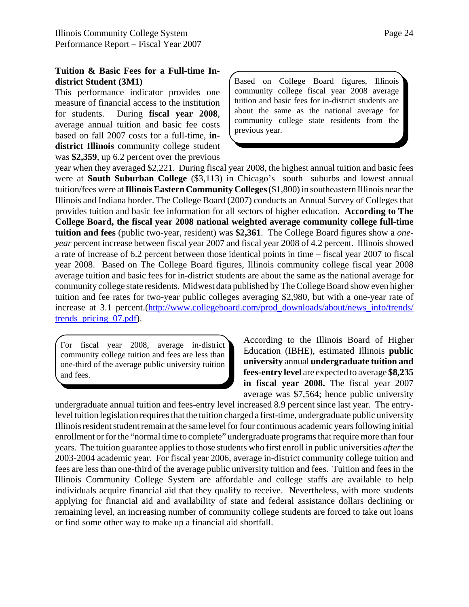#### **Tuition & Basic Fees for a Full-time Indistrict Student (3M1)**

This performance indicator provides one measure of financial access to the institution for students. During **fiscal year 2008**, average annual tuition and basic fee costs based on fall 2007 costs for a full-time, **indistrict Illinois** community college student was **\$2,359**, up 6.2 percent over the previous Based on College Board figures, Illinois community college fiscal year 2008 average tuition and basic fees for in-district students are about the same as the national average for community college state residents from the previous year.

year when they averaged \$2,221. During fiscal year 2008, the highest annual tuition and basic fees were at **South Suburban College** (\$3,113) in Chicago's south suburbs and lowest annual tuition/fees were at **Illinois Eastern Community Colleges** (\$1,800) in southeastern Illinois near the Illinois and Indiana border. The College Board (2007) conducts an Annual Survey of Colleges that provides tuition and basic fee information for all sectors of higher education. **According to The College Board, the fiscal year 2008 national weighted average community college full-time tuition and fees** (public two-year, resident) was **\$2,361**. The College Board figures show a *oneyear* percent increase between fiscal year 2007 and fiscal year 2008 of 4.2 percent. Illinois showed a rate of increase of 6.2 percent between those identical points in time – fiscal year 2007 to fiscal year 2008. Based on The College Board figures, Illinois community college fiscal year 2008 average tuition and basic fees for in-district students are about the same as the national average for community college state residents. Midwest data published by The College Board show even higher tuition and fee rates for two-year public colleges averaging \$2,980, but with a one-year rate of increase at 3.1 percent.(http://www.collegeboard.com/prod\_downloads/about/news\_info/trends/ trends\_pricing\_07.pdf).

For fiscal year 2008, average in-district community college tuition and fees are less than one-third of the average public university tuition and fees.

According to the Illinois Board of Higher Education (IBHE), estimated Illinois **public university** annual **undergraduate tuition and fees-entry level** are expected to average **\$8,235 in fiscal year 2008.** The fiscal year 2007 average was \$7,564; hence public university

undergraduate annual tuition and fees-entry level increased 8.9 percent since last year. The entrylevel tuition legislation requires that the tuition charged a first-time, undergraduate public university Illinois resident student remain at the same level for four continuous academic years following initial enrollment or for the "normal time to complete" undergraduate programs that require more than four years. The tuition guarantee applies to those students who first enroll in public universities *after* the 2003-2004 academic year. For fiscal year 2006, average in-district community college tuition and fees are less than one-third of the average public university tuition and fees. Tuition and fees in the Illinois Community College System are affordable and college staffs are available to help individuals acquire financial aid that they qualify to receive. Nevertheless, with more students applying for financial aid and availability of state and federal assistance dollars declining or remaining level, an increasing number of community college students are forced to take out loans or find some other way to make up a financial aid shortfall.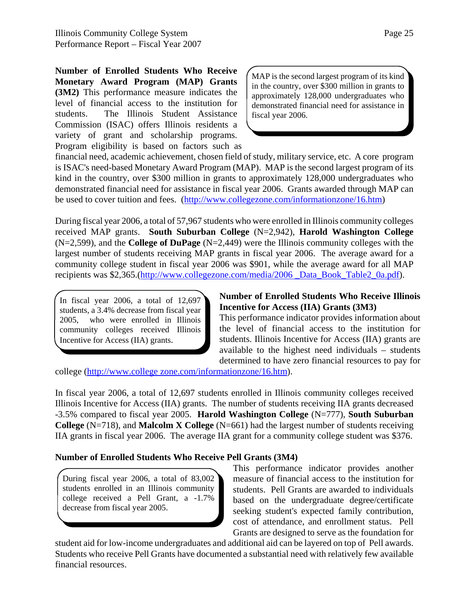**Number of Enrolled Students Who Receive Monetary Award Program (MAP) Grants (3M2)** This performance measure indicates the level of financial access to the institution for students. The Illinois Student Assistance Commission (ISAC) offers Illinois residents a variety of grant and scholarship programs. Program eligibility is based on factors such as

MAP is the second largest program of its kind in the country, over \$300 million in grants to approximately 128,000 undergraduates who demonstrated financial need for assistance in fiscal year 2006.

financial need, academic achievement, chosen field of study, military service, etc. A core program is ISAC's need-based Monetary Award Program (MAP). MAP is the second largest program of its kind in the country, over \$300 million in grants to approximately 128,000 undergraduates who demonstrated financial need for assistance in fiscal year 2006. Grants awarded through MAP can be used to cover tuition and fees. (http://www.collegezone.com/informationzone/16.htm)

During fiscal year 2006, a total of 57,967 students who were enrolled in Illinois community colleges received MAP grants. **South Suburban College** (N=2,942), **Harold Washington College** (N=2,599), and the **College of DuPage** (N=2,449) were the Illinois community colleges with the largest number of students receiving MAP grants in fiscal year 2006. The average award for a community college student in fiscal year 2006 was \$901, while the average award for all MAP recipients was \$2,365.(http://www.collegezone.com/media/2006 Data Book Table2 0a.pdf).

In fiscal year  $2006$ , a total of  $12,697$ students, a 3.4% decrease from fiscal year 2005, who were enrolled in Illinois community colleges received Illinois Incentive for Access (IIA) grants.

#### **Number of Enrolled Students Who Receive Illinois Incentive for Access (IIA) Grants (3M3)**

This performance indicator provides information about the level of financial access to the institution for students. Illinois Incentive for Access (IIA) grants are available to the highest need individuals – students determined to have zero financial resources to pay for

college (http://www.college zone.com/informationzone/16.htm).

In fiscal year 2006, a total of 12,697 students enrolled in Illinois community colleges received Illinois Incentive for Access (IIA) grants. The number of students receiving IIA grants decreased -3.5% compared to fiscal year 2005. **Harold Washington College** (N=777), **South Suburban College** (N=718), and **Malcolm X College** (N=661) had the largest number of students receiving IIA grants in fiscal year 2006. The average IIA grant for a community college student was \$376.

#### **Number of Enrolled Students Who Receive Pell Grants (3M4)**

During fiscal year 2006, a total of 83,002 students enrolled in an Illinois community college received a Pell Grant, a -1.7% decrease from fiscal year 2005.

This performance indicator provides another measure of financial access to the institution for students. Pell Grants are awarded to individuals based on the undergraduate degree/certificate seeking student's expected family contribution, cost of attendance, and enrollment status. Pell Grants are designed to serve as the foundation for

student aid for low-income undergraduates and additional aid can be layered on top of Pell awards. Students who receive Pell Grants have documented a substantial need with relatively few available financial resources.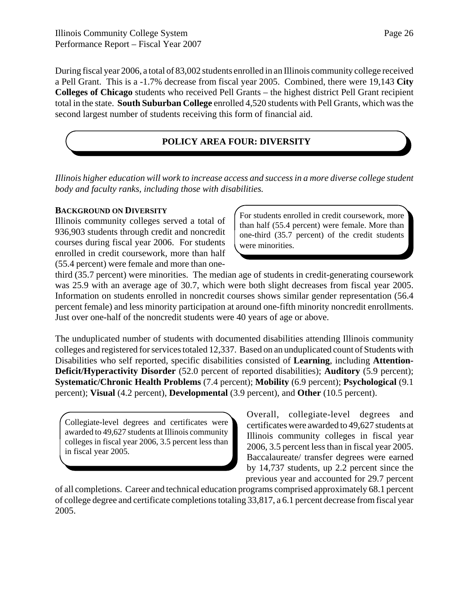During fiscal year 2006, a total of 83,002 students enrolled in an Illinois community college received a Pell Grant. This is a -1.7% decrease from fiscal year 2005. Combined, there were 19,143 **City Colleges of Chicago** students who received Pell Grants – the highest district Pell Grant recipient total in the state. **South Suburban College** enrolled 4,520 students with Pell Grants, which was the second largest number of students receiving this form of financial aid.

# **POLICY AREA FOUR: DIVERSITY**

*Illinois higher education will work to increase access and success in a more diverse college student body and faculty ranks, including those with disabilities.*

#### **BACKGROUND ON DIVERSITY**

Illinois community colleges served a total of 936,903 students through credit and noncredit courses during fiscal year 2006. For students enrolled in credit coursework, more than half (55.4 percent) were female and more than oneFor students enrolled in credit coursework, more than half (55.4 percent) were female. More than one-third (35.7 percent) of the credit students were minorities.

third (35.7 percent) were minorities. The median age of students in credit-generating coursework was 25.9 with an average age of 30.7, which were both slight decreases from fiscal year 2005. Information on students enrolled in noncredit courses shows similar gender representation (56.4 percent female) and less minority participation at around one-fifth minority noncredit enrollments. Just over one-half of the noncredit students were 40 years of age or above.

The unduplicated number of students with documented disabilities attending Illinois community colleges and registered for services totaled 12,337. Based on an unduplicated count of Students with Disabilities who self reported, specific disabilities consisted of **Learning**, including **Attention-Deficit/Hyperactivity Disorder** (52.0 percent of reported disabilities); **Auditory** (5.9 percent); **Systematic/Chronic Health Problems** (7.4 percent); **Mobility** (6.9 percent); **Psychological** (9.1 percent); **Visual** (4.2 percent), **Developmental** (3.9 percent), and **Other** (10.5 percent).

Collegiate-level degrees and certificates were awarded to 49,627 students at Illinois community colleges in fiscal year 2006, 3.5 percent less than in fiscal year 2005.

Overall, collegiate-level degrees and certificates were awarded to 49,627 students at Illinois community colleges in fiscal year 2006, 3.5 percent less than in fiscal year 2005. Baccalaureate/ transfer degrees were earned by 14,737 students, up 2.2 percent since the previous year and accounted for 29.7 percent

of all completions. Career and technical education programs comprised approximately 68.1 percent of college degree and certificate completions totaling 33,817, a 6.1 percent decrease from fiscal year 2005.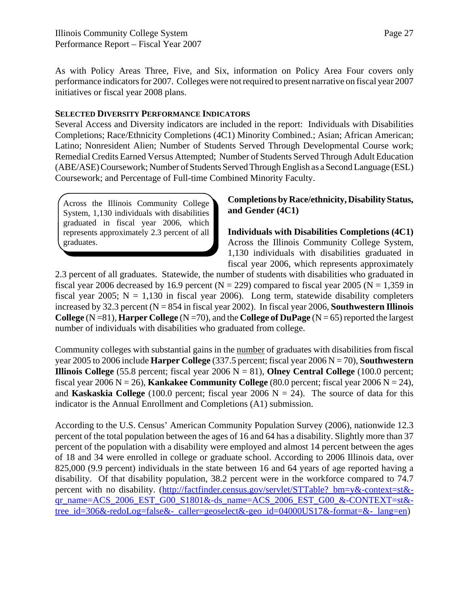As with Policy Areas Three, Five, and Six, information on Policy Area Four covers only performance indicators for 2007. Colleges were not required to present narrative on fiscal year 2007 initiatives or fiscal year 2008 plans.

#### **SELECTED DIVERSITY PERFORMANCE INDICATORS**

Several Access and Diversity indicators are included in the report: Individuals with Disabilities Completions; Race/Ethnicity Completions (4C1) Minority Combined.; Asian; African American; Latino; Nonresident Alien; Number of Students Served Through Developmental Course work; Remedial Credits Earned Versus Attempted; Number of Students Served Through Adult Education (ABE/ASE) Coursework; Number of Students Served Through English as a Second Language (ESL) Coursework; and Percentage of Full-time Combined Minority Faculty.

Across the Illinois Community College System, 1,130 individuals with disabilities graduated in fiscal year 2006, which represents approximately 2.3 percent of all graduates.

#### **Completions by Race/ethnicity, Disability Status, and Gender (4C1)**

**Individuals with Disabilities Completions (4C1)** Across the Illinois Community College System, 1,130 individuals with disabilities graduated in fiscal year 2006, which represents approximately

2.3 percent of all graduates. Statewide, the number of students with disabilities who graduated in fiscal year 2006 decreased by 16.9 percent ( $N = 229$ ) compared to fiscal year 2005 ( $N = 1,359$  in fiscal year 2005;  $N = 1,130$  in fiscal year 2006). Long term, statewide disability completers increased by 32.3 percent  $(N = 854$  in fiscal year 2002). In fiscal year 2006, **Southwestern Illinois College** (N =81), **Harper College** (N =70), and the **College of DuPage** (N = 65) reported the largest number of individuals with disabilities who graduated from college.

Community colleges with substantial gains in the number of graduates with disabilities from fiscal year 2005 to 2006 include **Harper College** (337.5 percent; fiscal year 2006 N = 70), **Southwestern Illinois College**  $(55.8$  percent; fiscal year  $2006$  N = 81), **Olney Central College**  $(100.0$  percent; fiscal year 2006  $N = 26$ ), **Kankakee Community College** (80.0 percent; fiscal year 2006  $N = 24$ ), and **Kaskaskia College** (100.0 percent; fiscal year 2006  $N = 24$ ). The source of data for this indicator is the Annual Enrollment and Completions (A1) submission.

According to the U.S. Census' American Community Population Survey (2006), nationwide 12.3 percent of the total population between the ages of 16 and 64 has a disability. Slightly more than 37 percent of the population with a disability were employed and almost 14 percent between the ages of 18 and 34 were enrolled in college or graduate school. According to 2006 Illinois data, over 825,000 (9.9 percent) individuals in the state between 16 and 64 years of age reported having a disability. Of that disability population, 38.2 percent were in the workforce compared to 74.7 percent with no disability. (http://factfinder.census.gov/servlet/STTable? bm=y&-context=st&qr\_name=ACS\_2006\_EST\_G00\_S1801&-ds\_name=ACS\_2006\_EST\_G00\_&-CONTEXT=st& tree\_id=306&-redoLog=false&-\_caller=geoselect&-geo\_id=04000US17&-format=&-\_lang=en)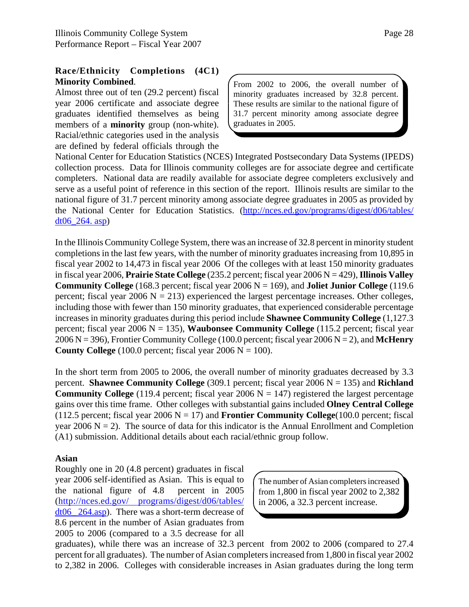#### **Race/Ethnicity Completions (4C1) Minority Combined**.

Almost three out of ten (29.2 percent) fiscal year 2006 certificate and associate degree graduates identified themselves as being members of a **minority** group (non-white). Racial/ethnic categories used in the analysis are defined by federal officials through the From 2002 to 2006, the overall number of minority graduates increased by 32.8 percent. These results are similar to the national figure of 31.7 percent minority among associate degree graduates in 2005.

National Center for Education Statistics (NCES) Integrated Postsecondary Data Systems (IPEDS) collection process. Data for Illinois community colleges are for associate degree and certificate completers. National data are readily available for associate degree completers exclusively and serve as a useful point of reference in this section of the report. Illinois results are similar to the national figure of 31.7 percent minority among associate degree graduates in 2005 as provided by the National Center for Education Statistics. (http://nces.ed.gov/programs/digest/d06/tables/ dt $06\,264.\,$ asp)

In the Illinois Community College System, there was an increase of 32.8 percent in minority student completions in the last few years, with the number of minority graduates increasing from 10,895 in fiscal year 2002 to 14,473 in fiscal year 2006 Of the colleges with at least 150 minority graduates in fiscal year 2006, **Prairie State College** (235.2 percent; fiscal year 2006 N = 429), **Illinois Valley Community College** (168.3 percent; fiscal year  $2006 \text{ N} = 169$ ), and **Joliet Junior College** (119.6) percent; fiscal year 2006  $N = 213$ ) experienced the largest percentage increases. Other colleges, including those with fewer than 150 minority graduates, that experienced considerable percentage increases in minority graduates during this period include **Shawnee Community College** (1,127.3 percent; fiscal year 2006 N = 135), **Waubonsee Community College** (115.2 percent; fiscal year 2006 N = 396), Frontier Community College (100.0 percent; fiscal year 2006 N = 2), and **McHenry County College** (100.0 percent; fiscal year 2006  $N = 100$ ).

In the short term from 2005 to 2006, the overall number of minority graduates decreased by 3.3 percent. **Shawnee Community College** (309.1 percent; fiscal year 2006 N = 135) and **Richland Community College** (119.4 percent; fiscal year 2006  $N = 147$ ) registered the largest percentage gains over this time frame. Other colleges with substantial gains included **Olney Central College** (112.5 percent; fiscal year 2006  $N = 17$ ) and **Frontier Community College**(100.0 percent; fiscal year 2006  $N = 2$ ). The source of data for this indicator is the Annual Enrollment and Completion (A1) submission. Additional details about each racial/ethnic group follow.

#### **Asian**

Roughly one in 20 (4.8 percent) graduates in fiscal year 2006 self-identified as Asian. This is equal to the national figure of 4.8 percent in 2005 (http://nces.ed.gov/ programs/digest/d06/tables/ dt06\_ 264.asp). There was a short-term decrease of 8.6 percent in the number of Asian graduates from 2005 to 2006 (compared to a 3.5 decrease for all

The number of Asian completers increased from 1,800 in fiscal year 2002 to 2,382 in 2006, a 32.3 percent increase.

graduates), while there was an increase of 32.3 percent from 2002 to 2006 (compared to 27.4 percent for all graduates). The number of Asian completers increased from 1,800 in fiscal year 2002 to 2,382 in 2006. Colleges with considerable increases in Asian graduates during the long term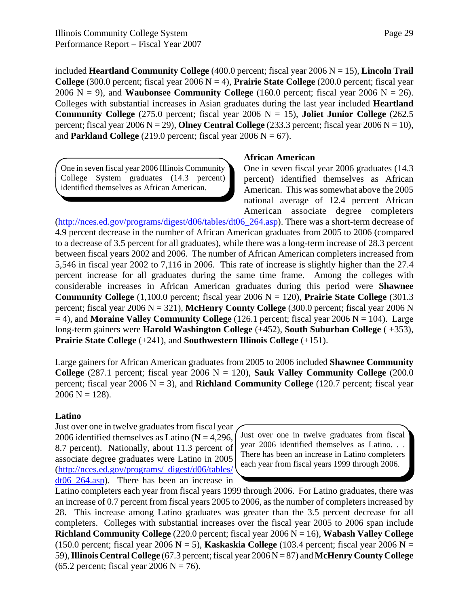included **Heartland Community College** (400.0 percent; fiscal year 2006 N = 15), **Lincoln Trail College** (300.0 percent; fiscal year  $2006 N = 4$ ), **Prairie State College** (200.0 percent; fiscal year 2006  $N = 9$ ), and **Waubonsee Community College** (160.0 percent; fiscal year 2006  $N = 26$ ). Colleges with substantial increases in Asian graduates during the last year included **Heartland Community College**  $(275.0 \text{ percent}; \text{fical year } 2006 \text{ N} = 15)$ , **Joliet Junior College**  $(262.5 \text{ m})$ percent; fiscal year 2006 N = 29), **Olney Central College**  $(233.3$  percent; fiscal year 2006 N = 10), and **Parkland College** (219.0 percent; fiscal year 2006  $N = 67$ ).

One in seven fiscal year 2006 Illinois Community College System graduates (14.3 percent) identified themselves as African American.

#### **African American**

One in seven fiscal year 2006 graduates (14.3 percent) identified themselves as African American. This was somewhat above the 2005 national average of 12.4 percent African American associate degree completers

(http://nces.ed.gov/programs/digest/d06/tables/dt06\_264.asp). There was a short-term decrease of 4.9 percent decrease in the number of African American graduates from 2005 to 2006 (compared to a decrease of 3.5 percent for all graduates), while there was a long-term increase of 28.3 percent between fiscal years 2002 and 2006. The number of African American completers increased from 5,546 in fiscal year 2002 to 7,116 in 2006. This rate of increase is slightly higher than the 27.4 percent increase for all graduates during the same time frame. Among the colleges with considerable increases in African American graduates during this period were **Shawnee Community College**  $(1,100.0$  percent; fiscal year  $2006 \text{ N} = 120$ ), **Prairie State College**  $(301.3)$ percent; fiscal year 2006 N = 321), **McHenry County College** (300.0 percent; fiscal year 2006 N  $= 4$ ), and **Moraine Valley Community College** (126.1 percent; fiscal year 2006  $N = 104$ ). Large long-term gainers were **Harold Washington College** (+452), **South Suburban College** ( +353), **Prairie State College** (+241), and **Southwestern Illinois College** (+151).

Large gainers for African American graduates from 2005 to 2006 included **Shawnee Community College**  $(287.1 \text{ percent}; \text{fiscal year } 2006 \text{ N} = 120)$ , **Sauk Valley Community College**  $(200.0 \text{ m})$ percent; fiscal year  $2006 \text{ N} = 3$ ), and **Richland Community College** (120.7 percent; fiscal year  $2006 N = 128$ .

#### **Latino**

Just over one in twelve graduates from fiscal year 2006 identified themselves as Latino  $(N = 4,296,$ 8.7 percent). Nationally, about 11.3 percent of associate degree graduates were Latino in 2005 (http://nces.ed.gov/programs/ digest/d06/tables/  $dt06_264.$ asp). There has been an increase in

Just over one in twelve graduates from fiscal year 2006 identified themselves as Latino. . . There has been an increase in Latino completers each year from fiscal years 1999 through 2006.

Latino completers each year from fiscal years 1999 through 2006. For Latino graduates, there was an increase of 0.7 percent from fiscal years 2005 to 2006, as the number of completers increased by 28. This increase among Latino graduates was greater than the 3.5 percent decrease for all completers. Colleges with substantial increases over the fiscal year 2005 to 2006 span include **Richland Community College** (220.0 percent; fiscal year 2006 N = 16), **Wabash Valley College** (150.0 percent; fiscal year 2006 N = 5), **Kaskaskia College** (103.4 percent; fiscal year 2006 N = 59), **Illinois Central College** (67.3 percent; fiscal year 2006 N = 87) and **McHenry County College**  $(65.2 \text{ percent}; \text{fiscal year } 2006 \text{ N} = 76).$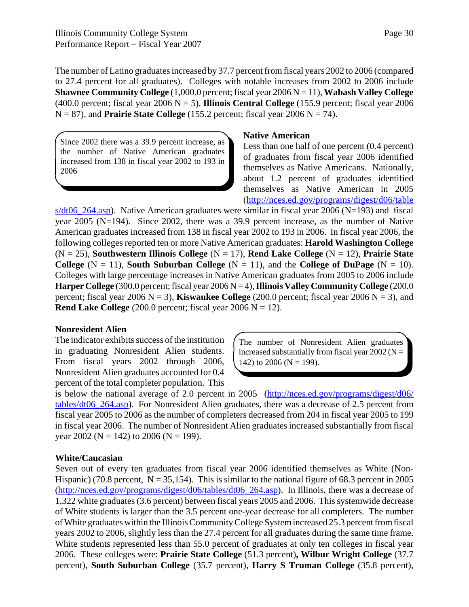The number of Latino graduates increased by 37.7 percent from fiscal years 2002 to 2006 (compared to 27.4 percent for all graduates). Colleges with notable increases from 2002 to 2006 include **Shawnee Community College** (1,000.0 percent; fiscal year 2006 N = 11), **Wabash Valley College** (400.0 percent; fiscal year 2006 N = 5), **Illinois Central College** (155.9 percent; fiscal year 2006  $N = 87$ ), and **Prairie State College** (155.2 percent; fiscal year 2006  $N = 74$ ).

Since 2002 there was a 39.9 percent increase, as the number of Native American graduates increased from 138 in fiscal year 2002 to 193 in 2006

#### **Native American**

Less than one half of one percent (0.4 percent) of graduates from fiscal year 2006 identified themselves as Native Americans. Nationally, about 1.2 percent of graduates identified themselves as Native American in 2005 (http://nces.ed.gov/programs/digest/d06/table

s/dt06\_264.asp). Native American graduates were similar in fiscal year 2006 (N=193) and fiscal year 2005 (N=194). Since 2002, there was a 39.9 percent increase, as the number of Native American graduates increased from 138 in fiscal year 2002 to 193 in 2006. In fiscal year 2006, the following colleges reported ten or more Native American graduates: **Harold Washington College** (N = 25), **Southwestern Illinois College** (N = 17), **Rend Lake College** (N = 12), **Prairie State College**  $(N = 11)$ , **South Suburban College**  $(N = 11)$ , and the **College** of **DuPage**  $(N = 10)$ . Colleges with large percentage increases in Native American graduates from 2005 to 2006 include **Harper College** (300.0 percent; fiscal year  $2006 N = 4$ ), **Illinois Valley Community College** (200.0) percent; fiscal year 2006  $N = 3$ ), **Kiswaukee College** (200.0 percent; fiscal year 2006  $N = 3$ ), and **Rend Lake College**  $(200.0 \text{ percent}; \text{fised year } 2006 \text{ N} = 12).$ 

#### **Nonresident Alien**

The indicator exhibits success of the institution in graduating Nonresident Alien students. From fiscal years 2002 through 2006, Nonresident Alien graduates accounted for 0.4 percent of the total completer population. This

The number of Nonresident Alien graduates increased substantially from fiscal year  $2002$  (N = 142) to 2006 ( $N = 199$ ).

is below the national average of 2.0 percent in 2005 (http://nces.ed.gov/programs/digest/d06/ tables/dt06\_264.asp). For Nonresident Alien graduates, there was a decrease of 2.5 percent from fiscal year 2005 to 2006 as the number of completers decreased from 204 in fiscal year 2005 to 199 in fiscal year 2006. The number of Nonresident Alien graduates increased substantially from fiscal year 2002 (N = 142) to 2006 (N = 199).

#### **White/Caucasian**

Seven out of every ten graduates from fiscal year 2006 identified themselves as White (Non-Hispanic) (70.8 percent,  $N = 35,154$ ). This is similar to the national figure of 68.3 percent in 2005 (http://nces.ed.gov/programs/digest/d06/tables/dt06\_264.asp). In Illinois, there was a decrease of 1,322 white graduates (3.6 percent) between fiscal years 2005 and 2006. This systemwide decrease of White students is larger than the 3.5 percent one-year decrease for all completers. The number of White graduates within the Illinois Community College System increased 25.3 percent from fiscal years 2002 to 2006, slightly less than the 27.4 percent for all graduates during the same time frame. White students represented less than 55.0 percent of graduates at only ten colleges in fiscal year 2006. These colleges were: **Prairie State College** (51.3 percent)**, Wilbur Wright College** (37.7 percent), **South Suburban College** (35.7 percent), **Harry S Truman College** (35.8 percent),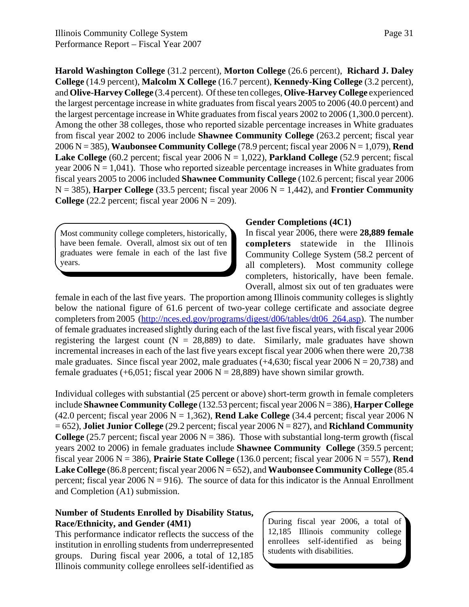**Harold Washington College** (31.2 percent), **Morton College** (26.6 percent), **Richard J. Daley College** (14.9 percent), **Malcolm X College** (16.7 percent), **Kennedy-King College** (3.2 percent), and **Olive-Harvey College** (3.4 percent). Of these ten colleges, **Olive-Harvey College** experienced the largest percentage increase in white graduates from fiscal years 2005 to 2006 (40.0 percent) and the largest percentage increase in White graduates from fiscal years 2002 to 2006 (1,300.0 percent). Among the other 38 colleges, those who reported sizable percentage increases in White graduates from fiscal year 2002 to 2006 include **Shawnee Community College** (263.2 percent; fiscal year 2006 N = 385), **Waubonsee Community College** (78.9 percent; fiscal year 2006 N = 1,079), **Rend Lake College**  $(60.2 \text{ percent}; \text{fised year } 2006 \text{ N} = 1,022)$ , **Parkland College**  $(52.9 \text{ percent}; \text{fised}]$ year  $2006 \text{ N} = 1,041$ . Those who reported sizeable percentage increases in White graduates from fiscal years 2005 to 2006 included **Shawnee Community College** (102.6 percent; fiscal year 2006  $N = 385$ ), **Harper College** (33.5 percent; fiscal year 2006  $N = 1,442$ ), and **Frontier Community College**  $(22.2 \text{ percent}; \text{fised year } 2006 \text{ N} = 209).$ 

Most community college completers, historically, have been female. Overall, almost six out of ten graduates were female in each of the last five years.

#### **Gender Completions (4C1)**

In fiscal year 2006, there were **28,889 female completers** statewide in the Illinois Community College System (58.2 percent of all completers). Most community college completers, historically, have been female. Overall, almost six out of ten graduates were

female in each of the last five years. The proportion among Illinois community colleges is slightly below the national figure of 61.6 percent of two-year college certificate and associate degree completers from 2005 (http://nces.ed.gov/programs/digest/d06/tables/dt06\_264.asp). The number of female graduates increased slightly during each of the last five fiscal years, with fiscal year 2006 registering the largest count  $(N = 28,889)$  to date. Similarly, male graduates have shown incremental increases in each of the last five years except fiscal year 2006 when there were 20,738 male graduates. Since fiscal year 2002, male graduates  $(+4,630)$ ; fiscal year 2006 N = 20,738) and female graduates (+6,051; fiscal year 2006 N = 28,889) have shown similar growth.

Individual colleges with substantial (25 percent or above) short-term growth in female completers include **Shawnee Community College** (132.53 percent; fiscal year 2006 N = 386), **Harper College** (42.0 percent; fiscal year 2006 N = 1,362), **Rend Lake College** (34.4 percent; fiscal year 2006 N = 652), **Joliet Junior College** (29.2 percent; fiscal year 2006 N = 827), and **Richland Community College** (25.7 percent; fiscal year 2006  $N = 386$ ). Those with substantial long-term growth (fiscal years 2002 to 2006) in female graduates include **Shawnee Community College** (359.5 percent; fiscal year 2006 N = 386), **Prairie State College** (136.0 percent; fiscal year 2006 N = 557), **Rend Lake College** (86.8 percent; fiscal year 2006 N = 652), and **Waubonsee Community College** (85.4 percent; fiscal year 2006  $N = 916$ ). The source of data for this indicator is the Annual Enrollment and Completion (A1) submission.

#### **Number of Students Enrolled by Disability Status, Race/Ethnicity, and Gender (4M1)**

This performance indicator reflects the success of the institution in enrolling students from underrepresented groups. During fiscal year 2006, a total of 12,185 Illinois community college enrollees self-identified as During fiscal year 2006, a total of 12,185 Illinois community college enrollees self-identified as being students with disabilities.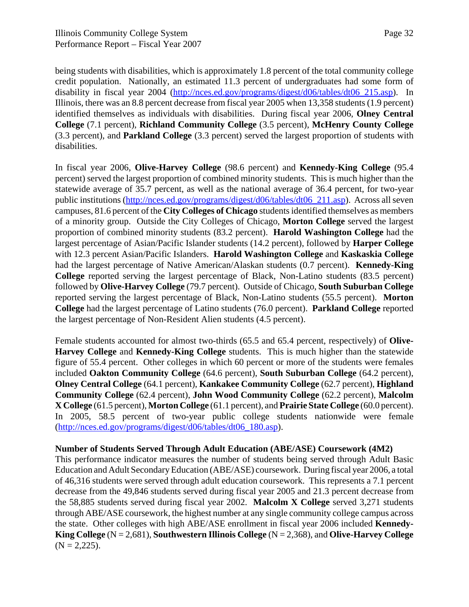Page 32

being students with disabilities, which is approximately 1.8 percent of the total community college credit population. Nationally, an estimated 11.3 percent of undergraduates had some form of disability in fiscal year 2004 (http://nces.ed.gov/programs/digest/d06/tables/dt06\_215.asp). In Illinois, there was an 8.8 percent decrease from fiscal year 2005 when 13,358 students (1.9 percent) identified themselves as individuals with disabilities. During fiscal year 2006, **Olney Central College** (7.1 percent), **Richland Community College** (3.5 percent), **McHenry County College** (3.3 percent), and **Parkland College** (3.3 percent) served the largest proportion of students with disabilities.

In fiscal year 2006, **Olive-Harvey College** (98.6 percent) and **Kennedy-King College** (95.4 percent) served the largest proportion of combined minority students. This is much higher than the statewide average of 35.7 percent, as well as the national average of 36.4 percent, for two-year public institutions (http://nces.ed.gov/programs/digest/d06/tables/dt06\_211.asp). Across all seven campuses, 81.6 percent of the **City Colleges of Chicago** students identified themselves as members of a minority group. Outside the City Colleges of Chicago, **Morton College** served the largest proportion of combined minority students (83.2 percent). **Harold Washington College** had the largest percentage of Asian/Pacific Islander students (14.2 percent), followed by **Harper College** with 12.3 percent Asian/Pacific Islanders. **Harold Washington College** and **Kaskaskia College** had the largest percentage of Native American/Alaskan students (0.7 percent). **Kennedy-King College** reported serving the largest percentage of Black, Non-Latino students (83.5 percent) followed by **Olive-Harvey College** (79.7 percent). Outside of Chicago, **South Suburban College** reported serving the largest percentage of Black, Non-Latino students (55.5 percent). **Morton College** had the largest percentage of Latino students (76.0 percent). **Parkland College** reported the largest percentage of Non-Resident Alien students (4.5 percent).

Female students accounted for almost two-thirds (65.5 and 65.4 percent, respectively) of **Olive-Harvey College** and **Kennedy-King College** students. This is much higher than the statewide figure of 55.4 percent. Other colleges in which 60 percent or more of the students were females included **Oakton Community College** (64.6 percent), **South Suburban College** (64.2 percent), **Olney Central College** (64.1 percent), **Kankakee Community College** (62.7 percent), **Highland Community College** (62.4 percent), **John Wood Community College** (62.2 percent), **Malcolm X College** (61.5 percent), **Morton College** (61.1 percent), and **Prairie State College** (60.0 percent). In 2005, 58.5 percent of two-year public college students nationwide were female (http://nces.ed.gov/programs/digest/d06/tables/dt06\_180.asp).

#### **Number of Students Served Through Adult Education (ABE/ASE) Coursework (4M2)**

This performance indicator measures the number of students being served through Adult Basic Education and Adult Secondary Education (ABE/ASE) coursework. During fiscal year 2006, a total of 46,316 students were served through adult education coursework. This represents a 7.1 percent decrease from the 49,846 students served during fiscal year 2005 and 21.3 percent decrease from the 58,885 students served during fiscal year 2002. **Malcolm X College** served 3,271 students through ABE/ASE coursework, the highest number at any single community college campus across the state. Other colleges with high ABE/ASE enrollment in fiscal year 2006 included **Kennedy-King College** (N = 2,681), **Southwestern Illinois College** (N = 2,368), and **Olive-Harvey College**  $(N = 2,225)$ .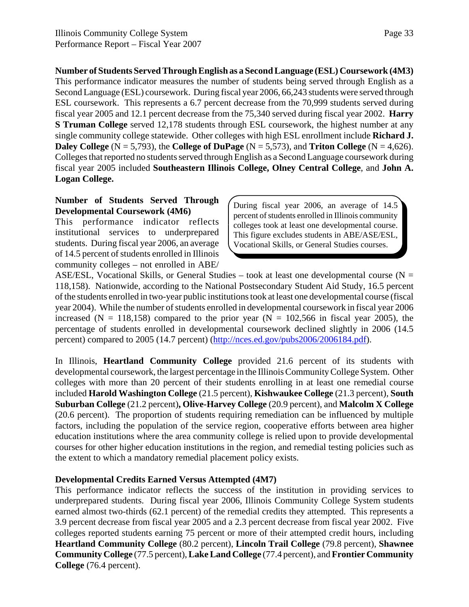**Number of Students Served Through English as a Second Language (ESL) Coursework (4M3)** This performance indicator measures the number of students being served through English as a Second Language (ESL) coursework. During fiscal year 2006, 66,243 students were served through ESL coursework. This represents a 6.7 percent decrease from the 70,999 students served during fiscal year 2005 and 12.1 percent decrease from the 75,340 served during fiscal year 2002. **Harry S Truman College** served 12,178 students through ESL coursework, the highest number at any single community college statewide. Other colleges with high ESL enrollment include **Richard J. Daley College**  $(N = 5,793)$ , the **College of DuPage**  $(N = 5,573)$ , and **Triton College**  $(N = 4,626)$ . Colleges that reported no students served through English as a Second Language coursework during fiscal year 2005 included **Southeastern Illinois College, Olney Central College**, and **John A. Logan College.** 

#### **Number of Students Served Through Developmental Coursework (4M6)**

This performance indicator reflects institutional services to underprepared students. During fiscal year 2006, an average of 14.5 percent of students enrolled in Illinois community colleges – not enrolled in ABE/ During fiscal year 2006, an average of 14.5 percent of students enrolled in Illinois community colleges took at least one developmental course. This figure excludes students in ABE/ASE/ESL, Vocational Skills, or General Studies courses.

ASE/ESL, Vocational Skills, or General Studies – took at least one developmental course ( $N =$ 118,158). Nationwide, according to the National Postsecondary Student Aid Study, 16.5 percent of the students enrolled in two-year public institutions took at least one developmental course (fiscal year 2004). While the number of students enrolled in developmental coursework in fiscal year 2006 increased (N = 118,158) compared to the prior year (N = 102,566 in fiscal year 2005), the percentage of students enrolled in developmental coursework declined slightly in 2006 (14.5 percent) compared to 2005 (14.7 percent) (http://nces.ed.gov/pubs2006/2006184.pdf).

In Illinois, **Heartland Community College** provided 21.6 percent of its students with developmental coursework, the largest percentage in the Illinois Community College System. Other colleges with more than 20 percent of their students enrolling in at least one remedial course included **Harold Washington College** (21.5 percent), **Kishwaukee College** (21.3 percent), **South Suburban College** (21.2 percent)**, Olive-Harvey College** (20.9 percent), and **Malcolm X College** (20.6 percent). The proportion of students requiring remediation can be influenced by multiple factors, including the population of the service region, cooperative efforts between area higher education institutions where the area community college is relied upon to provide developmental courses for other higher education institutions in the region, and remedial testing policies such as the extent to which a mandatory remedial placement policy exists.

#### **Developmental Credits Earned Versus Attempted (4M7)**

This performance indicator reflects the success of the institution in providing services to underprepared students. During fiscal year 2006, Illinois Community College System students earned almost two-thirds (62.1 percent) of the remedial credits they attempted. This represents a 3.9 percent decrease from fiscal year 2005 and a 2.3 percent decrease from fiscal year 2002. Five colleges reported students earning 75 percent or more of their attempted credit hours, including **Heartland Community College** (80.2 percent), **Lincoln Trail College** (79.8 percent), **Shawnee Community College** (77.5 percent), **Lake Land College** (77.4 percent), and **Frontier Community College** (76.4 percent).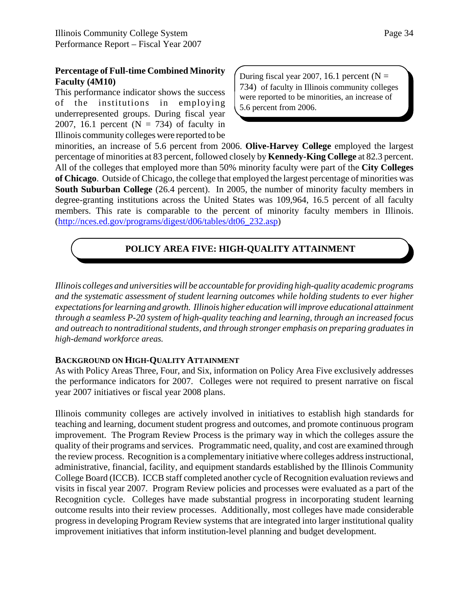#### **Percentage of Full-time Combined Minority Faculty (4M10)**

This performance indicator shows the success of the institutions in employing underrepresented groups. During fiscal year 2007, 16.1 percent  $(N = 734)$  of faculty in Illinois community colleges were reported to be During fiscal year 2007, 16.1 percent ( $N =$ 734) of faculty in Illinois community colleges were reported to be minorities, an increase of 5.6 percent from 2006.

minorities, an increase of 5.6 percent from 2006. **Olive-Harvey College** employed the largest percentage of minorities at 83 percent, followed closely by **Kennedy-King College** at 82.3 percent. All of the colleges that employed more than 50% minority faculty were part of the **City Colleges of Chicago**. Outside of Chicago, the college that employed the largest percentage of minorities was **South Suburban College** (26.4 percent). In 2005, the number of minority faculty members in degree-granting institutions across the United States was 109,964, 16.5 percent of all faculty members. This rate is comparable to the percent of minority faculty members in Illinois. (http://nces.ed.gov/programs/digest/d06/tables/dt06\_232.asp)

# **POLICY AREA FIVE: HIGH-QUALITY ATTAINMENT**

*Illinois colleges and universities will be accountable for providing high-quality academic programs and the systematic assessment of student learning outcomes while holding students to ever higher expectations for learning and growth. Illinois higher education will improve educational attainment through a seamless P-20 system of high-quality teaching and learning, through an increased focus and outreach to nontraditional students, and through stronger emphasis on preparing graduates in high-demand workforce areas.*

#### **BACKGROUND ON HIGH-QUALITY ATTAINMENT**

As with Policy Areas Three, Four, and Six, information on Policy Area Five exclusively addresses the performance indicators for 2007. Colleges were not required to present narrative on fiscal year 2007 initiatives or fiscal year 2008 plans.

Illinois community colleges are actively involved in initiatives to establish high standards for teaching and learning, document student progress and outcomes, and promote continuous program improvement. The Program Review Process is the primary way in which the colleges assure the quality of their programs and services. Programmatic need, quality, and cost are examined through the review process. Recognition is a complementary initiative where colleges address instructional, administrative, financial, facility, and equipment standards established by the Illinois Community College Board (ICCB). ICCB staff completed another cycle of Recognition evaluation reviews and visits in fiscal year 2007. Program Review policies and processes were evaluated as a part of the Recognition cycle. Colleges have made substantial progress in incorporating student learning outcome results into their review processes. Additionally, most colleges have made considerable progress in developing Program Review systems that are integrated into larger institutional quality improvement initiatives that inform institution-level planning and budget development.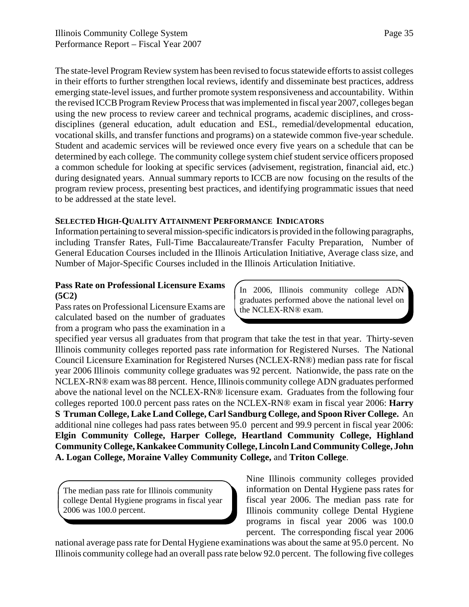The state-level Program Review system has been revised to focus statewide efforts to assist colleges in their efforts to further strengthen local reviews, identify and disseminate best practices, address emerging state-level issues, and further promote system responsiveness and accountability. Within the revised ICCB Program Review Process that was implemented in fiscal year 2007, colleges began using the new process to review career and technical programs, academic disciplines, and crossdisciplines (general education, adult education and ESL, remedial/developmental education, vocational skills, and transfer functions and programs) on a statewide common five-year schedule. Student and academic services will be reviewed once every five years on a schedule that can be determined by each college. The community college system chief student service officers proposed a common schedule for looking at specific services (advisement, registration, financial aid, etc.) during designated years. Annual summary reports to ICCB are now focusing on the results of the program review process, presenting best practices, and identifying programmatic issues that need to be addressed at the state level.

### **SELECTED HIGH-QUALITY ATTAINMENT PERFORMANCE INDICATORS**

Information pertaining to several mission-specific indicators is provided in the following paragraphs, including Transfer Rates, Full-Time Baccalaureate/Transfer Faculty Preparation, Number of General Education Courses included in the Illinois Articulation Initiative, Average class size, and Number of Major-Specific Courses included in the Illinois Articulation Initiative.

### **Pass Rate on Professional Licensure Exams (5C2)**

Pass rates on Professional Licensure Exams are calculated based on the number of graduates from a program who pass the examination in a In 2006, Illinois community college ADN graduates performed above the national level on the NCLEX-RN® exam.

specified year versus all graduates from that program that take the test in that year. Thirty-seven Illinois community colleges reported pass rate information for Registered Nurses. The National Council Licensure Examination for Registered Nurses (NCLEX-RN®) median pass rate for fiscal year 2006 Illinois community college graduates was 92 percent. Nationwide, the pass rate on the NCLEX-RN® exam was 88 percent. Hence, Illinois community college ADN graduates performed above the national level on the NCLEX-RN® licensure exam. Graduates from the following four colleges reported 100.0 percent pass rates on the NCLEX-RN® exam in fiscal year 2006: **Harry S Truman College, Lake Land College, Carl Sandburg College, and Spoon River College.** An additional nine colleges had pass rates between 95.0 percent and 99.9 percent in fiscal year 2006: **Elgin Community College, Harper College, Heartland Community College, Highland Community College, Kankakee Community College, Lincoln Land Community College, John A. Logan College, Moraine Valley Community College,** and **Triton College**.

The median pass rate for Illinois community college Dental Hygiene programs in fiscal year 2006 was 100.0 percent.

Nine Illinois community colleges provided information on Dental Hygiene pass rates for fiscal year 2006. The median pass rate for Illinois community college Dental Hygiene programs in fiscal year 2006 was 100.0 percent. The corresponding fiscal year 2006

national average pass rate for Dental Hygiene examinations was about the same at 95.0 percent. No Illinois community college had an overall pass rate below 92.0 percent. The following five colleges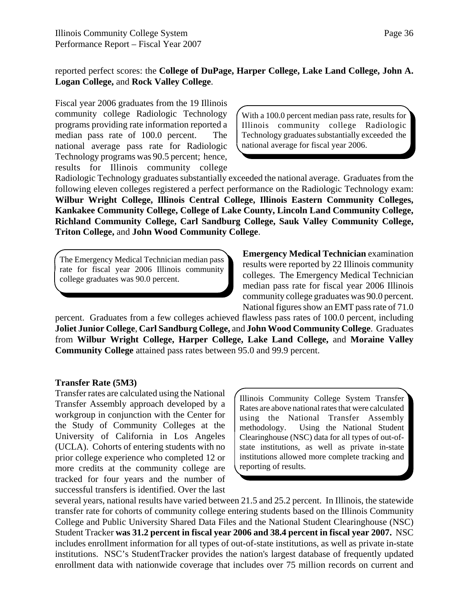### reported perfect scores: the **College of DuPage, Harper College, Lake Land College, John A. Logan College,** and **Rock Valley College**.

Fiscal year 2006 graduates from the 19 Illinois community college Radiologic Technology programs providing rate information reported a median pass rate of 100.0 percent. The national average pass rate for Radiologic Technology programs was 90.5 percent; hence, results for Illinois community college

With a 100.0 percent median pass rate, results for Illinois community college Radiologic Technology graduates substantially exceeded the national average for fiscal year 2006.

Radiologic Technology graduates substantially exceeded the national average. Graduates from the following eleven colleges registered a perfect performance on the Radiologic Technology exam: **Wilbur Wright College, Illinois Central College, Illinois Eastern Community Colleges, Kankakee Community College, College of Lake County, Lincoln Land Community College, Richland Community College, Carl Sandburg College, Sauk Valley Community College, Triton College,** and **John Wood Community College**.

The Emergency Medical Technician median pass rate for fiscal year 2006 Illinois community college graduates was 90.0 percent.

**Emergency Medical Technician** examination results were reported by 22 Illinois community colleges. The Emergency Medical Technician median pass rate for fiscal year 2006 Illinois community college graduates was 90.0 percent. National figures show an EMT pass rate of 71.0

percent. Graduates from a few colleges achieved flawless pass rates of 100.0 percent, including **Joliet Junior College**, **Carl Sandburg College,** and **John Wood Community College**. Graduates from **Wilbur Wright College, Harper College, Lake Land College,** and **Moraine Valley Community College** attained pass rates between 95.0 and 99.9 percent.

#### **Transfer Rate (5M3)**

Transfer rates are calculated using the National Transfer Assembly approach developed by a workgroup in conjunction with the Center for the Study of Community Colleges at the University of California in Los Angeles (UCLA). Cohorts of entering students with no prior college experience who completed 12 or more credits at the community college are tracked for four years and the number of successful transfers is identified. Over the last

Illinois Community College System Transfer Rates are above national rates that were calculated using the National Transfer Assembly methodology. Using the National Student Clearinghouse (NSC) data for all types of out-ofstate institutions, as well as private in-state institutions allowed more complete tracking and reporting of results.

several years, national results have varied between 21.5 and 25.2 percent. In Illinois, the statewide transfer rate for cohorts of community college entering students based on the Illinois Community College and Public University Shared Data Files and the National Student Clearinghouse (NSC) Student Tracker **was 31.2 percent in fiscal year 2006 and 38.4 percent in fiscal year 2007.** NSC includes enrollment information for all types of out-of-state institutions, as well as private in-state institutions. NSC's StudentTracker provides the nation's largest database of frequently updated enrollment data with nationwide coverage that includes over 75 million records on current and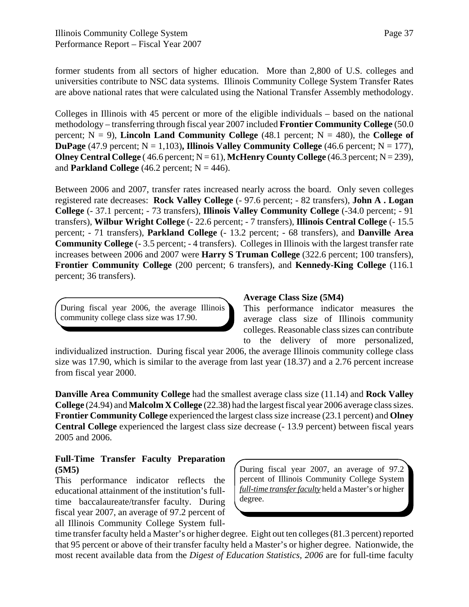former students from all sectors of higher education. More than 2,800 of U.S. colleges and universities contribute to NSC data systems. Illinois Community College System Transfer Rates are above national rates that were calculated using the National Transfer Assembly methodology.

Colleges in Illinois with 45 percent or more of the eligible individuals – based on the national methodology – transferring through fiscal year 2007 included **Frontier Community College** (50.0 percent;  $N = 9$ ), **Lincoln Land Community College** (48.1 percent;  $N = 480$ ), the **College** of **DuPage** (47.9 percent;  $N = 1,103$ ), Illinois Valley Community College (46.6 percent;  $N = 177$ ), **Olney Central College** (46.6 percent;  $N = 61$ ), **McHenry County College** (46.3 percent;  $N = 239$ ), and **Parkland College**  $(46.2 \text{ percent}; N = 446)$ .

Between 2006 and 2007, transfer rates increased nearly across the board. Only seven colleges registered rate decreases: **Rock Valley College** (- 97.6 percent; - 82 transfers), **John A . Logan College** (- 37.1 percent; - 73 transfers), **Illinois Valley Community College** (-34.0 percent; - 91 transfers), **Wilbur Wright College** (- 22.6 percent; - 7 transfers), **Illinois Central College** (- 15.5 percent; - 71 transfers), **Parkland College** (- 13.2 percent; - 68 transfers), and **Danville Area Community College** (- 3.5 percent; - 4 transfers). Colleges in Illinois with the largest transfer rate increases between 2006 and 2007 were **Harry S Truman College** (322.6 percent; 100 transfers), **Frontier Community College** (200 percent; 6 transfers), and **Kennedy-King College** (116.1 percent; 36 transfers).

During fiscal year 2006, the average Illinois community college class size was 17.90.

### **Average Class Size (5M4)**

This performance indicator measures the average class size of Illinois community colleges. Reasonable class sizes can contribute to the delivery of more personalized,

individualized instruction. During fiscal year 2006, the average Illinois community college class size was 17.90, which is similar to the average from last year (18.37) and a 2.76 percent increase from fiscal year 2000.

**Danville Area Community College** had the smallest average class size (11.14) and **Rock Valley College** (24.94) and **Malcolm X College** (22.38) had the largest fiscal year 2006 average class sizes. **Frontier Community College** experienced the largest class size increase (23.1 percent) and **Olney Central College** experienced the largest class size decrease (- 13.9 percent) between fiscal years 2005 and 2006.

### **Full-Time Transfer Faculty Preparation (5M5)**

This performance indicator reflects the educational attainment of the institution's fulltime baccalaureate/transfer faculty. During fiscal year 2007, an average of 97.2 percent of all Illinois Community College System full-

During fiscal year 2007, an average of 97.2 percent of Illinois Community College System *full-time transfer faculty* held a Master's or higher degree.

time transfer faculty held a Master's or higher degree. Eight out ten colleges (81.3 percent) reported that 95 percent or above of their transfer faculty held a Master's or higher degree. Nationwide, the most recent available data from the *Digest of Education Statistics, 2006* are for full-time faculty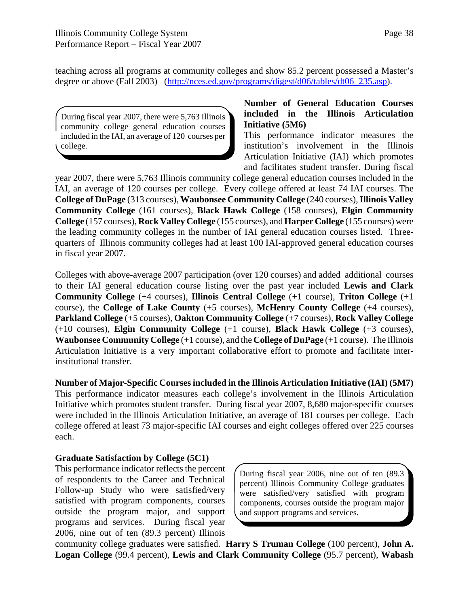teaching across all programs at community colleges and show 85.2 percent possessed a Master's degree or above (Fall 2003) (http://nces.ed.gov/programs/digest/d06/tables/dt06 235.asp).

During fiscal year 2007, there were 5,763 Illinois community college general education courses included in the IAI, an average of 120 courses per college.

**Number of General Education Courses included in the Illinois Articulation Initiative (5M6)**

This performance indicator measures the institution's involvement in the Illinois Articulation Initiative (IAI) which promotes and facilitates student transfer. During fiscal

year 2007, there were 5,763 Illinois community college general education courses included in the IAI, an average of 120 courses per college. Every college offered at least 74 IAI courses. The **College of DuPage** (313 courses), **Waubonsee Community College** (240 courses), **Illinois Valley Community College** (161 courses), **Black Hawk College** (158 courses), **Elgin Community College** (157 courses), **Rock Valley College** (155 courses), and **Harper College** (155 courses) were the leading community colleges in the number of IAI general education courses listed. Threequarters of Illinois community colleges had at least 100 IAI-approved general education courses in fiscal year 2007.

Colleges with above-average 2007 participation (over 120 courses) and added additional courses to their IAI general education course listing over the past year included **Lewis and Clark Community College** (+4 courses), **Illinois Central College** (+1 course), **Triton College** (+1 course), the **College of Lake County** (+5 courses), **McHenry County College** (+4 courses), **Parkland College** (+5 courses), **Oakton Community College** (+7 courses), **Rock Valley College** (+10 courses), **Elgin Community College** (+1 course), **Black Hawk College** (+3 courses), **Waubonsee Community College** (+1 course), and the **College of DuPage** (+1 course). The Illinois Articulation Initiative is a very important collaborative effort to promote and facilitate interinstitutional transfer.

**Number of Major-Specific Courses included in the Illinois Articulation Initiative (IAI) (5M7)** This performance indicator measures each college's involvement in the Illinois Articulation Initiative which promotes student transfer. During fiscal year 2007, 8,680 major-specific courses were included in the Illinois Articulation Initiative, an average of 181 courses per college. Each college offered at least 73 major-specific IAI courses and eight colleges offered over 225 courses each.

### **Graduate Satisfaction by College (5C1)**

This performance indicator reflects the percent of respondents to the Career and Technical Follow-up Study who were satisfied/very satisfied with program components, courses outside the program major, and support programs and services. During fiscal year 2006, nine out of ten (89.3 percent) Illinois

During fiscal year 2006, nine out of ten (89.3 percent) Illinois Community College graduates were satisfied/very satisfied with program components, courses outside the program major and support programs and services.

community college graduates were satisfied. **Harry S Truman College** (100 percent), **John A. Logan College** (99.4 percent), **Lewis and Clark Community College** (95.7 percent), **Wabash**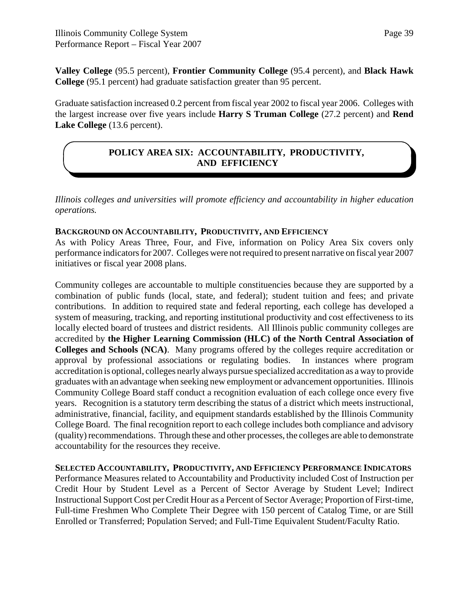**Valley College** (95.5 percent), **Frontier Community College** (95.4 percent), and **Black Hawk College** (95.1 percent) had graduate satisfaction greater than 95 percent.

Graduate satisfaction increased 0.2 percent from fiscal year 2002 to fiscal year 2006. Colleges with the largest increase over five years include **Harry S Truman College** (27.2 percent) and **Rend** Lake College (13.6 percent).

# **POLICY AREA SIX: ACCOUNTABILITY, PRODUCTIVITY, AND EFFICIENCY**

*Illinois colleges and universities will promote efficiency and accountability in higher education operations.*

### **BACKGROUND ON ACCOUNTABILITY, PRODUCTIVITY, AND EFFICIENCY**

As with Policy Areas Three, Four, and Five, information on Policy Area Six covers only performance indicators for 2007. Colleges were not required to present narrative on fiscal year 2007 initiatives or fiscal year 2008 plans.

Community colleges are accountable to multiple constituencies because they are supported by a combination of public funds (local, state, and federal); student tuition and fees; and private contributions. In addition to required state and federal reporting, each college has developed a system of measuring, tracking, and reporting institutional productivity and cost effectiveness to its locally elected board of trustees and district residents. All Illinois public community colleges are accredited by **the Higher Learning Commission (HLC) of the North Central Association of Colleges and Schools (NCA)**. Many programs offered by the colleges require accreditation or approval by professional associations or regulating bodies. In instances where program accreditation is optional, colleges nearly always pursue specialized accreditation as a way to provide graduates with an advantage when seeking new employment or advancement opportunities. Illinois Community College Board staff conduct a recognition evaluation of each college once every five years. Recognition is a statutory term describing the status of a district which meets instructional, administrative, financial, facility, and equipment standards established by the Illinois Community College Board. The final recognition report to each college includes both compliance and advisory (quality) recommendations. Through these and other processes, the colleges are able to demonstrate accountability for the resources they receive.

**SELECTED ACCOUNTABILITY, PRODUCTIVITY, AND EFFICIENCY PERFORMANCE INDICATORS** Performance Measures related to Accountability and Productivity included Cost of Instruction per Credit Hour by Student Level as a Percent of Sector Average by Student Level; Indirect Instructional Support Cost per Credit Hour as a Percent of Sector Average; Proportion of First-time, Full-time Freshmen Who Complete Their Degree with 150 percent of Catalog Time, or are Still Enrolled or Transferred; Population Served; and Full-Time Equivalent Student/Faculty Ratio.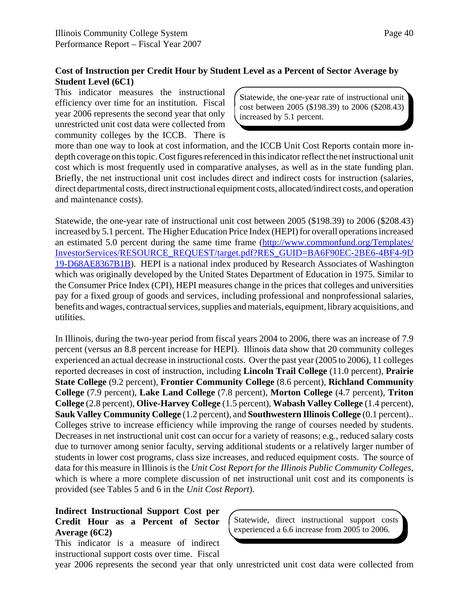### **Cost of Instruction per Credit Hour by Student Level as a Percent of Sector Average by Student Level (6C1)**

This indicator measures the instructional efficiency over time for an institution. Fiscal year 2006 represents the second year that only unrestricted unit cost data were collected from community colleges by the ICCB. There is

Statewide, the one-year rate of instructional unit cost between 2005 (\$198.39) to 2006 (\$208.43) increased by 5.1 percent.

more than one way to look at cost information, and the ICCB Unit Cost Reports contain more indepth coverage on this topic. Cost figures referenced in this indicator reflect the net instructional unit cost which is most frequently used in comparative analyses, as well as in the state funding plan. Briefly, the net instructional unit cost includes direct and indirect costs for instruction (salaries, direct departmental costs, direct instructional equipment costs, allocated/indirect costs, and operation and maintenance costs).

Statewide, the one-year rate of instructional unit cost between 2005 (\$198.39) to 2006 (\$208.43) increased by 5.1 percent. The Higher Education Price Index (HEPI) for overall operations increased an estimated 5.0 percent during the same time frame (http://www.commonfund.org/Templates/ InvestorServices/RESOURCE\_REQUEST/target.pdf?RES\_GUID=BA6F90EC-2BE6-4BF4-9D 19-D68AE8367B1B). HEPI is a national index produced by Research Associates of Washington which was originally developed by the United States Department of Education in 1975. Similar to the Consumer Price Index (CPI), HEPI measures change in the prices that colleges and universities pay for a fixed group of goods and services, including professional and nonprofessional salaries, benefits and wages, contractual services, supplies and materials, equipment, library acquisitions, and utilities.

In Illinois, during the two-year period from fiscal years 2004 to 2006, there was an increase of 7.9 percent (versus an 8.8 percent increase for HEPI). Illinois data show that 20 community colleges experienced an actual decrease in instructional costs. Over the past year (2005 to 2006), 11 colleges reported decreases in cost of instruction, including **Lincoln Trail College** (11.0 percent), **Prairie State College** (9.2 percent), **Frontier Community College** (8.6 percent), **Richland Community College** (7.9 percent), **Lake Land College** (7.8 percent), **Morton College** (4.7 percent), **Triton College** (2.8 percent), **Olive-Harvey College** (1.5 percent), **Wabash Valley College** (1.4 percent), **Sauk Valley Community College** (1.2 percent), and **Southwestern Illinois College** (0.1 percent).. Colleges strive to increase efficiency while improving the range of courses needed by students. Decreases in net instructional unit cost can occur for a variety of reasons; e.g., reduced salary costs due to turnover among senior faculty, serving additional students or a relatively larger number of students in lower cost programs, class size increases, and reduced equipment costs. The source of data for this measure in Illinois is the *Unit Cost Report for the Illinois Public Community Colleges*, which is where a more complete discussion of net instructional unit cost and its components is provided (see Tables 5 and 6 in the *Unit Cost Report*).

### **Indirect Instructional Support Cost per Credit Hour as a Percent of Sector Average (6C2)**

This indicator is a measure of indirect instructional support costs over time. Fiscal Statewide, direct instructional support costs experienced a 6.6 increase from 2005 to 2006.

year 2006 represents the second year that only unrestricted unit cost data were collected from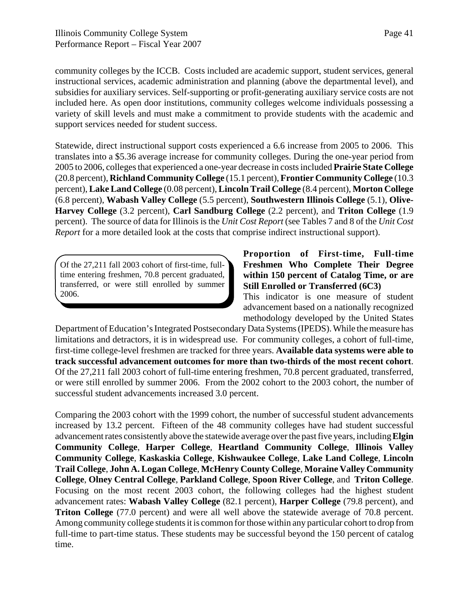community colleges by the ICCB. Costs included are academic support, student services, general instructional services, academic administration and planning (above the departmental level), and subsidies for auxiliary services. Self-supporting or profit-generating auxiliary service costs are not included here. As open door institutions, community colleges welcome individuals possessing a variety of skill levels and must make a commitment to provide students with the academic and support services needed for student success.

Statewide, direct instructional support costs experienced a 6.6 increase from 2005 to 2006. This translates into a \$5.36 average increase for community colleges. During the one-year period from 2005 to 2006, colleges that experienced a one-year decrease in costs included **Prairie State College** (20.8 percent), **Richland Community College** (15.1 percent), **Frontier Community College** (10.3 percent), **Lake Land College** (0.08 percent), **Lincoln Trail College** (8.4 percent), **Morton College** (6.8 percent), **Wabash Valley College** (5.5 percent), **Southwestern Illinois College** (5.1), **Olive-Harvey College** (3.2 percent), **Carl Sandburg College** (2.2 percent), and **Triton College** (1.9 percent). The source of data for Illinois is the *Unit Cost Report* (see Tables 7 and 8 of the *Unit Cost Report* for a more detailed look at the costs that comprise indirect instructional support).

Of the 27,211 fall 2003 cohort of first-time, fulltime entering freshmen, 70.8 percent graduated, transferred, or were still enrolled by summer 2006.

### **Proportion of First-time, Full-time Freshmen Who Complete Their Degree within 150 percent of Catalog Time, or are Still Enrolled or Transferred (6C3)**

This indicator is one measure of student advancement based on a nationally recognized methodology developed by the United States

Department of Education's Integrated Postsecondary Data Systems (IPEDS). While the measure has limitations and detractors, it is in widespread use. For community colleges, a cohort of full-time, first-time college-level freshmen are tracked for three years. **Available data systems were able to track successful advancement outcomes for more than two-thirds of the most recent cohort**. Of the 27,211 fall 2003 cohort of full-time entering freshmen, 70.8 percent graduated, transferred, or were still enrolled by summer 2006. From the 2002 cohort to the 2003 cohort, the number of successful student advancements increased 3.0 percent.

Comparing the 2003 cohort with the 1999 cohort, the number of successful student advancements increased by 13.2 percent. Fifteen of the 48 community colleges have had student successful advancement rates consistently above the statewide average over the past five years, including **Elgin Community College**, **Harper College**, **Heartland Community College**, **Illinois Valley Community College**, **Kaskaskia College**, **Kishwaukee College**, **Lake Land College**, **Lincoln Trail College**, **John A. Logan College**, **McHenry County College**, **Moraine Valley Community College**, **Olney Central College**, **Parkland College**, **Spoon River College**, and **Triton College**. Focusing on the most recent 2003 cohort, the following colleges had the highest student advancement rates: **Wabash Valley College** (82.1 percent), **Harper College** (79.8 percent), and **Triton College** (77.0 percent) and were all well above the statewide average of 70.8 percent. Among community college students it is common for those within any particular cohort to drop from full-time to part-time status. These students may be successful beyond the 150 percent of catalog time.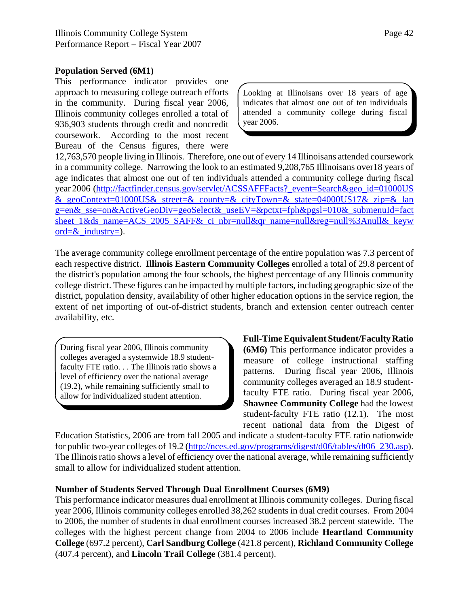#### **Population Served (6M1)**

This performance indicator provides one approach to measuring college outreach efforts in the community. During fiscal year 2006, Illinois community colleges enrolled a total of 936,903 students through credit and noncredit coursework. According to the most recent Bureau of the Census figures, there were

Looking at Illinoisans over 18 years of age indicates that almost one out of ten individuals attended a community college during fiscal year 2006.

12,763,570 people living in Illinois. Therefore, one out of every 14 Illinoisans attended coursework in a community college. Narrowing the look to an estimated 9,208,765 Illinoisans over18 years of age indicates that almost one out of ten individuals attended a community college during fiscal year 2006 (http://factfinder.census.gov/servlet/ACSSAFFFacts?\_event=Search&geo\_id=01000US & geoContext=01000US& street=& county=& cityTown=& state=04000US17& zip=& lan g=en&\_sse=on&ActiveGeoDiv=geoSelect&\_useEV=&pctxt=fph&pgsl=010&\_submenuId=fact sheet 1&ds\_name=ACS\_2005\_SAFF&\_ci\_nbr=null&qr\_name=null&reg=null%3Anull&\_keyw ord= $\&$  industry=).

The average community college enrollment percentage of the entire population was 7.3 percent of each respective district. **Illinois Eastern Community Colleges** enrolled a total of 29.8 percent of the district's population among the four schools, the highest percentage of any Illinois community college district. These figures can be impacted by multiple factors, including geographic size of the district, population density, availability of other higher education options in the service region, the extent of net importing of out-of-district students, branch and extension center outreach center availability, etc.

During fiscal year 2006, Illinois community colleges averaged a systemwide 18.9 studentfaculty FTE ratio. . . The Illinois ratio shows a level of efficiency over the national average (19.2), while remaining sufficiently small to allow for individualized student attention.

**Full-Time Equivalent Student/Faculty Ratio (6M6)** This performance indicator provides a measure of college instructional staffing patterns. During fiscal year 2006, Illinois community colleges averaged an 18.9 studentfaculty FTE ratio. During fiscal year 2006, **Shawnee Community College** had the lowest student-faculty FTE ratio (12.1). The most recent national data from the Digest of

Education Statistics, 2006 are from fall 2005 and indicate a student-faculty FTE ratio nationwide for public two-year colleges of 19.2 (http://nces.ed.gov/programs/digest/d06/tables/dt06\_230.asp). The Illinois ratio shows a level of efficiency over the national average, while remaining sufficiently small to allow for individualized student attention.

### **Number of Students Served Through Dual Enrollment Courses (6M9)**

This performance indicator measures dual enrollment at Illinois community colleges. During fiscal year 2006, Illinois community colleges enrolled 38,262 students in dual credit courses. From 2004 to 2006, the number of students in dual enrollment courses increased 38.2 percent statewide. The colleges with the highest percent change from 2004 to 2006 include **Heartland Community College** (697.2 percent), **Carl Sandburg College** (421.8 percent), **Richland Community College** (407.4 percent), and **Lincoln Trail College** (381.4 percent).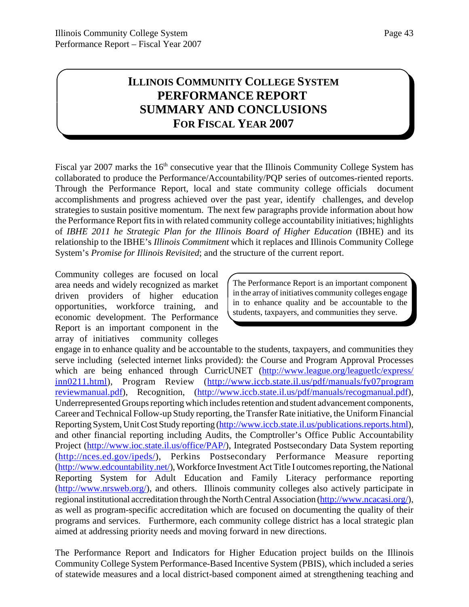# **ILLINOIS COMMUNITY COLLEGE SYSTEM PERFORMANCE REPORT SUMMARY AND CONCLUSIONS FOR FISCAL YEAR 2007**

Fiscal yar 2007 marks the  $16<sup>th</sup>$  consecutive year that the Illinois Community College System has collaborated to produce the Performance/Accountability/PQP series of outcomes-riented reports. Through the Performance Report, local and state community college officials document accomplishments and progress achieved over the past year, identify challenges, and develop strategies to sustain positive momentum. The next few paragraphs provide information about how the Performance Report fits in with related community college accountability initiatives; highlights of *IBHE 2011 he Strategic Plan for the Illinois Board of Higher Education* (IBHE) and its relationship to the IBHE's *Illinois Commitment* which it replaces and Illinois Community College System's *Promise for Illinois Revisited*; and the structure of the current report.

Community colleges are focused on local area needs and widely recognized as market driven providers of higher education opportunities, workforce training, and economic development. The Performance Report is an important component in the array of initiatives community colleges

The Performance Report is an important component in the array of initiatives community colleges engage in to enhance quality and be accountable to the students, taxpayers, and communities they serve.

engage in to enhance quality and be accountable to the students, taxpayers, and communities they serve including (selected internet links provided): the Course and Program Approval Processes which are being enhanced through CurricUNET (http://www.league.org/leaguetlc/express/ inn0211.html), Program Review (http://www.iccb.state.il.us/pdf/manuals/fy07program reviewmanual.pdf), Recognition, (http://www.iccb.state.il.us/pdf/manuals/recogmanual.pdf), Underrepresented Groups reporting which includes retention and student advancement components, Career and Technical Follow-up Study reporting, the Transfer Rate initiative, the Uniform Financial Reporting System, Unit Cost Study reporting (http://www.iccb.state.il.us/publications.reports.html), and other financial reporting including Audits, the Comptroller's Office Public Accountability Project (http://www.ioc.state.il.us/office/PAP/), Integrated Postsecondary Data System reporting (http://nces.ed.gov/ipeds/), Perkins Postsecondary Performance Measure reporting (http://www.edcountability.net/), Workforce Investment Act Title I outcomes reporting, the National Reporting System for Adult Education and Family Literacy performance reporting (http://www.nrsweb.org/), and others. Illinois community colleges also actively participate in regional institutional accreditation through the North Central Association (http://www.ncacasi.org/), as well as program-specific accreditation which are focused on documenting the quality of their programs and services. Furthermore, each community college district has a local strategic plan aimed at addressing priority needs and moving forward in new directions.

The Performance Report and Indicators for Higher Education project builds on the Illinois Community College System Performance-Based Incentive System (PBIS), which included a series of statewide measures and a local district-based component aimed at strengthening teaching and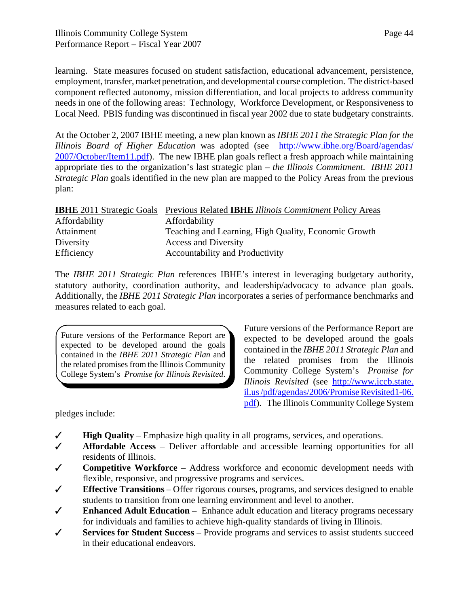learning. State measures focused on student satisfaction, educational advancement, persistence, employment, transfer, market penetration, and developmental course completion. The district-based component reflected autonomy, mission differentiation, and local projects to address community needs in one of the following areas: Technology, Workforce Development, or Responsiveness to Local Need. PBIS funding was discontinued in fiscal year 2002 due to state budgetary constraints.

At the October 2, 2007 IBHE meeting, a new plan known as *IBHE 2011 the Strategic Plan for the Illinois Board of Higher Education* was adopted (see http://www.ibhe.org/Board/agendas/ 2007/October/Item11.pdf). The new IBHE plan goals reflect a fresh approach while maintaining appropriate ties to the organization's last strategic plan – *the Illinois Commitment*. *IBHE 2011 Strategic Plan* goals identified in the new plan are mapped to the Policy Areas from the previous plan:

|               | <b>IBHE</b> 2011 Strategic Goals Previous Related <b>IBHE</b> Illinois Commitment Policy Areas |
|---------------|------------------------------------------------------------------------------------------------|
| Affordability | Affordability                                                                                  |
| Attainment    | Teaching and Learning, High Quality, Economic Growth                                           |
| Diversity     | <b>Access and Diversity</b>                                                                    |
| Efficiency    | Accountability and Productivity                                                                |

The *IBHE 2011 Strategic Plan* references IBHE's interest in leveraging budgetary authority, statutory authority, coordination authority, and leadership/advocacy to advance plan goals. Additionally, the *IBHE 2011 Strategic Plan* incorporates a series of performance benchmarks and measures related to each goal.

Future versions of the Performance Report are expected to be developed around the goals contained in the *IBHE 2011 Strategic Plan* and the related promises from the Illinois Community College System's *Promise for Illinois Revisited*.

pledges include:

Future versions of the Performance Report are expected to be developed around the goals contained in the *IBHE 2011 Strategic Plan* and the related promises from the Illinois Community College System's *Promise for Illinois Revisited* (see http://www.iccb.state. il.us /pdf/agendas/2006/Promise Revisited1-06. pdf). The Illinois Community College System

- $\checkmark$  **High Quality** Emphasize high quality in all programs, services, and operations.
- T **Affordable Access** Deliver affordable and accessible learning opportunities for all residents of Illinois.
- T **Competitive Workforce** Address workforce and economic development needs with flexible, responsive, and progressive programs and services.
- T **Effective Transitions** Offer rigorous courses, programs, and services designed to enable students to transition from one learning environment and level to another.
- T **Enhanced Adult Education** Enhance adult education and literacy programs necessary for individuals and families to achieve high-quality standards of living in Illinois.
- T **Services for Student Success** Provide programs and services to assist students succeed in their educational endeavors.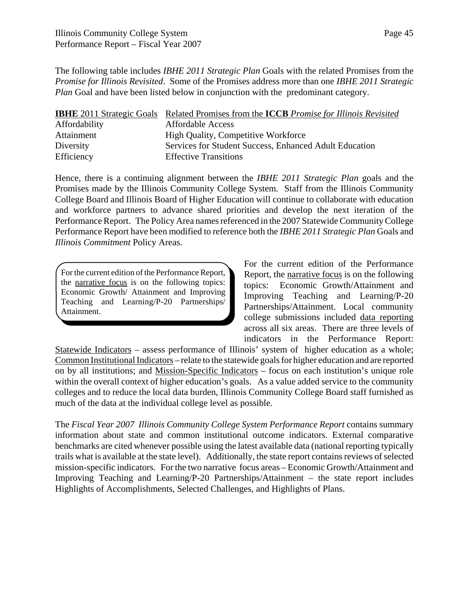The following table includes *IBHE 2011 Strategic Plan* Goals with the related Promises from the *Promise for Illinois Revisited*. Some of the Promises address more than one *IBHE 2011 Strategic Plan* Goal and have been listed below in conjunction with the predominant category.

|               | <b>IBHE</b> 2011 Strategic Goals Related Promises from the <b>ICCB</b> Promise for Illinois Revisited |
|---------------|-------------------------------------------------------------------------------------------------------|
| Affordability | <b>Affordable Access</b>                                                                              |
| Attainment    | <b>High Quality, Competitive Workforce</b>                                                            |
| Diversity     | Services for Student Success, Enhanced Adult Education                                                |
| Efficiency    | <b>Effective Transitions</b>                                                                          |

Hence, there is a continuing alignment between the *IBHE 2011 Strategic Plan* goals and the Promises made by the Illinois Community College System. Staff from the Illinois Community College Board and Illinois Board of Higher Education will continue to collaborate with education and workforce partners to advance shared priorities and develop the next iteration of the Performance Report. The Policy Area names referenced in the 2007 Statewide Community College Performance Report have been modified to reference both the *IBHE 2011 Strategic Plan* Goals and *Illinois Commitment* Policy Areas.

For the current edition of the Performance Report, the narrative focus is on the following topics: Economic Growth/ Attainment and Improving Teaching and Learning/P-20 Partnerships/ Attainment.

For the current edition of the Performance Report, the narrative focus is on the following topics: Economic Growth/Attainment and Improving Teaching and Learning/P-20 Partnerships/Attainment. Local community college submissions included data reporting across all six areas. There are three levels of indicators in the Performance Report:

Statewide Indicators – assess performance of Illinois' system of higher education as a whole; Common Institutional Indicators – relate to the statewide goals for higher education and are reported on by all institutions; and Mission-Specific Indicators – focus on each institution's unique role within the overall context of higher education's goals. As a value added service to the community colleges and to reduce the local data burden, Illinois Community College Board staff furnished as much of the data at the individual college level as possible.

The *Fiscal Year 2007 Illinois Community College System Performance Report* contains summary information about state and common institutional outcome indicators. External comparative benchmarks are cited whenever possible using the latest available data (national reporting typically trails what is available at the state level). Additionally, the state report contains reviews of selected mission-specific indicators. For the two narrative focus areas – Economic Growth/Attainment and Improving Teaching and Learning/P-20 Partnerships/Attainment – the state report includes Highlights of Accomplishments, Selected Challenges, and Highlights of Plans.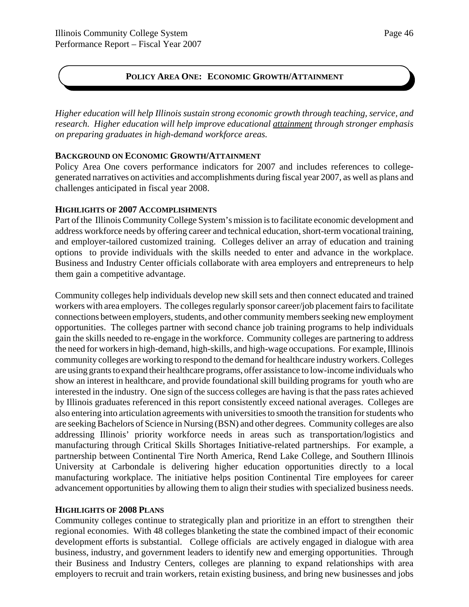# **POLICY AREA ONE: ECONOMIC GROWTH/ATTAINMENT**

*Higher education will help Illinois sustain strong economic growth through teaching, service, and research. Higher education will help improve educational attainment through stronger emphasis on preparing graduates in high-demand workforce areas.*

### **BACKGROUND ON ECONOMIC GROWTH/ATTAINMENT**

Policy Area One covers performance indicators for 2007 and includes references to collegegenerated narratives on activities and accomplishments during fiscal year 2007, as well as plans and challenges anticipated in fiscal year 2008.

### **HIGHLIGHTS OF 2007 ACCOMPLISHMENTS**

Part of the Illinois Community College System's mission is to facilitate economic development and address workforce needs by offering career and technical education, short-term vocational training, and employer-tailored customized training. Colleges deliver an array of education and training options to provide individuals with the skills needed to enter and advance in the workplace. Business and Industry Center officials collaborate with area employers and entrepreneurs to help them gain a competitive advantage.

Community colleges help individuals develop new skill sets and then connect educated and trained workers with area employers. The colleges regularly sponsor career/job placement fairs to facilitate connections between employers, students, and other community members seeking new employment opportunities. The colleges partner with second chance job training programs to help individuals gain the skills needed to re-engage in the workforce. Community colleges are partnering to address the need for workers in high-demand, high-skills, and high-wage occupations. For example, Illinois community colleges are working to respond to the demand for healthcare industry workers. Colleges are using grants to expand their healthcare programs, offer assistance to low-income individuals who show an interest in healthcare, and provide foundational skill building programs for youth who are interested in the industry. One sign of the success colleges are having is that the pass rates achieved by Illinois graduates referenced in this report consistently exceed national averages. Colleges are also entering into articulation agreements with universities to smooth the transition for students who are seeking Bachelors of Science in Nursing (BSN) and other degrees. Community colleges are also addressing Illinois' priority workforce needs in areas such as transportation/logistics and manufacturing through Critical Skills Shortages Initiative-related partnerships. For example, a partnership between Continental Tire North America, Rend Lake College, and Southern Illinois University at Carbondale is delivering higher education opportunities directly to a local manufacturing workplace. The initiative helps position Continental Tire employees for career advancement opportunities by allowing them to align their studies with specialized business needs.

### **HIGHLIGHTS OF 2008 PLANS**

Community colleges continue to strategically plan and prioritize in an effort to strengthen their regional economies. With 48 colleges blanketing the state the combined impact of their economic development efforts is substantial. College officials are actively engaged in dialogue with area business, industry, and government leaders to identify new and emerging opportunities. Through their Business and Industry Centers, colleges are planning to expand relationships with area employers to recruit and train workers, retain existing business, and bring new businesses and jobs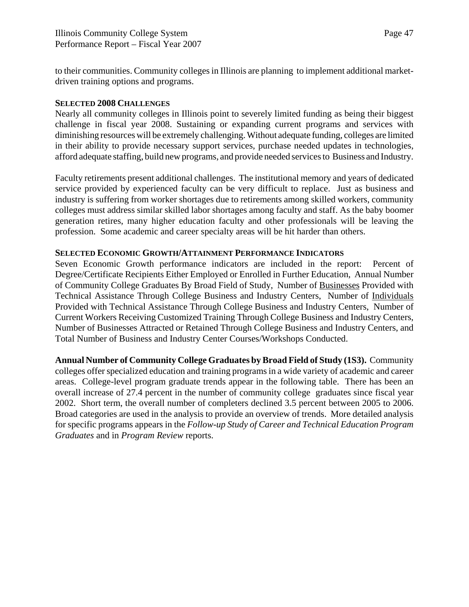to their communities. Community colleges in Illinois are planning to implement additional marketdriven training options and programs.

### **SELECTED 2008 CHALLENGES**

Nearly all community colleges in Illinois point to severely limited funding as being their biggest challenge in fiscal year 2008. Sustaining or expanding current programs and services with diminishing resources will be extremely challenging. Without adequate funding, colleges are limited in their ability to provide necessary support services, purchase needed updates in technologies, afford adequate staffing, build new programs, and provide needed services to Business and Industry.

Faculty retirements present additional challenges. The institutional memory and years of dedicated service provided by experienced faculty can be very difficult to replace. Just as business and industry is suffering from worker shortages due to retirements among skilled workers, community colleges must address similar skilled labor shortages among faculty and staff. As the baby boomer generation retires, many higher education faculty and other professionals will be leaving the profession. Some academic and career specialty areas will be hit harder than others.

### **SELECTED ECONOMIC GROWTH/ATTAINMENT PERFORMANCE INDICATORS**

Seven Economic Growth performance indicators are included in the report: Percent of Degree/Certificate Recipients Either Employed or Enrolled in Further Education, Annual Number of Community College Graduates By Broad Field of Study, Number of Businesses Provided with Technical Assistance Through College Business and Industry Centers, Number of Individuals Provided with Technical Assistance Through College Business and Industry Centers, Number of Current Workers Receiving Customized Training Through College Business and Industry Centers, Number of Businesses Attracted or Retained Through College Business and Industry Centers, and Total Number of Business and Industry Center Courses/Workshops Conducted.

**Annual Number of Community College Graduates by Broad Field of Study (1S3).** Community colleges offer specialized education and training programs in a wide variety of academic and career areas. College-level program graduate trends appear in the following table. There has been an overall increase of 27.4 percent in the number of community college graduates since fiscal year 2002. Short term, the overall number of completers declined 3.5 percent between 2005 to 2006. Broad categories are used in the analysis to provide an overview of trends. More detailed analysis for specific programs appears in the *Follow-up Study of Career and Technical Education Program Graduates* and in *Program Review* reports.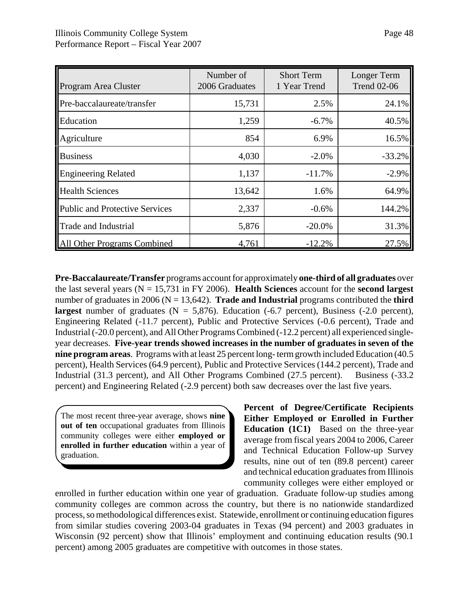| Program Area Cluster           | Number of<br>2006 Graduates | <b>Short Term</b><br>1 Year Trend | Longer Term<br><b>Trend 02-06</b> |
|--------------------------------|-----------------------------|-----------------------------------|-----------------------------------|
| Pre-baccalaureate/transfer     | 15,731                      | 2.5%                              | 24.1%                             |
| Education                      | 1,259                       | $-6.7\%$                          | 40.5%                             |
| Agriculture                    | 854                         | 6.9%                              | 16.5%                             |
| <b>Business</b>                | 4,030                       | $-2.0%$                           | $-33.2%$                          |
| <b>Engineering Related</b>     | 1,137                       | $-11.7%$                          | $-2.9%$                           |
| <b>Health Sciences</b>         | 13,642                      | 1.6%                              | 64.9%                             |
| Public and Protective Services | 2,337                       | $-0.6%$                           | 144.2%                            |
| <b>Trade and Industrial</b>    | 5,876                       | $-20.0\%$                         | 31.3%                             |
| <b>Other Programs Combined</b> | 4,761                       | $-12.2%$                          | 27.5%                             |

**Pre-Baccalaureate/Transfer** programs account for approximately **one-third of all graduates** over the last several years (N = 15,731 in FY 2006). **Health Sciences** account for the **second largest** number of graduates in 2006 ( $N = 13,642$ ). **Trade and Industrial** programs contributed the **third largest** number of graduates  $(N = 5,876)$ . Education  $(-6.7 \text{ percent})$ , Business  $(-2.0 \text{ percent})$ , Engineering Related (-11.7 percent), Public and Protective Services (-0.6 percent), Trade and Industrial (-20.0 percent), and All Other Programs Combined (-12.2 percent) all experienced singleyear decreases. **Five-year trends showed increases in the number of graduates in seven of the nine program areas**. Programs with at least 25 percent long- term growth included Education (40.5 percent), Health Services (64.9 percent), Public and Protective Services (144.2 percent), Trade and Industrial (31.3 percent), and All Other Programs Combined (27.5 percent). Business (-33.2 percent) and Engineering Related (-2.9 percent) both saw decreases over the last five years.

The most recent three-year average, shows **nine out of ten** occupational graduates from Illinois community colleges were either **employed or enrolled in further education** within a year of graduation.

**Percent of Degree/Certificate Recipients Either Employed or Enrolled in Further Education (1C1)** Based on the three-year average from fiscal years 2004 to 2006, Career and Technical Education Follow-up Survey results, nine out of ten (89.8 percent) career and technical education graduates from Illinois community colleges were either employed or

enrolled in further education within one year of graduation. Graduate follow-up studies among community colleges are common across the country, but there is no nationwide standardized process, so methodological differences exist. Statewide, enrollment or continuing education figures from similar studies covering 2003-04 graduates in Texas (94 percent) and 2003 graduates in Wisconsin (92 percent) show that Illinois' employment and continuing education results (90.1 percent) among 2005 graduates are competitive with outcomes in those states.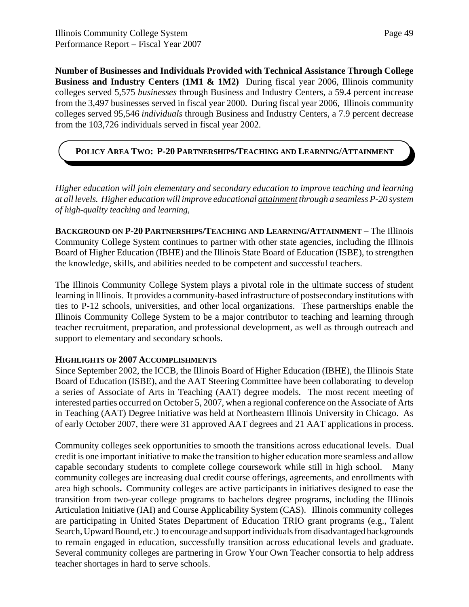**Number of Businesses and Individuals Provided with Technical Assistance Through College Business and Industry Centers (1M1 & 1M2)** During fiscal year 2006, Illinois community colleges served 5,575 *businesses* through Business and Industry Centers, a 59.4 percent increase from the 3,497 businesses served in fiscal year 2000. During fiscal year 2006, Illinois community colleges served 95,546 *individuals* through Business and Industry Centers, a 7.9 percent decrease from the 103,726 individuals served in fiscal year 2002.

# **POLICY AREA TWO: P-20 PARTNERSHIPS/TEACHING AND LEARNING/ATTAINMENT**

*Higher education will join elementary and secondary education to improve teaching and learning at all levels. Higher education will improve educational attainment through a seamless P-20 system of high-quality teaching and learning,*

**BACKGROUND ON P-20 PARTNERSHIPS/TEACHING AND LEARNING/ATTAINMENT** – The Illinois Community College System continues to partner with other state agencies, including the Illinois Board of Higher Education (IBHE) and the Illinois State Board of Education (ISBE), to strengthen the knowledge, skills, and abilities needed to be competent and successful teachers.

The Illinois Community College System plays a pivotal role in the ultimate success of student learning in Illinois. It provides a community-based infrastructure of postsecondary institutions with ties to P-12 schools, universities, and other local organizations. These partnerships enable the Illinois Community College System to be a major contributor to teaching and learning through teacher recruitment, preparation, and professional development, as well as through outreach and support to elementary and secondary schools.

### **HIGHLIGHTS OF 2007 ACCOMPLISHMENTS**

Since September 2002, the ICCB, the Illinois Board of Higher Education (IBHE), the Illinois State Board of Education (ISBE), and the AAT Steering Committee have been collaborating to develop a series of Associate of Arts in Teaching (AAT) degree models. The most recent meeting of interested parties occurred on October 5, 2007, when a regional conference on the Associate of Arts in Teaching (AAT) Degree Initiative was held at Northeastern Illinois University in Chicago. As of early October 2007, there were 31 approved AAT degrees and 21 AAT applications in process.

Community colleges seek opportunities to smooth the transitions across educational levels. Dual credit is one important initiative to make the transition to higher education more seamless and allow capable secondary students to complete college coursework while still in high school. Many community colleges are increasing dual credit course offerings, agreements, and enrollments with area high schools**.** Community colleges are active participants in initiatives designed to ease the transition from two-year college programs to bachelors degree programs, including the Illinois Articulation Initiative (IAI) and Course Applicability System (CAS). Illinois community colleges are participating in United States Department of Education TRIO grant programs (e.g., Talent Search, Upward Bound, etc.) to encourage and support individuals from disadvantaged backgrounds to remain engaged in education, successfully transition across educational levels and graduate. Several community colleges are partnering in Grow Your Own Teacher consortia to help address teacher shortages in hard to serve schools.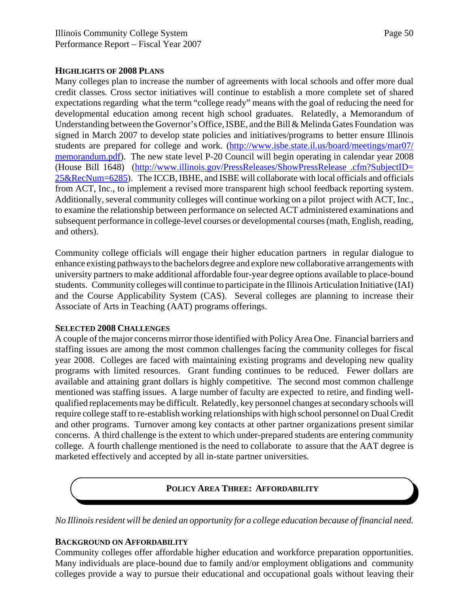Many colleges plan to increase the number of agreements with local schools and offer more dual credit classes. Cross sector initiatives will continue to establish a more complete set of shared expectations regarding what the term "college ready" means with the goal of reducing the need for developmental education among recent high school graduates. Relatedly, a Memorandum of Understanding between the Governor's Office, ISBE, and the Bill & Melinda Gates Foundation was signed in March 2007 to develop state policies and initiatives/programs to better ensure Illinois students are prepared for college and work. (http://www.isbe.state.il.us/board/meetings/mar07/ memorandum.pdf). The new state level P-20 Council will begin operating in calendar year 2008 (House Bill 1648) (http://www.illinois.gov/PressReleases/ShowPressRelease .cfm?SubjectID= 25&RecNum=6285). The ICCB, IBHE, and ISBE will collaborate with local officials and officials from ACT, Inc., to implement a revised more transparent high school feedback reporting system. Additionally, several community colleges will continue working on a pilot project with ACT, Inc., to examine the relationship between performance on selected ACT administered examinations and subsequent performance in college-level courses or developmental courses (math, English, reading, and others).

Community college officials will engage their higher education partners in regular dialogue to enhance existing pathways to the bachelors degree and explore new collaborative arrangements with university partners to make additional affordable four-year degree options available to place-bound students. Community colleges will continue to participate in the Illinois Articulation Initiative (IAI) and the Course Applicability System (CAS). Several colleges are planning to increase their Associate of Arts in Teaching (AAT) programs offerings.

#### **SELECTED 2008 CHALLENGES**

A couple of the major concerns mirror those identified with Policy Area One. Financial barriers and staffing issues are among the most common challenges facing the community colleges for fiscal year 2008. Colleges are faced with maintaining existing programs and developing new quality programs with limited resources. Grant funding continues to be reduced. Fewer dollars are available and attaining grant dollars is highly competitive. The second most common challenge mentioned was staffing issues. A large number of faculty are expected to retire, and finding wellqualified replacements may be difficult. Relatedly, key personnel changes at secondary schools will require college staff to re-establish working relationships with high school personnel on Dual Credit and other programs. Turnover among key contacts at other partner organizations present similar concerns. A third challenge is the extent to which under-prepared students are entering community college. A fourth challenge mentioned is the need to collaborate to assure that the AAT degree is marketed effectively and accepted by all in-state partner universities.

### **POLICY AREA THREE: AFFORDABILITY**

*No Illinois resident will be denied an opportunity for a college education because of financial need.*

#### **BACKGROUND ON AFFORDABILITY**

Community colleges offer affordable higher education and workforce preparation opportunities. Many individuals are place-bound due to family and/or employment obligations and community colleges provide a way to pursue their educational and occupational goals without leaving their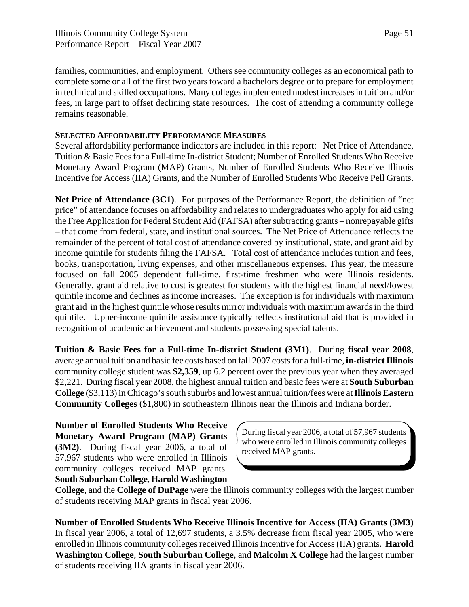families, communities, and employment. Others see community colleges as an economical path to complete some or all of the first two years toward a bachelors degree or to prepare for employment in technical and skilled occupations. Many colleges implemented modest increases in tuition and/or fees, in large part to offset declining state resources. The cost of attending a community college remains reasonable.

#### **SELECTED AFFORDABILITY PERFORMANCE MEASURES**

Several affordability performance indicators are included in this report: Net Price of Attendance, Tuition & Basic Fees for a Full-time In-district Student; Number of Enrolled Students Who Receive Monetary Award Program (MAP) Grants, Number of Enrolled Students Who Receive Illinois Incentive for Access (IIA) Grants, and the Number of Enrolled Students Who Receive Pell Grants.

**Net Price of Attendance (3C1)**. For purposes of the Performance Report, the definition of "net price" of attendance focuses on affordability and relates to undergraduates who apply for aid using the Free Application for Federal Student Aid (FAFSA) after subtracting grants – nonrepayable gifts – that come from federal, state, and institutional sources. The Net Price of Attendance reflects the remainder of the percent of total cost of attendance covered by institutional, state, and grant aid by income quintile for students filing the FAFSA. Total cost of attendance includes tuition and fees, books, transportation, living expenses, and other miscellaneous expenses. This year, the measure focused on fall 2005 dependent full-time, first-time freshmen who were Illinois residents. Generally, grant aid relative to cost is greatest for students with the highest financial need/lowest quintile income and declines as income increases. The exception is for individuals with maximum grant aid in the highest quintile whose results mirror individuals with maximum awards in the third quintile. Upper-income quintile assistance typically reflects institutional aid that is provided in recognition of academic achievement and students possessing special talents.

**Tuition & Basic Fees for a Full-time In-district Student (3M1)**. During **fiscal year 2008**, average annual tuition and basic fee costs based on fall 2007 costs for a full-time, **in-district Illinois** community college student was **\$2,359**, up 6.2 percent over the previous year when they averaged \$2,221. During fiscal year 2008, the highest annual tuition and basic fees were at **South Suburban College** (\$3,113) in Chicago's south suburbs and lowest annual tuition/fees were at **Illinois Eastern Community Colleges** (\$1,800) in southeastern Illinois near the Illinois and Indiana border.

**Number of Enrolled Students Who Receive Monetary Award Program (MAP) Grants (3M2)**. During fiscal year 2006, a total of 57,967 students who were enrolled in Illinois community colleges received MAP grants. **South Suburban College**, **Harold Washington**

During fiscal year 2006, a total of 57,967 students who were enrolled in Illinois community colleges received MAP grants.

**College**, and the **College of DuPage** were the Illinois community colleges with the largest number of students receiving MAP grants in fiscal year 2006.

**Number of Enrolled Students Who Receive Illinois Incentive for Access (IIA) Grants (3M3)** In fiscal year 2006, a total of 12,697 students, a 3.5% decrease from fiscal year 2005, who were enrolled in Illinois community colleges received Illinois Incentive for Access (IIA) grants. **Harold Washington College**, **South Suburban College**, and **Malcolm X College** had the largest number of students receiving IIA grants in fiscal year 2006.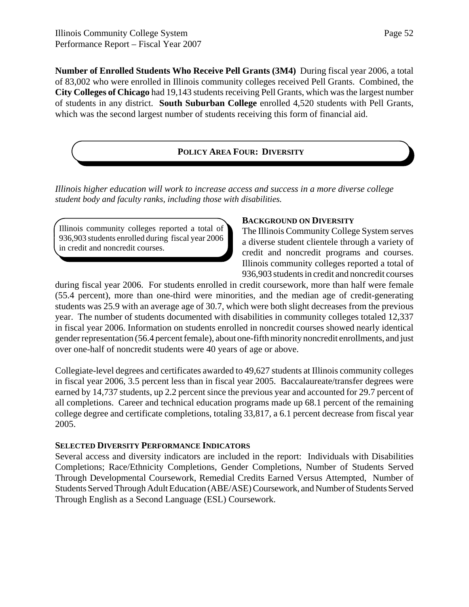**Number of Enrolled Students Who Receive Pell Grants (3M4)** During fiscal year 2006, a total of 83,002 who were enrolled in Illinois community colleges received Pell Grants. Combined, the **City Colleges of Chicago** had 19,143 students receiving Pell Grants, which was the largest number of students in any district. **South Suburban College** enrolled 4,520 students with Pell Grants, which was the second largest number of students receiving this form of financial aid.

### **POLICY AREA FOUR: DIVERSITY**

*Illinois higher education will work to increase access and success in a more diverse college student body and faculty ranks, including those with disabilities.*

Illinois community colleges reported a total of 936,903 students enrolled during fiscal year 2006 in credit and noncredit courses.

### **BACKGROUND ON DIVERSITY**

The Illinois Community College System serves a diverse student clientele through a variety of credit and noncredit programs and courses. Illinois community colleges reported a total of 936,903 students in credit and noncredit courses

during fiscal year 2006. For students enrolled in credit coursework, more than half were female (55.4 percent), more than one-third were minorities, and the median age of credit-generating students was 25.9 with an average age of 30.7, which were both slight decreases from the previous year. The number of students documented with disabilities in community colleges totaled 12,337 in fiscal year 2006. Information on students enrolled in noncredit courses showed nearly identical gender representation (56.4 percent female), about one-fifth minority noncredit enrollments, and just over one-half of noncredit students were 40 years of age or above.

Collegiate-level degrees and certificates awarded to 49,627 students at Illinois community colleges in fiscal year 2006, 3.5 percent less than in fiscal year 2005. Baccalaureate/transfer degrees were earned by 14,737 students, up 2.2 percent since the previous year and accounted for 29.7 percent of all completions. Career and technical education programs made up 68.1 percent of the remaining college degree and certificate completions, totaling 33,817, a 6.1 percent decrease from fiscal year 2005.

### **SELECTED DIVERSITY PERFORMANCE INDICATORS**

Several access and diversity indicators are included in the report: Individuals with Disabilities Completions; Race/Ethnicity Completions, Gender Completions, Number of Students Served Through Developmental Coursework, Remedial Credits Earned Versus Attempted, Number of Students Served Through Adult Education (ABE/ASE) Coursework, and Number of Students Served Through English as a Second Language (ESL) Coursework.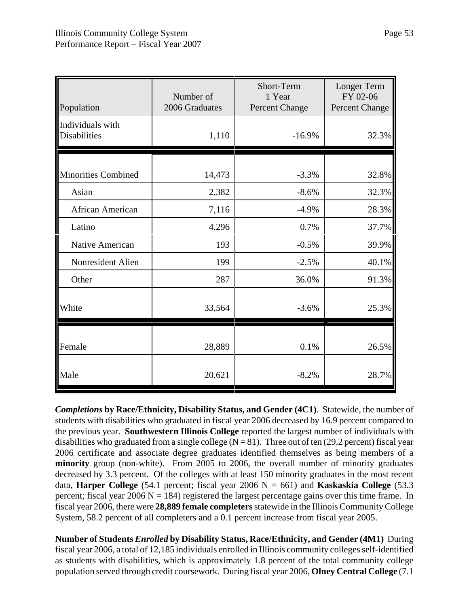| Population                              | Number of<br>2006 Graduates | Short-Term<br>1 Year<br>Percent Change | Longer Term<br>FY 02-06<br>Percent Change |
|-----------------------------------------|-----------------------------|----------------------------------------|-------------------------------------------|
| Individuals with<br><b>Disabilities</b> | 1,110                       | $-16.9%$                               | 32.3%                                     |
| <b>Minorities Combined</b>              | 14,473                      | $-3.3%$                                | 32.8%                                     |
| Asian                                   | 2,382                       | $-8.6%$                                | 32.3%                                     |
| African American                        | 7,116                       | $-4.9%$                                | 28.3%                                     |
| Latino                                  | 4,296                       | 0.7%                                   | 37.7%                                     |
| Native American                         | 193                         | $-0.5%$                                | 39.9%                                     |
| Nonresident Alien                       | 199                         | $-2.5%$                                | 40.1%                                     |
| Other                                   | 287                         | 36.0%                                  | 91.3%                                     |
| White                                   | 33,564                      | $-3.6%$                                | 25.3%                                     |
| Female                                  | 28,889                      | 0.1%                                   | 26.5%                                     |
| Male                                    | 20,621                      | $-8.2%$                                | 28.7%                                     |

*Completions* **by Race/Ethnicity, Disability Status, and Gender (4C1)**. Statewide, the number of students with disabilities who graduated in fiscal year 2006 decreased by 16.9 percent compared to the previous year. **Southwestern Illinois College** reported the largest number of individuals with disabilities who graduated from a single college ( $N = 81$ ). Three out of ten (29.2 percent) fiscal year 2006 certificate and associate degree graduates identified themselves as being members of a **minority** group (non-white). From 2005 to 2006, the overall number of minority graduates decreased by 3.3 percent. Of the colleges with at least 150 minority graduates in the most recent data, **Harper College** (54.1 percent; fiscal year 2006  $N = 661$ ) and **Kaskaskia College** (53.3 percent; fiscal year 2006  $N = 184$ ) registered the largest percentage gains over this time frame. In fiscal year 2006, there were **28,889 female completers** statewide in the Illinois Community College System, 58.2 percent of all completers and a 0.1 percent increase from fiscal year 2005.

**Number of Students** *Enrolled* **by Disability Status, Race/Ethnicity, and Gender (4M1)** During fiscal year 2006, a total of 12,185 individuals enrolled in Illinois community colleges self-identified as students with disabilities, which is approximately 1.8 percent of the total community college population served through credit coursework. During fiscal year 2006, **Olney Central College** (7.1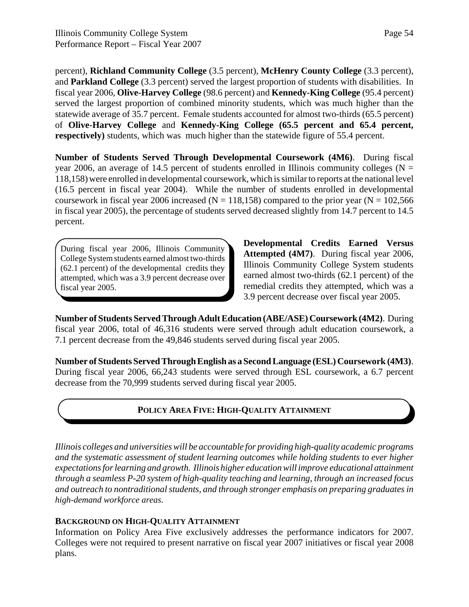percent), **Richland Community College** (3.5 percent), **McHenry County College** (3.3 percent), and **Parkland College** (3.3 percent) served the largest proportion of students with disabilities. In fiscal year 2006, **Olive-Harvey College** (98.6 percent) and **Kennedy-King College** (95.4 percent) served the largest proportion of combined minority students, which was much higher than the statewide average of 35.7 percent. Female students accounted for almost two-thirds (65.5 percent) of **Olive-Harvey College** and **Kennedy-King College (65.5 percent and 65.4 percent, respectively**) students, which was much higher than the statewide figure of 55.4 percent.

**Number of Students Served Through Developmental Coursework (4M6)**. During fiscal year 2006, an average of 14.5 percent of students enrolled in Illinois community colleges ( $N =$ 118,158) were enrolled in developmental coursework, which is similar to reports at the national level (16.5 percent in fiscal year 2004). While the number of students enrolled in developmental coursework in fiscal year 2006 increased ( $N = 118,158$ ) compared to the prior year ( $N = 102,566$ ) in fiscal year 2005), the percentage of students served decreased slightly from 14.7 percent to 14.5 percent.

During fiscal year 2006, Illinois Community College System students earned almost two-thirds (62.1 percent) of the developmental credits they attempted, which was a 3.9 percent decrease over fiscal year 2005.

**Developmental Credits Earned Versus Attempted (4M7)**. During fiscal year 2006, Illinois Community College System students earned almost two-thirds (62.1 percent) of the remedial credits they attempted, which was a 3.9 percent decrease over fiscal year 2005.

**Number of Students Served Through Adult Education (ABE/ASE) Coursework (4M2)**. During fiscal year 2006, total of 46,316 students were served through adult education coursework, a 7.1 percent decrease from the 49,846 students served during fiscal year 2005.

**Number of Students Served Through English as a Second Language (ESL) Coursework (4M3)**. During fiscal year 2006, 66,243 students were served through ESL coursework, a 6.7 percent decrease from the 70,999 students served during fiscal year 2005.

# **POLICY AREA FIVE: HIGH-QUALITY ATTAINMENT**

*Illinois colleges and universities will be accountable for providing high-quality academic programs and the systematic assessment of student learning outcomes while holding students to ever higher expectations for learning and growth. Illinois higher education will improve educational attainment through a seamless P-20 system of high-quality teaching and learning, through an increased focus and outreach to nontraditional students, and through stronger emphasis on preparing graduates in high-demand workforce areas*.

### **BACKGROUND ON HIGH-QUALITY ATTAINMENT**

Information on Policy Area Five exclusively addresses the performance indicators for 2007. Colleges were not required to present narrative on fiscal year 2007 initiatives or fiscal year 2008 plans.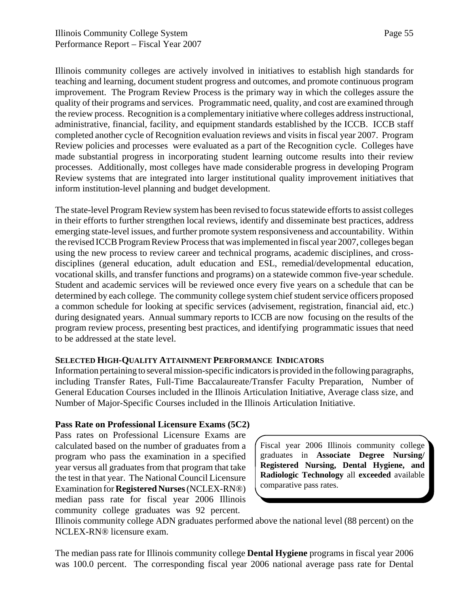Illinois community colleges are actively involved in initiatives to establish high standards for teaching and learning, document student progress and outcomes, and promote continuous program improvement. The Program Review Process is the primary way in which the colleges assure the quality of their programs and services. Programmatic need, quality, and cost are examined through the review process. Recognition is a complementary initiative where colleges address instructional, administrative, financial, facility, and equipment standards established by the ICCB. ICCB staff completed another cycle of Recognition evaluation reviews and visits in fiscal year 2007. Program Review policies and processes were evaluated as a part of the Recognition cycle. Colleges have made substantial progress in incorporating student learning outcome results into their review processes. Additionally, most colleges have made considerable progress in developing Program Review systems that are integrated into larger institutional quality improvement initiatives that inform institution-level planning and budget development.

The state-level Program Review system has been revised to focus statewide efforts to assist colleges in their efforts to further strengthen local reviews, identify and disseminate best practices, address emerging state-level issues, and further promote system responsiveness and accountability. Within the revised ICCB Program Review Process that was implemented in fiscal year 2007, colleges began using the new process to review career and technical programs, academic disciplines, and crossdisciplines (general education, adult education and ESL, remedial/developmental education, vocational skills, and transfer functions and programs) on a statewide common five-year schedule. Student and academic services will be reviewed once every five years on a schedule that can be determined by each college. The community college system chief student service officers proposed a common schedule for looking at specific services (advisement, registration, financial aid, etc.) during designated years. Annual summary reports to ICCB are now focusing on the results of the program review process, presenting best practices, and identifying programmatic issues that need to be addressed at the state level.

### **SELECTED HIGH-QUALITY ATTAINMENT PERFORMANCE INDICATORS**

Information pertaining to several mission-specific indicators is provided in the following paragraphs, including Transfer Rates, Full-Time Baccalaureate/Transfer Faculty Preparation, Number of General Education Courses included in the Illinois Articulation Initiative, Average class size, and Number of Major-Specific Courses included in the Illinois Articulation Initiative.

#### **Pass Rate on Professional Licensure Exams (5C2)**

Pass rates on Professional Licensure Exams are calculated based on the number of graduates from a program who pass the examination in a specified year versus all graduates from that program that take the test in that year. The National Council Licensure Examination for **Registered Nurses** (NCLEX-RN®) median pass rate for fiscal year 2006 Illinois community college graduates was 92 percent.

Fiscal year 2006 Illinois community college graduates in **Associate Degree Nursing/ Registered Nursing, Dental Hygiene, and Radiologic Technology** all **exceeded** available comparative pass rates.

Illinois community college ADN graduates performed above the national level (88 percent) on the NCLEX-RN® licensure exam.

The median pass rate for Illinois community college **Dental Hygiene** programs in fiscal year 2006 was 100.0 percent. The corresponding fiscal year 2006 national average pass rate for Dental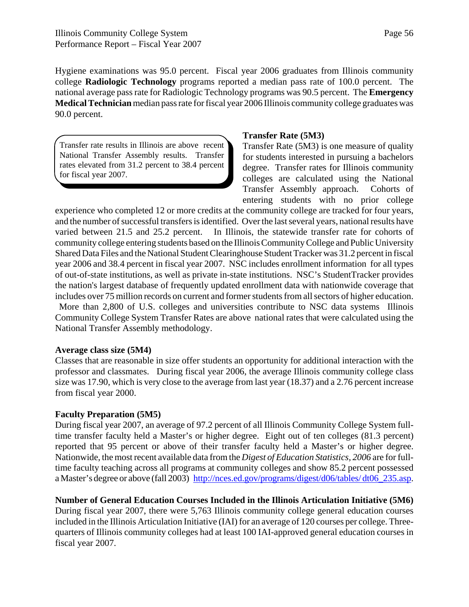Hygiene examinations was 95.0 percent. Fiscal year 2006 graduates from Illinois community college **Radiologic Technology** programs reported a median pass rate of 100.0 percent. The national average pass rate for Radiologic Technology programs was 90.5 percent. The **Emergency Medical Technician** median pass rate for fiscal year 2006 Illinois community college graduates was 90.0 percent.

Transfer rate results in Illinois are above recent National Transfer Assembly results. Transfer rates elevated from 31.2 percent to 38.4 percent for fiscal year 2007.

#### **Transfer Rate (5M3)**

Transfer Rate (5M3) is one measure of quality for students interested in pursuing a bachelors degree. Transfer rates for Illinois community colleges are calculated using the National Transfer Assembly approach. Cohorts of entering students with no prior college

experience who completed 12 or more credits at the community college are tracked for four years, and the number of successful transfers is identified. Over the last several years, national results have varied between 21.5 and 25.2 percent. In Illinois, the statewide transfer rate for cohorts of community college entering students based on the Illinois Community College and Public University Shared Data Files and the National Student Clearinghouse Student Tracker was 31.2 percent in fiscal year 2006 and 38.4 percent in fiscal year 2007. NSC includes enrollment information for all types of out-of-state institutions, as well as private in-state institutions. NSC's StudentTracker provides the nation's largest database of frequently updated enrollment data with nationwide coverage that includes over 75 million records on current and former students from all sectors of higher education. More than 2,800 of U.S. colleges and universities contribute to NSC data systems Illinois

Community College System Transfer Rates are above national rates that were calculated using the National Transfer Assembly methodology.

#### **Average class size (5M4)**

Classes that are reasonable in size offer students an opportunity for additional interaction with the professor and classmates. During fiscal year 2006, the average Illinois community college class size was 17.90, which is very close to the average from last year (18.37) and a 2.76 percent increase from fiscal year 2000.

### **Faculty Preparation (5M5)**

During fiscal year 2007, an average of 97.2 percent of all Illinois Community College System fulltime transfer faculty held a Master's or higher degree. Eight out of ten colleges (81.3 percent) reported that 95 percent or above of their transfer faculty held a Master's or higher degree. Nationwide, the most recent available data from the *Digest of Education Statistics, 2006* are for fulltime faculty teaching across all programs at community colleges and show 85.2 percent possessed a Master's degree or above (fall 2003) http://nces.ed.gov/programs/digest/d06/tables/ dt06\_235.asp.

### **Number of General Education Courses Included in the Illinois Articulation Initiative (5M6)**

During fiscal year 2007, there were 5,763 Illinois community college general education courses included in the Illinois Articulation Initiative (IAI) for an average of 120 courses per college. Threequarters of Illinois community colleges had at least 100 IAI-approved general education courses in fiscal year 2007.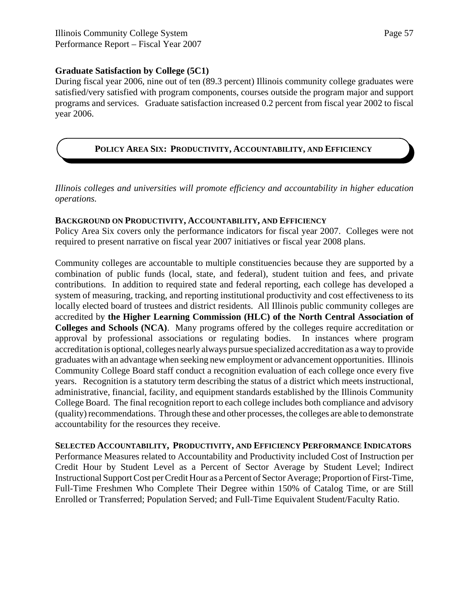#### **Graduate Satisfaction by College (5C1)**

During fiscal year 2006, nine out of ten (89.3 percent) Illinois community college graduates were satisfied/very satisfied with program components, courses outside the program major and support programs and services. Graduate satisfaction increased 0.2 percent from fiscal year 2002 to fiscal year 2006.

### **POLICY AREA SIX: PRODUCTIVITY, ACCOUNTABILITY, AND EFFICIENCY**

*Illinois colleges and universities will promote efficiency and accountability in higher education operations.*

#### **BACKGROUND ON PRODUCTIVITY, ACCOUNTABILITY, AND EFFICIENCY**

Policy Area Six covers only the performance indicators for fiscal year 2007. Colleges were not required to present narrative on fiscal year 2007 initiatives or fiscal year 2008 plans.

Community colleges are accountable to multiple constituencies because they are supported by a combination of public funds (local, state, and federal), student tuition and fees, and private contributions. In addition to required state and federal reporting, each college has developed a system of measuring, tracking, and reporting institutional productivity and cost effectiveness to its locally elected board of trustees and district residents. All Illinois public community colleges are accredited by **the Higher Learning Commission (HLC) of the North Central Association of Colleges and Schools (NCA)**. Many programs offered by the colleges require accreditation or approval by professional associations or regulating bodies. In instances where program accreditation is optional, colleges nearly always pursue specialized accreditation as a way to provide graduates with an advantage when seeking new employment or advancement opportunities. Illinois Community College Board staff conduct a recognition evaluation of each college once every five years. Recognition is a statutory term describing the status of a district which meets instructional, administrative, financial, facility, and equipment standards established by the Illinois Community College Board. The final recognition report to each college includes both compliance and advisory (quality) recommendations. Through these and other processes, the colleges are able to demonstrate accountability for the resources they receive.

**SELECTED ACCOUNTABILITY, PRODUCTIVITY, AND EFFICIENCY PERFORMANCE INDICATORS** Performance Measures related to Accountability and Productivity included Cost of Instruction per Credit Hour by Student Level as a Percent of Sector Average by Student Level; Indirect Instructional Support Cost per Credit Hour as a Percent of Sector Average; Proportion of First-Time, Full-Time Freshmen Who Complete Their Degree within 150% of Catalog Time, or are Still Enrolled or Transferred; Population Served; and Full-Time Equivalent Student/Faculty Ratio.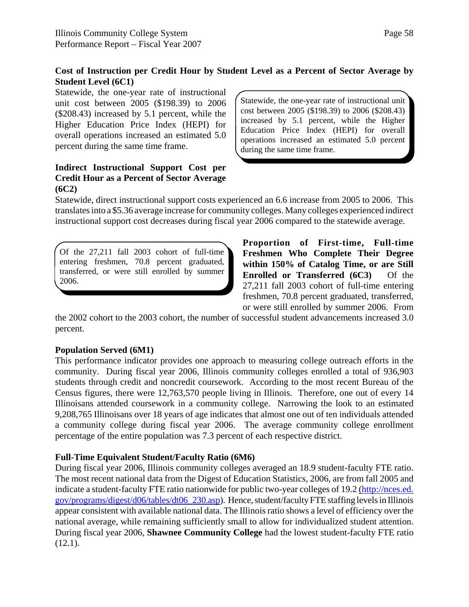### **Cost of Instruction per Credit Hour by Student Level as a Percent of Sector Average by Student Level (6C1)**

Statewide, the one-year rate of instructional unit cost between 2005 (\$198.39) to 2006 (\$208.43) increased by 5.1 percent, while the Higher Education Price Index (HEPI) for overall operations increased an estimated 5.0 percent during the same time frame.

### **Indirect Instructional Support Cost per Credit Hour as a Percent of Sector Average (6C2)**

Statewide, the one-year rate of instructional unit cost between 2005 (\$198.39) to 2006 (\$208.43) increased by 5.1 percent, while the Higher Education Price Index (HEPI) for overall operations increased an estimated 5.0 percent during the same time frame.

Statewide, direct instructional support costs experienced an 6.6 increase from 2005 to 2006. This translates into a \$5.36 average increase for community colleges. Many colleges experienced indirect instructional support cost decreases during fiscal year 2006 compared to the statewide average.

Of the 27,211 fall 2003 cohort of full-time entering freshmen, 70.8 percent graduated, transferred, or were still enrolled by summer 2006.

**Proportion of First-time, Full-time Freshmen Who Complete Their Degree within 150% of Catalog Time, or are Still Enrolled or Transferred (6C3)** Of the 27,211 fall 2003 cohort of full-time entering freshmen, 70.8 percent graduated, transferred, or were still enrolled by summer 2006. From

the 2002 cohort to the 2003 cohort, the number of successful student advancements increased 3.0 percent.

### **Population Served (6M1)**

This performance indicator provides one approach to measuring college outreach efforts in the community. During fiscal year 2006, Illinois community colleges enrolled a total of 936,903 students through credit and noncredit coursework. According to the most recent Bureau of the Census figures, there were 12,763,570 people living in Illinois. Therefore, one out of every 14 Illinoisans attended coursework in a community college. Narrowing the look to an estimated 9,208,765 Illinoisans over 18 years of age indicates that almost one out of ten individuals attended a community college during fiscal year 2006. The average community college enrollment percentage of the entire population was 7.3 percent of each respective district.

### **Full-Time Equivalent Student/Faculty Ratio (6M6)**

During fiscal year 2006, Illinois community colleges averaged an 18.9 student-faculty FTE ratio. The most recent national data from the Digest of Education Statistics, 2006, are from fall 2005 and indicate a student-faculty FTE ratio nationwide for public two-year colleges of 19.2 (http://nces.ed. gov/programs/digest/d06/tables/dt06\_230.asp). Hence, student/faculty FTE staffing levels in Illinois appear consistent with available national data. The Illinois ratio shows a level of efficiency over the national average, while remaining sufficiently small to allow for individualized student attention. During fiscal year 2006, **Shawnee Community College** had the lowest student-faculty FTE ratio (12.1).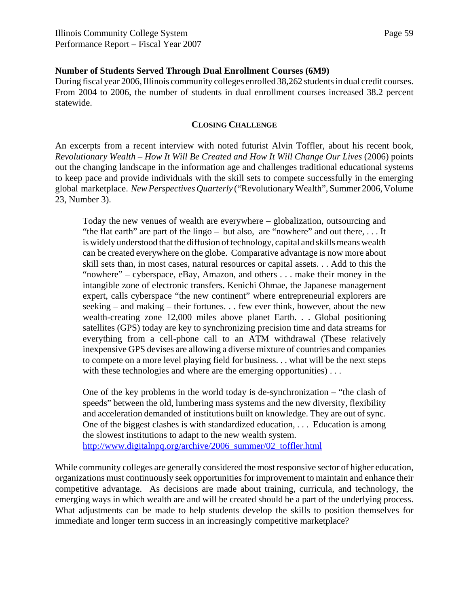#### **Number of Students Served Through Dual Enrollment Courses (6M9)**

During fiscal year 2006, Illinois community colleges enrolled 38,262 students in dual credit courses. From 2004 to 2006, the number of students in dual enrollment courses increased 38.2 percent statewide.

#### **CLOSING CHALLENGE**

An excerpts from a recent interview with noted futurist Alvin Toffler, about his recent book, *Revolutionary Wealth – How It Will Be Created and How It Will Change Our Lives (2006) points* out the changing landscape in the information age and challenges traditional educational systems to keep pace and provide individuals with the skill sets to compete successfully in the emerging global marketplace. *New Perspectives Quarterly* ("Revolutionary Wealth", Summer 2006, Volume 23, Number 3).

Today the new venues of wealth are everywhere – globalization, outsourcing and "the flat earth" are part of the lingo – but also, are "nowhere" and out there, . . . It is widely understood that the diffusion of technology, capital and skills means wealth can be created everywhere on the globe. Comparative advantage is now more about skill sets than, in most cases, natural resources or capital assets. . . Add to this the "nowhere" – cyberspace, eBay, Amazon, and others . . . make their money in the intangible zone of electronic transfers. Kenichi Ohmae, the Japanese management expert, calls cyberspace "the new continent" where entrepreneurial explorers are seeking – and making – their fortunes. . . few ever think, however, about the new wealth-creating zone 12,000 miles above planet Earth. . . Global positioning satellites (GPS) today are key to synchronizing precision time and data streams for everything from a cell-phone call to an ATM withdrawal (These relatively inexpensive GPS devises are allowing a diverse mixture of countries and companies to compete on a more level playing field for business. . . what will be the next steps with these technologies and where are the emerging opportunities)...

One of the key problems in the world today is de-synchronization – "the clash of speeds" between the old, lumbering mass systems and the new diversity, flexibility and acceleration demanded of institutions built on knowledge. They are out of sync. One of the biggest clashes is with standardized education, . . . Education is among the slowest institutions to adapt to the new wealth system. http://www.digitalnpq.org/archive/2006\_summer/02\_toffler.html

While community colleges are generally considered the most responsive sector of higher education, organizations must continuously seek opportunities for improvement to maintain and enhance their competitive advantage. As decisions are made about training, curricula, and technology, the emerging ways in which wealth are and will be created should be a part of the underlying process. What adjustments can be made to help students develop the skills to position themselves for immediate and longer term success in an increasingly competitive marketplace?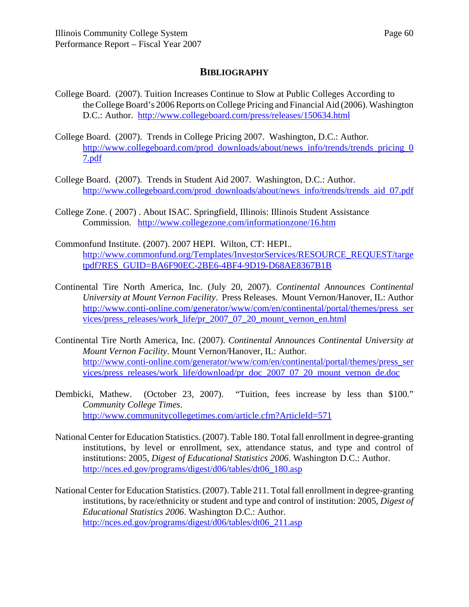### **BIBLIOGRAPHY**

- College Board. (2007). Tuition Increases Continue to Slow at Public Colleges According to the College Board's 2006 Reports on College Pricing and Financial Aid (2006). Washington D.C.: Author. http://www.collegeboard.com/press/releases/150634.html
- College Board. (2007). Trends in College Pricing 2007. Washington, D.C.: Author. http://www.collegeboard.com/prod\_downloads/about/news\_info/trends/trends\_pricing\_0 7.pdf
- College Board. (2007). Trends in Student Aid 2007. Washington, D.C.: Author. http://www.collegeboard.com/prod\_downloads/about/news\_info/trends/trends\_aid\_07.pdf
- College Zone. ( 2007) . About ISAC. Springfield, Illinois: Illinois Student Assistance Commission. http://www.collegezone.com/informationzone/16.htm
- Commonfund Institute. (2007). 2007 HEPI. Wilton, CT: HEPI.. http://www.commonfund.org/Templates/InvestorServices/RESOURCE\_REQUEST/targe tpdf?RES\_GUID=BA6F90EC-2BE6-4BF4-9D19-D68AE8367B1B
- Continental Tire North America, Inc. (July 20, 2007). *Continental Announces Continental University at Mount Vernon Facility*. Press Releases. Mount Vernon/Hanover, IL: Author http://www.conti-online.com/generator/www/com/en/continental/portal/themes/press\_ser vices/press\_releases/work\_life/pr\_2007\_07\_20\_mount\_vernon\_en.html
- Continental Tire North America, Inc. (2007). *Continental Announces Continental University at Mount Vernon Facility*. Mount Vernon/Hanover, IL: Author. http://www.conti-online.com/generator/www/com/en/continental/portal/themes/press\_ser vices/press\_releases/work\_life/download/pr\_doc\_2007\_07\_20\_mount\_vernon\_de.doc
- Dembicki, Mathew. (October 23, 2007). "Tuition, fees increase by less than \$100." *Community College Times*. http://www.communitycollegetimes.com/article.cfm?ArticleId=571
- National Center for Education Statistics. (2007). Table 180. Total fall enrollment in degree-granting institutions, by level or enrollment, sex, attendance status, and type and control of institutions: 2005, *Digest of Educational Statistics 2006*. Washington D.C.: Author. http://nces.ed.gov/programs/digest/d06/tables/dt06\_180.asp
- National Center for Education Statistics. (2007). Table 211. Total fall enrollment in degree-granting institutions, by race/ethnicity or student and type and control of institution: 2005, *Digest of Educational Statistics 2006*. Washington D.C.: Author. http://nces.ed.gov/programs/digest/d06/tables/dt06\_211.asp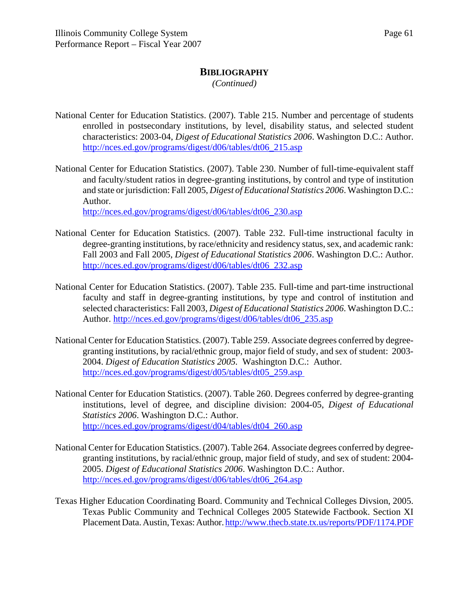### **BIBLIOGRAPHY**

*(Continued)*

- National Center for Education Statistics. (2007). Table 215. Number and percentage of students enrolled in postsecondary institutions, by level, disability status, and selected student characteristics: 2003-04, *Digest of Educational Statistics 2006*. Washington D.C.: Author. http://nces.ed.gov/programs/digest/d06/tables/dt06\_215.asp
- National Center for Education Statistics. (2007). Table 230. Number of full-time-equivalent staff and faculty/student ratios in degree-granting institutions, by control and type of institution and state or jurisdiction: Fall 2005, *Digest of Educational Statistics 2006*. Washington D.C.: Author.

http://nces.ed.gov/programs/digest/d06/tables/dt06\_230.asp

- National Center for Education Statistics. (2007). Table 232. Full-time instructional faculty in degree-granting institutions, by race/ethnicity and residency status, sex, and academic rank: Fall 2003 and Fall 2005, *Digest of Educational Statistics 2006*. Washington D.C.: Author. http://nces.ed.gov/programs/digest/d06/tables/dt06\_232.asp
- National Center for Education Statistics. (2007). Table 235. Full-time and part-time instructional faculty and staff in degree-granting institutions, by type and control of institution and selected characteristics: Fall 2003, *Digest of Educational Statistics 2006*. Washington D.C.: Author. http://nces.ed.gov/programs/digest/d06/tables/dt06\_235.asp
- National Center for Education Statistics. (2007). Table 259. Associate degrees conferred by degreegranting institutions, by racial/ethnic group, major field of study, and sex of student: 2003- 2004. *Digest of Education Statistics 2005.* Washington D.C.: Author. http://nces.ed.gov/programs/digest/d05/tables/dt05\_259.asp
- National Center for Education Statistics. (2007). Table 260. Degrees conferred by degree-granting institutions, level of degree, and discipline division: 2004-05, *Digest of Educational Statistics 2006*. Washington D.C.: Author. http://nces.ed.gov/programs/digest/d04/tables/dt04\_260.asp
- National Center for Education Statistics. (2007). Table 264. Associate degrees conferred by degreegranting institutions, by racial/ethnic group, major field of study, and sex of student: 2004- 2005. *Digest of Educational Statistics 2006*. Washington D.C.: Author. http://nces.ed.gov/programs/digest/d06/tables/dt06\_264.asp
- Texas Higher Education Coordinating Board. Community and Technical Colleges Divsion, 2005. Texas Public Community and Technical Colleges 2005 Statewide Factbook. Section XI Placement Data. Austin, Texas: Author. http://www.thecb.state.tx.us/reports/PDF/1174.PDF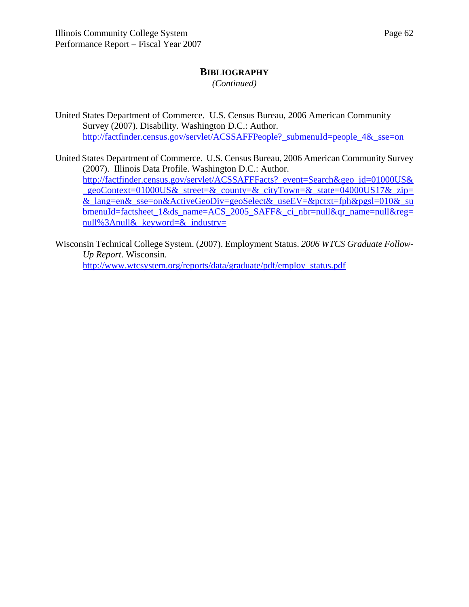### **BIBLIOGRAPHY**

*(Continued)*

United States Department of Commerce. U.S. Census Bureau, 2006 American Community Survey (2007). Disability. Washington D.C.: Author. http://factfinder.census.gov/servlet/ACSSAFFPeople?\_submenuId=people\_4&\_sse=on

United States Department of Commerce. U.S. Census Bureau, 2006 American Community Survey (2007). Illinois Data Profile. Washington D.C.: Author. http://factfinder.census.gov/servlet/ACSSAFFFacts? event=Search&geo\_id=01000US& \_geoContext=01000US&\_street=&\_county=&\_cityTown=&\_state=04000US17&\_zip= &\_lang=en&\_sse=on&ActiveGeoDiv=geoSelect&\_useEV=&pctxt=fph&pgsl=010&\_su bmenuId=factsheet\_1&ds\_name=ACS\_2005\_SAFF&\_ci\_nbr=null&qr\_name=null&reg= null%3Anull& keyword=& industry=

Wisconsin Technical College System. (2007). Employment Status. *2006 WTCS Graduate Follow-Up Report*. Wisconsin. http://www.wtcsystem.org/reports/data/graduate/pdf/employ\_status.pdf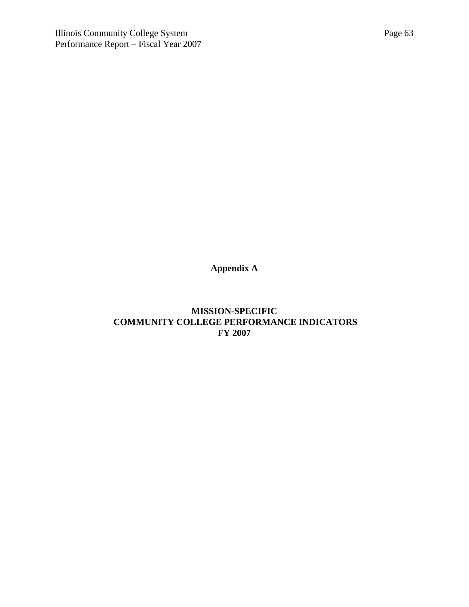**Appendix A**

**MISSION-SPECIFIC COMMUNITY COLLEGE PERFORMANCE INDICATORS FY 2007**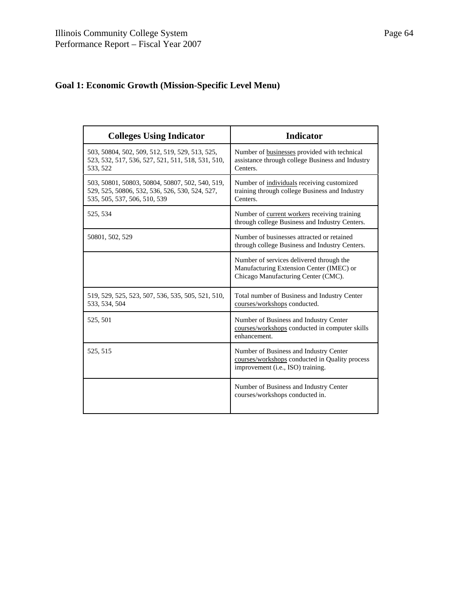# **Goal 1: Economic Growth (Mission-Specific Level Menu)**

| <b>Colleges Using Indicator</b>                                                                                                   | <b>Indicator</b>                                                                                                              |
|-----------------------------------------------------------------------------------------------------------------------------------|-------------------------------------------------------------------------------------------------------------------------------|
| 503, 50804, 502, 509, 512, 519, 529, 513, 525,<br>523, 532, 517, 536, 527, 521, 511, 518, 531, 510,<br>533, 522                   | Number of businesses provided with technical<br>assistance through college Business and Industry<br>Centers.                  |
| 503, 50801, 50803, 50804, 50807, 502, 540, 519,<br>529, 525, 50806, 532, 536, 526, 530, 524, 527,<br>535, 505, 537, 506, 510, 539 | Number of individuals receiving customized<br>training through college Business and Industry<br>Centers.                      |
| 525, 534                                                                                                                          | Number of current workers receiving training<br>through college Business and Industry Centers.                                |
| 50801, 502, 529                                                                                                                   | Number of businesses attracted or retained<br>through college Business and Industry Centers.                                  |
|                                                                                                                                   | Number of services delivered through the<br>Manufacturing Extension Center (IMEC) or<br>Chicago Manufacturing Center (CMC).   |
| 519, 529, 525, 523, 507, 536, 535, 505, 521, 510,<br>533, 534, 504                                                                | Total number of Business and Industry Center<br>courses/workshops conducted.                                                  |
| 525, 501                                                                                                                          | Number of Business and Industry Center<br>courses/workshops conducted in computer skills<br>enhancement.                      |
| 525, 515                                                                                                                          | Number of Business and Industry Center<br>courses/workshops conducted in Quality process<br>improvement (i.e., ISO) training. |
|                                                                                                                                   | Number of Business and Industry Center<br>courses/workshops conducted in.                                                     |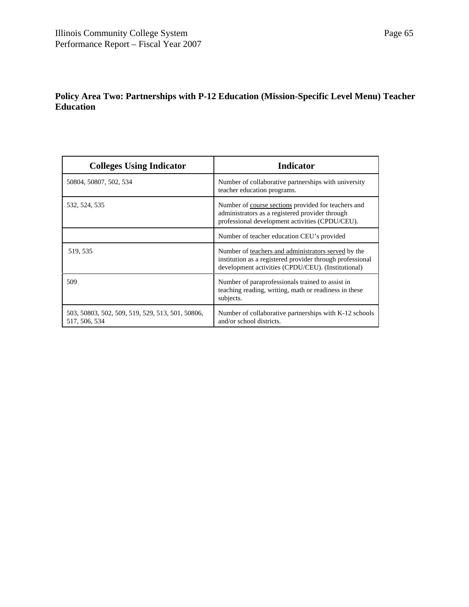# **Policy Area Two: Partnerships with P-12 Education (Mission-Specific Level Menu) Teacher Education**

| <b>Colleges Using Indicator</b>                                   | <b>Indicator</b>                                                                                                                                                       |
|-------------------------------------------------------------------|------------------------------------------------------------------------------------------------------------------------------------------------------------------------|
| 50804, 50807, 502, 534                                            | Number of collaborative partnerships with university<br>teacher education programs.                                                                                    |
| 532, 524, 535                                                     | Number of course sections provided for teachers and<br>administrators as a registered provider through<br>professional development activities (CPDU/CEU).              |
|                                                                   | Number of teacher education CEU's provided                                                                                                                             |
| 519, 535                                                          | Number of teachers and administrators served by the<br>institution as a registered provider through professional<br>development activities (CPDU/CEU). (Institutional) |
| 509                                                               | Number of paraprofessionals trained to assist in<br>teaching reading, writing, math or readiness in these<br>subjects.                                                 |
| 503, 50803, 502, 509, 519, 529, 513, 501, 50806,<br>517, 506, 534 | Number of collaborative partnerships with K-12 schools<br>and/or school districts.                                                                                     |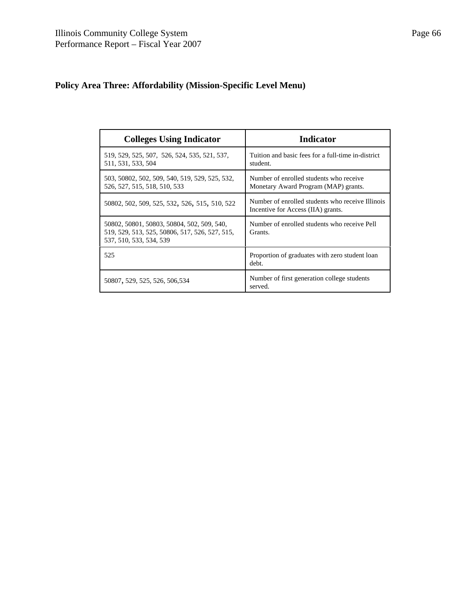# **Policy Area Three: Affordability (Mission-Specific Level Menu)**

| <b>Colleges Using Indicator</b>                                                                                         | <b>Indicator</b>                                                                       |
|-------------------------------------------------------------------------------------------------------------------------|----------------------------------------------------------------------------------------|
| 519, 529, 525, 507, 526, 524, 535, 521, 537,<br>511, 531, 533, 504                                                      | Tuition and basic fees for a full-time in-district<br>student.                         |
| 503, 50802, 502, 509, 540, 519, 529, 525, 532,<br>526, 527, 515, 518, 510, 533                                          | Number of enrolled students who receive<br>Monetary Award Program (MAP) grants.        |
| 50802, 502, 509, 525, 532, 526, 515, 510, 522                                                                           | Number of enrolled students who receive Illinois<br>Incentive for Access (IIA) grants. |
| 50802, 50801, 50803, 50804, 502, 509, 540,<br>519, 529, 513, 525, 50806, 517, 526, 527, 515,<br>537, 510, 533, 534, 539 | Number of enrolled students who receive Pell<br>Grants.                                |
| 525                                                                                                                     | Proportion of graduates with zero student loan<br>debt.                                |
| 50807, 529, 525, 526, 506, 534                                                                                          | Number of first generation college students<br>served.                                 |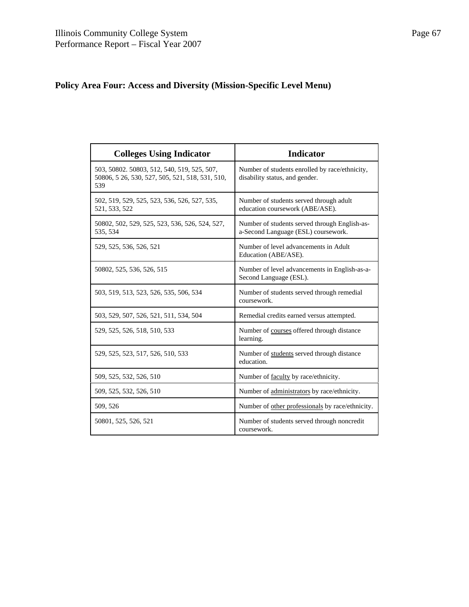# **Policy Area Four: Access and Diversity (Mission-Specific Level Menu)**

| <b>Colleges Using Indicator</b>                                                                       | <b>Indicator</b>                                                                     |
|-------------------------------------------------------------------------------------------------------|--------------------------------------------------------------------------------------|
| 503, 50802. 50803, 512, 540, 519, 525, 507,<br>50806, 5 26, 530, 527, 505, 521, 518, 531, 510,<br>539 | Number of students enrolled by race/ethnicity,<br>disability status, and gender.     |
| 502, 519, 529, 525, 523, 536, 526, 527, 535,<br>521, 533, 522                                         | Number of students served through adult<br>education coursework (ABE/ASE).           |
| 50802, 502, 529, 525, 523, 536, 526, 524, 527,<br>535, 534                                            | Number of students served through English-as-<br>a-Second Language (ESL) coursework. |
| 529, 525, 536, 526, 521                                                                               | Number of level advancements in Adult<br>Education (ABE/ASE).                        |
| 50802, 525, 536, 526, 515                                                                             | Number of level advancements in English-as-a-<br>Second Language (ESL).              |
| 503, 519, 513, 523, 526, 535, 506, 534                                                                | Number of students served through remedial<br>coursework.                            |
| 503, 529, 507, 526, 521, 511, 534, 504                                                                | Remedial credits earned versus attempted.                                            |
| 529, 525, 526, 518, 510, 533                                                                          | Number of courses offered through distance<br>learning.                              |
| 529, 525, 523, 517, 526, 510, 533                                                                     | Number of students served through distance<br>education.                             |
| 509, 525, 532, 526, 510                                                                               | Number of faculty by race/ethnicity.                                                 |
| 509, 525, 532, 526, 510                                                                               | Number of administrators by race/ethnicity.                                          |
| 509, 526                                                                                              | Number of other professionals by race/ethnicity.                                     |
| 50801, 525, 526, 521                                                                                  | Number of students served through noncredit<br>coursework.                           |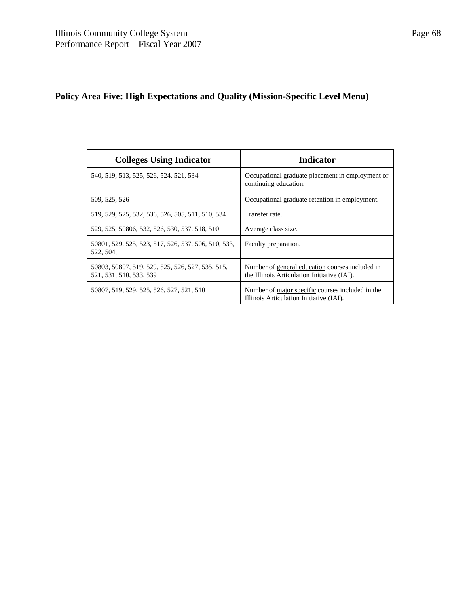# **Policy Area Five: High Expectations and Quality (Mission-Specific Level Menu)**

| <b>Colleges Using Indicator</b>                                             | Indicator                                                                                      |
|-----------------------------------------------------------------------------|------------------------------------------------------------------------------------------------|
| 540, 519, 513, 525, 526, 524, 521, 534                                      | Occupational graduate placement in employment or<br>continuing education.                      |
| 509, 525, 526                                                               | Occupational graduate retention in employment.                                                 |
| 519, 529, 525, 532, 536, 526, 505, 511, 510, 534                            | Transfer rate.                                                                                 |
| 529, 525, 50806, 532, 526, 530, 537, 518, 510                               | Average class size.                                                                            |
| 50801, 529, 525, 523, 517, 526, 537, 506, 510, 533,<br>522, 504,            | Faculty preparation.                                                                           |
| 50803, 50807, 519, 529, 525, 526, 527, 535, 515,<br>521, 531, 510, 533, 539 | Number of general education courses included in<br>the Illinois Articulation Initiative (IAI). |
| 50807, 519, 529, 525, 526, 527, 521, 510                                    | Number of major specific courses included in the<br>Illinois Articulation Initiative (IAI).    |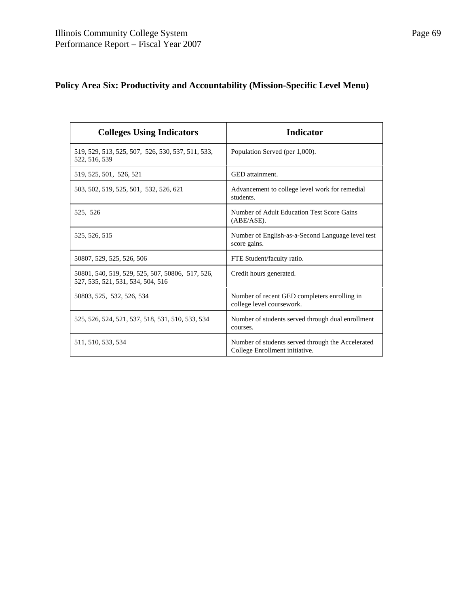# **Policy Area Six: Productivity and Accountability (Mission-Specific Level Menu)**

| <b>Colleges Using Indicators</b>                                                      | <b>Indicator</b>                                                                    |
|---------------------------------------------------------------------------------------|-------------------------------------------------------------------------------------|
| 519, 529, 513, 525, 507, 526, 530, 537, 511, 533,<br>522, 516, 539                    | Population Served (per 1,000).                                                      |
| 519, 525, 501, 526, 521                                                               | GED attainment.                                                                     |
| 503, 502, 519, 525, 501, 532, 526, 621                                                | Advancement to college level work for remedial<br>students.                         |
| 525, 526                                                                              | Number of Adult Education Test Score Gains<br>$(ABE/ASE)$ .                         |
| 525, 526, 515                                                                         | Number of English-as-a-Second Language level test<br>score gains.                   |
| 50807, 529, 525, 526, 506                                                             | FTE Student/faculty ratio.                                                          |
| 50801, 540, 519, 529, 525, 507, 50806, 517, 526,<br>527, 535, 521, 531, 534, 504, 516 | Credit hours generated.                                                             |
| 50803, 525, 532, 526, 534                                                             | Number of recent GED completers enrolling in<br>college level coursework.           |
| 525, 526, 524, 521, 537, 518, 531, 510, 533, 534                                      | Number of students served through dual enrollment<br>courses.                       |
| 511, 510, 533, 534                                                                    | Number of students served through the Accelerated<br>College Enrollment initiative. |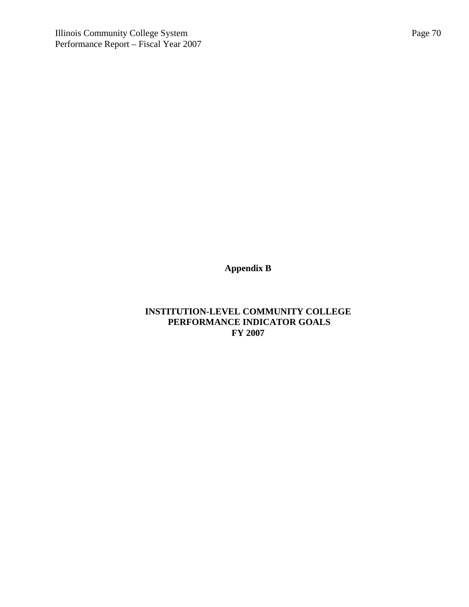**Appendix B**

# **INSTITUTION-LEVEL COMMUNITY COLLEGE PERFORMANCE INDICATOR GOALS FY 2007**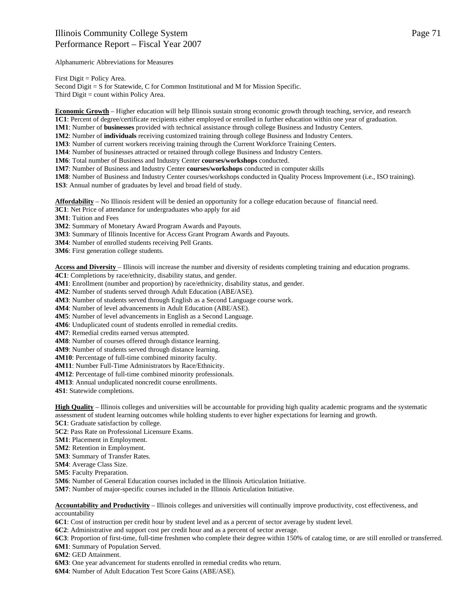Alphanumeric Abbreviations for Measures

First Digit = Policy Area.

Second Digit = S for Statewide, C for Common Institutional and M for Mission Specific. Third Digit = count within Policy Area.

**Economic Growth** – Higher education will help Illinois sustain strong economic growth through teaching, service, and research **1C1**: Percent of degree/certificate recipients either employed or enrolled in further education within one year of graduation.

**1M1**: Number of **businesses** provided with technical assistance through college Business and Industry Centers.

**1M2**: Number of **individuals** receiving customized training through college Business and Industry Centers.

**1M3**: Number of current workers receiving training through the Current Workforce Training Centers.

**1M4**: Number of businesses attracted or retained through college Business and Industry Centers.

**1M6**: Total number of Business and Industry Center **courses/workshops** conducted.

**1M7**: Number of Business and Industry Center **courses/workshops** conducted in computer skills

**1M8**: Number of Business and Industry Center courses/workshops conducted in Quality Process Improvement (i.e., ISO training). **1S3**: Annual number of graduates by level and broad field of study.

**Affordability** – No Illinois resident will be denied an opportunity for a college education because of financial need.

**3C1**: Net Price of attendance for undergraduates who apply for aid

**3M1**: Tuition and Fees

**3M2**: Summary of Monetary Award Program Awards and Payouts.

**3M3**: Summary of Illinois Incentive for Access Grant Program Awards and Payouts.

**3M4**: Number of enrolled students receiving Pell Grants.

**3M6**: First generation college students.

**Access and Diversity** – Illinois will increase the number and diversity of residents completing training and education programs.

**4C1**: Completions by race/ethnicity, disability status, and gender.

**4M1**: Enrollment (number and proportion) by race/ethnicity, disability status, and gender.

**4M2**: Number of students served through Adult Education (ABE/ASE).

**4M3**: Number of students served through English as a Second Language course work.

**4M4**: Number of level advancements in Adult Education (ABE/ASE).

**4M5**: Number of level advancements in English as a Second Language.

**4M6**: Unduplicated count of students enrolled in remedial credits.

**4M7**: Remedial credits earned versus attempted.

**4M8**: Number of courses offered through distance learning.

**4M9**: Number of students served through distance learning.

**4M10**: Percentage of full-time combined minority faculty.

**4M11**: Number Full-Time Administrators by Race/Ethnicity.

**4M12**: Percentage of full-time combined minority professionals.

**4M13**: Annual unduplicated noncredit course enrollments.

**4S1**: Statewide completions.

**High Quality** – Illinois colleges and universities will be accountable for providing high quality academic programs and the systematic assessment of student learning outcomes while holding students to ever higher expectations for learning and growth.

**5C1**: Graduate satisfaction by college.

**5C2**: Pass Rate on Professional Licensure Exams.

**5M1**: Placement in Employment.

**5M2**: Retention in Employment.

**5M3**: Summary of Transfer Rates.

**5M4**: Average Class Size.

**5M5**: Faculty Preparation.

**5M6**: Number of General Education courses included in the Illinois Articulation Initiative.

**5M7**: Number of major-specific courses included in the Illinois Articulation Initiative.

**Accountability and Productivity** – Illinois colleges and universities will continually improve productivity, cost effectiveness, and accountability

**6C1**: Cost of instruction per credit hour by student level and as a percent of sector average by student level.

**6C2**: Administrative and support cost per credit hour and as a percent of sector average.

**6C3**: Proportion of first-time, full-time freshmen who complete their degree within 150% of catalog time, or are still enrolled or transferred.

**6M1**: Summary of Population Served.

**6M2**: GED Attainment.

**6M3**: One year advancement for students enrolled in remedial credits who return.

**6M4**: Number of Adult Education Test Score Gains (ABE/ASE).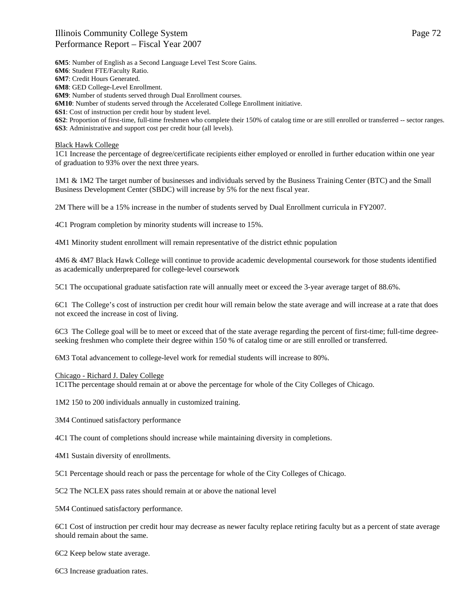**6M5**: Number of English as a Second Language Level Test Score Gains.

**6M6**: Student FTE/Faculty Ratio.

**6M7**: Credit Hours Generated.

**6M8**: GED College-Level Enrollment.

**6M9**: Number of students served through Dual Enrollment courses.

**6M10**: Number of students served through the Accelerated College Enrollment initiative.

**6S1**: Cost of instruction per credit hour by student level.

**6S2**: Proportion of first-time, full-time freshmen who complete their 150% of catalog time or are still enrolled or transferred -- sector ranges. **6S3**: Administrative and support cost per credit hour (all levels).

### Black Hawk College

1C1 Increase the percentage of degree/certificate recipients either employed or enrolled in further education within one year of graduation to 93% over the next three years.

1M1 & 1M2 The target number of businesses and individuals served by the Business Training Center (BTC) and the Small Business Development Center (SBDC) will increase by 5% for the next fiscal year.

2M There will be a 15% increase in the number of students served by Dual Enrollment curricula in FY2007.

4C1 Program completion by minority students will increase to 15%.

4M1 Minority student enrollment will remain representative of the district ethnic population

4M6 & 4M7 Black Hawk College will continue to provide academic developmental coursework for those students identified as academically underprepared for college-level coursework

5C1 The occupational graduate satisfaction rate will annually meet or exceed the 3-year average target of 88.6%.

6C1 The College's cost of instruction per credit hour will remain below the state average and will increase at a rate that does not exceed the increase in cost of living.

6C3 The College goal will be to meet or exceed that of the state average regarding the percent of first-time; full-time degreeseeking freshmen who complete their degree within 150 % of catalog time or are still enrolled or transferred.

6M3 Total advancement to college-level work for remedial students will increase to 80%.

#### Chicago - Richard J. Daley College

1C1The percentage should remain at or above the percentage for whole of the City Colleges of Chicago.

1M2 150 to 200 individuals annually in customized training.

3M4 Continued satisfactory performance

4C1 The count of completions should increase while maintaining diversity in completions.

4M1 Sustain diversity of enrollments.

5C1 Percentage should reach or pass the percentage for whole of the City Colleges of Chicago.

5C2 The NCLEX pass rates should remain at or above the national level

5M4 Continued satisfactory performance.

6C1 Cost of instruction per credit hour may decrease as newer faculty replace retiring faculty but as a percent of state average should remain about the same.

6C2 Keep below state average.

6C3 Increase graduation rates.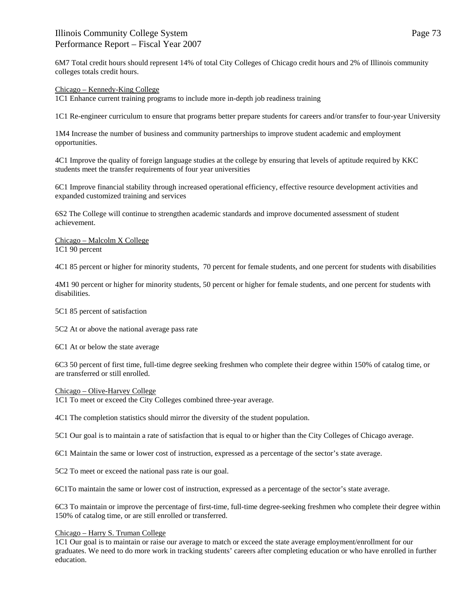6M7 Total credit hours should represent 14% of total City Colleges of Chicago credit hours and 2% of Illinois community colleges totals credit hours.

### Chicago – Kennedy-King College

1C1 Enhance current training programs to include more in-depth job readiness training

1C1 Re-engineer curriculum to ensure that programs better prepare students for careers and/or transfer to four-year University

1M4 Increase the number of business and community partnerships to improve student academic and employment opportunities.

4C1 Improve the quality of foreign language studies at the college by ensuring that levels of aptitude required by KKC students meet the transfer requirements of four year universities

6C1 Improve financial stability through increased operational efficiency, effective resource development activities and expanded customized training and services

6S2 The College will continue to strengthen academic standards and improve documented assessment of student achievement.

Chicago – Malcolm X College 1C1 90 percent

4C1 85 percent or higher for minority students, 70 percent for female students, and one percent for students with disabilities

4M1 90 percent or higher for minority students, 50 percent or higher for female students, and one percent for students with disabilities.

5C1 85 percent of satisfaction

5C2 At or above the national average pass rate

6C1 At or below the state average

6C3 50 percent of first time, full-time degree seeking freshmen who complete their degree within 150% of catalog time, or are transferred or still enrolled.

Chicago – Olive-Harvey College

1C1 To meet or exceed the City Colleges combined three-year average.

4C1 The completion statistics should mirror the diversity of the student population.

5C1 Our goal is to maintain a rate of satisfaction that is equal to or higher than the City Colleges of Chicago average.

6C1 Maintain the same or lower cost of instruction, expressed as a percentage of the sector's state average.

5C2 To meet or exceed the national pass rate is our goal.

6C1To maintain the same or lower cost of instruction, expressed as a percentage of the sector's state average.

6C3 To maintain or improve the percentage of first-time, full-time degree-seeking freshmen who complete their degree within 150% of catalog time, or are still enrolled or transferred.

### Chicago – Harry S. Truman College

1C1 Our goal is to maintain or raise our average to match or exceed the state average employment/enrollment for our graduates. We need to do more work in tracking students' careers after completing education or who have enrolled in further education.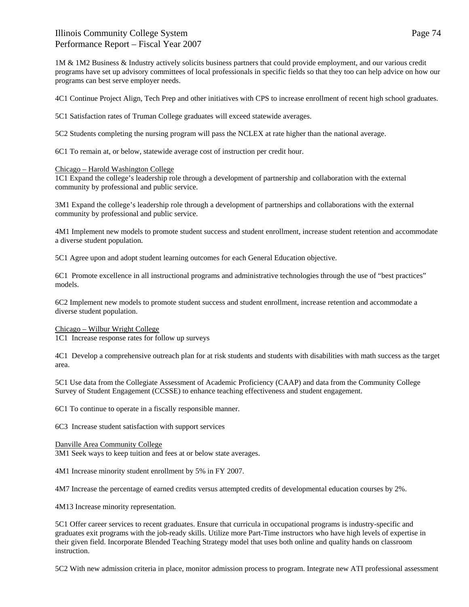1M & 1M2 Business & Industry actively solicits business partners that could provide employment, and our various credit programs have set up advisory committees of local professionals in specific fields so that they too can help advice on how our programs can best serve employer needs.

4C1 Continue Project Align, Tech Prep and other initiatives with CPS to increase enrollment of recent high school graduates.

5C1 Satisfaction rates of Truman College graduates will exceed statewide averages.

5C2 Students completing the nursing program will pass the NCLEX at rate higher than the national average.

6C1 To remain at, or below, statewide average cost of instruction per credit hour.

### Chicago – Harold Washington College

1C1 Expand the college's leadership role through a development of partnership and collaboration with the external community by professional and public service.

3M1 Expand the college's leadership role through a development of partnerships and collaborations with the external community by professional and public service.

4M1 Implement new models to promote student success and student enrollment, increase student retention and accommodate a diverse student population.

5C1 Agree upon and adopt student learning outcomes for each General Education objective.

6C1 Promote excellence in all instructional programs and administrative technologies through the use of "best practices" models.

6C2 Implement new models to promote student success and student enrollment, increase retention and accommodate a diverse student population.

### Chicago – Wilbur Wright College

1C1 Increase response rates for follow up surveys

4C1 Develop a comprehensive outreach plan for at risk students and students with disabilities with math success as the target area.

5C1 Use data from the Collegiate Assessment of Academic Proficiency (CAAP) and data from the Community College Survey of Student Engagement (CCSSE) to enhance teaching effectiveness and student engagement.

6C1 To continue to operate in a fiscally responsible manner.

6C3 Increase student satisfaction with support services

Danville Area Community College 3M1 Seek ways to keep tuition and fees at or below state averages.

4M1 Increase minority student enrollment by 5% in FY 2007.

4M7 Increase the percentage of earned credits versus attempted credits of developmental education courses by 2%.

4M13 Increase minority representation.

5C1 Offer career services to recent graduates. Ensure that curricula in occupational programs is industry-specific and graduates exit programs with the job-ready skills. Utilize more Part-Time instructors who have high levels of expertise in their given field. Incorporate Blended Teaching Strategy model that uses both online and quality hands on classroom instruction.

5C2 With new admission criteria in place, monitor admission process to program. Integrate new ATI professional assessment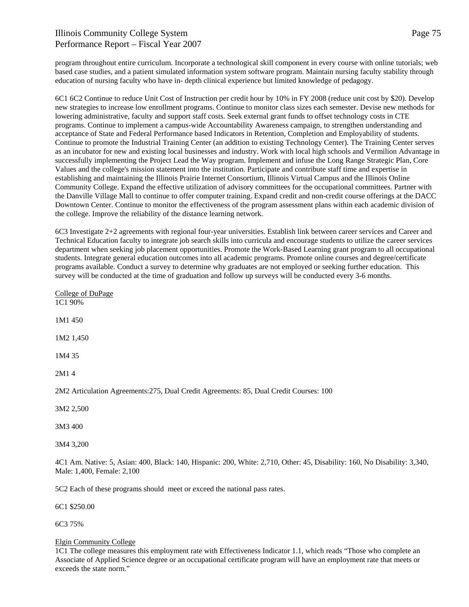program throughout entire curriculum. Incorporate a technological skill component in every course with online tutorials; web based case studies, and a patient simulated information system software program. Maintain nursing faculty stability through education of nursing faculty who have in- depth clinical experience but limited knowledge of pedagogy.

6C1 6C2 Continue to reduce Unit Cost of Instruction per credit hour by 10% in FY 2008 (reduce unit cost by \$20). Develop new strategies to increase low enrollment programs. Continue to monitor class sizes each semester. Devise new methods for lowering administrative, faculty and support staff costs. Seek external grant funds to offset technology costs in CTE programs. Continue to implement a campus-wide Accountability Awareness campaign, to strengthen understanding and acceptance of State and Federal Performance based Indicators in Retention, Completion and Employability of students. Continue to promote the Industrial Training Center (an addition to existing Technology Center). The Training Center serves as an incubator for new and existing local businesses and industry. Work with local high schools and Vermilion Advantage in successfully implementing the Project Lead the Way program. Implement and infuse the Long Range Strategic Plan, Core Values and the college's mission statement into the institution. Participate and contribute staff time and expertise in establishing and maintaining the Illinois Prairie Internet Consortium, Illinois Virtual Campus and the Illinois Online Community College. Expand the effective utilization of advisory committees for the occupational committees. Partner with the Danville Village Mall to continue to offer computer training. Expand credit and non-credit course offerings at the DACC Downtown Center. Continue to monitor the effectiveness of the program assessment plans within each academic division of the college. Improve the reliability of the distance learning network.

6C3 Investigate 2+2 agreements with regional four-year universities. Establish link between career services and Career and Technical Education faculty to integrate job search skills into curricula and encourage students to utilize the career services department when seeking job placement opportunities. Promote the Work-Based Learning grant program to all occupational students. Integrate general education outcomes into all academic programs. Promote online courses and degree/certificate programs available. Conduct a survey to determine why graduates are not employed or seeking further education. This survey will be conducted at the time of graduation and follow up surveys will be conducted every 3-6 months.

College of DuPage 1C1 90% 1M1 450 1M2 1,450 1M4 35 2M1 4 2M2 Articulation Agreements:275, Dual Credit Agreements: 85, Dual Credit Courses: 100

3M2 2,500

3M3 400

3M4 3,200

4C1 Am. Native: 5, Asian: 400, Black: 140, Hispanic: 200, White: 2,710, Other: 45, Disability: 160, No Disability: 3,340, Male: 1,400, Female: 2,100

5C2 Each of these programs should meet or exceed the national pass rates.

6C1 \$250.00

6C3 75%

### Elgin Community College

1C1 The college measures this employment rate with Effectiveness Indicator 1.1, which reads "Those who complete an Associate of Applied Science degree or an occupational certificate program will have an employment rate that meets or exceeds the state norm."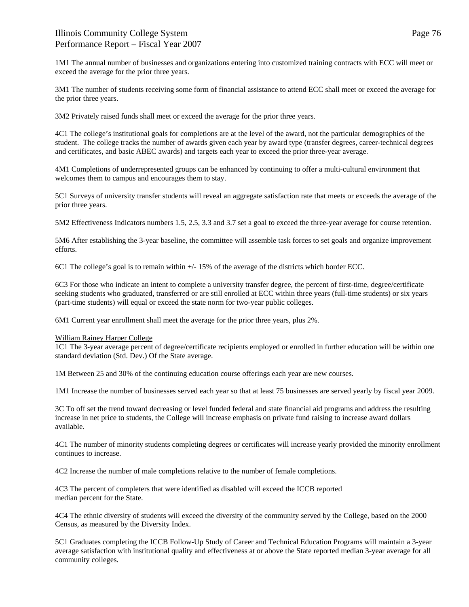1M1 The annual number of businesses and organizations entering into customized training contracts with ECC will meet or exceed the average for the prior three years.

3M1 The number of students receiving some form of financial assistance to attend ECC shall meet or exceed the average for the prior three years.

3M2 Privately raised funds shall meet or exceed the average for the prior three years.

4C1 The college's institutional goals for completions are at the level of the award, not the particular demographics of the student. The college tracks the number of awards given each year by award type (transfer degrees, career-technical degrees and certificates, and basic ABEC awards) and targets each year to exceed the prior three-year average.

4M1 Completions of underrepresented groups can be enhanced by continuing to offer a multi-cultural environment that welcomes them to campus and encourages them to stay.

5C1 Surveys of university transfer students will reveal an aggregate satisfaction rate that meets or exceeds the average of the prior three years.

5M2 Effectiveness Indicators numbers 1.5, 2.5, 3.3 and 3.7 set a goal to exceed the three-year average for course retention.

5M6 After establishing the 3-year baseline, the committee will assemble task forces to set goals and organize improvement efforts.

6C1 The college's goal is to remain within +/- 15% of the average of the districts which border ECC.

6C3 For those who indicate an intent to complete a university transfer degree, the percent of first-time, degree/certificate seeking students who graduated, transferred or are still enrolled at ECC within three years (full-time students) or six years (part-time students) will equal or exceed the state norm for two-year public colleges.

6M1 Current year enrollment shall meet the average for the prior three years, plus 2%.

#### William Rainey Harper College

1C1 The 3-year average percent of degree/certificate recipients employed or enrolled in further education will be within one standard deviation (Std. Dev.) Of the State average.

1M Between 25 and 30% of the continuing education course offerings each year are new courses.

1M1 Increase the number of businesses served each year so that at least 75 businesses are served yearly by fiscal year 2009.

3C To off set the trend toward decreasing or level funded federal and state financial aid programs and address the resulting increase in net price to students, the College will increase emphasis on private fund raising to increase award dollars available.

4C1 The number of minority students completing degrees or certificates will increase yearly provided the minority enrollment continues to increase.

4C2 Increase the number of male completions relative to the number of female completions.

4C3 The percent of completers that were identified as disabled will exceed the ICCB reported median percent for the State.

4C4 The ethnic diversity of students will exceed the diversity of the community served by the College, based on the 2000 Census, as measured by the Diversity Index.

5C1 Graduates completing the ICCB Follow-Up Study of Career and Technical Education Programs will maintain a 3-year average satisfaction with institutional quality and effectiveness at or above the State reported median 3-year average for all community colleges.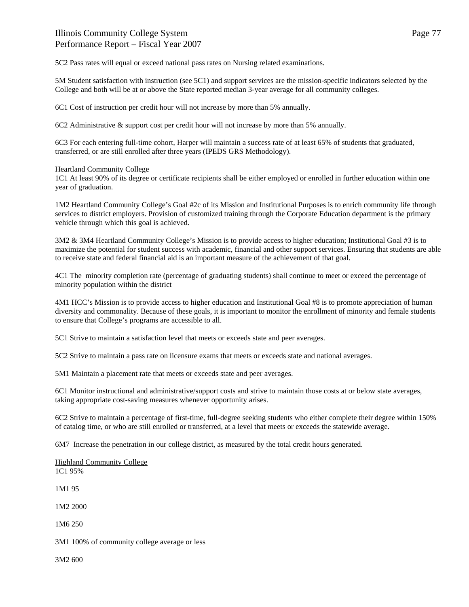5C2 Pass rates will equal or exceed national pass rates on Nursing related examinations.

5M Student satisfaction with instruction (see 5C1) and support services are the mission-specific indicators selected by the College and both will be at or above the State reported median 3-year average for all community colleges.

6C1 Cost of instruction per credit hour will not increase by more than 5% annually.

6C2 Administrative & support cost per credit hour will not increase by more than 5% annually.

6C3 For each entering full-time cohort, Harper will maintain a success rate of at least 65% of students that graduated, transferred, or are still enrolled after three years (IPEDS GRS Methodology).

### Heartland Community College

1C1 At least 90% of its degree or certificate recipients shall be either employed or enrolled in further education within one year of graduation.

1M2 Heartland Community College's Goal #2c of its Mission and Institutional Purposes is to enrich community life through services to district employers. Provision of customized training through the Corporate Education department is the primary vehicle through which this goal is achieved.

3M2 & 3M4 Heartland Community College's Mission is to provide access to higher education; Institutional Goal #3 is to maximize the potential for student success with academic, financial and other support services. Ensuring that students are able to receive state and federal financial aid is an important measure of the achievement of that goal.

4C1 The minority completion rate (percentage of graduating students) shall continue to meet or exceed the percentage of minority population within the district

4M1 HCC's Mission is to provide access to higher education and Institutional Goal #8 is to promote appreciation of human diversity and commonality. Because of these goals, it is important to monitor the enrollment of minority and female students to ensure that College's programs are accessible to all.

5C1 Strive to maintain a satisfaction level that meets or exceeds state and peer averages.

5C2 Strive to maintain a pass rate on licensure exams that meets or exceeds state and national averages.

5M1 Maintain a placement rate that meets or exceeds state and peer averages.

6C1 Monitor instructional and administrative/support costs and strive to maintain those costs at or below state averages, taking appropriate cost-saving measures whenever opportunity arises.

6C2 Strive to maintain a percentage of first-time, full-degree seeking students who either complete their degree within 150% of catalog time, or who are still enrolled or transferred, at a level that meets or exceeds the statewide average.

6M7 Increase the penetration in our college district, as measured by the total credit hours generated.

Highland Community College 1C1 95%

1M1 95

1M2 2000

1M6 250

3M1 100% of community college average or less

3M2 600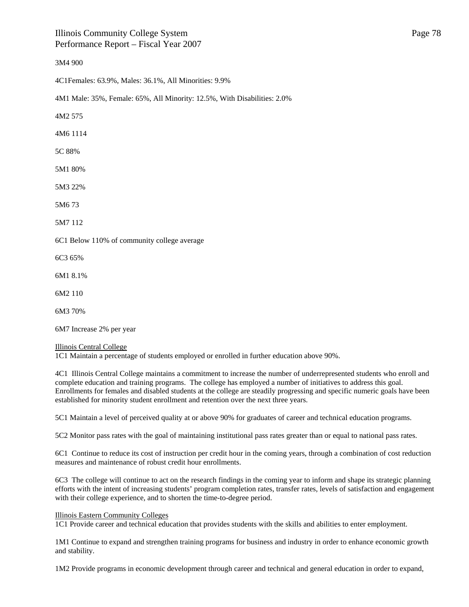### 3M4 900

4C1Females: 63.9%, Males: 36.1%, All Minorities: 9.9%

4M1 Male: 35%, Female: 65%, All Minority: 12.5%, With Disabilities: 2.0%

4M2 575

4M6 1114

5C 88%

5M1 80%

5M3 22%

5M6 73

5M7 112

6C1 Below 110% of community college average

6C3 65%

6M1 8.1%

6M2 110

6M3 70%

6M7 Increase 2% per year

### Illinois Central College

1C1 Maintain a percentage of students employed or enrolled in further education above 90%.

4C1 Illinois Central College maintains a commitment to increase the number of underrepresented students who enroll and complete education and training programs. The college has employed a number of initiatives to address this goal. Enrollments for females and disabled students at the college are steadily progressing and specific numeric goals have been established for minority student enrollment and retention over the next three years.

5C1 Maintain a level of perceived quality at or above 90% for graduates of career and technical education programs.

5C2 Monitor pass rates with the goal of maintaining institutional pass rates greater than or equal to national pass rates.

6C1 Continue to reduce its cost of instruction per credit hour in the coming years, through a combination of cost reduction measures and maintenance of robust credit hour enrollments.

6C3 The college will continue to act on the research findings in the coming year to inform and shape its strategic planning efforts with the intent of increasing students' program completion rates, transfer rates, levels of satisfaction and engagement with their college experience, and to shorten the time-to-degree period.

### Illinois Eastern Community Colleges

1C1 Provide career and technical education that provides students with the skills and abilities to enter employment.

1M1 Continue to expand and strengthen training programs for business and industry in order to enhance economic growth and stability.

1M2 Provide programs in economic development through career and technical and general education in order to expand,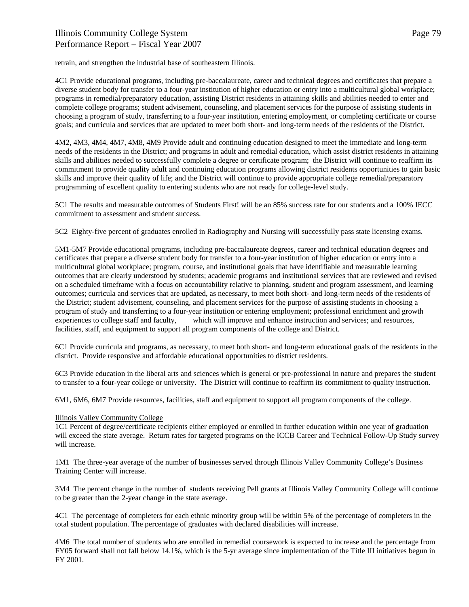retrain, and strengthen the industrial base of southeastern Illinois.

4C1 Provide educational programs, including pre-baccalaureate, career and technical degrees and certificates that prepare a diverse student body for transfer to a four-year institution of higher education or entry into a multicultural global workplace; programs in remedial/preparatory education, assisting District residents in attaining skills and abilities needed to enter and complete college programs; student advisement, counseling, and placement services for the purpose of assisting students in choosing a program of study, transferring to a four-year institution, entering employment, or completing certificate or course goals; and curricula and services that are updated to meet both short- and long-term needs of the residents of the District.

4M2, 4M3, 4M4, 4M7, 4M8, 4M9 Provide adult and continuing education designed to meet the immediate and long-term needs of the residents in the District; and programs in adult and remedial education, which assist district residents in attaining skills and abilities needed to successfully complete a degree or certificate program; the District will continue to reaffirm its commitment to provide quality adult and continuing education programs allowing district residents opportunities to gain basic skills and improve their quality of life; and the District will continue to provide appropriate college remedial/preparatory programming of excellent quality to entering students who are not ready for college-level study.

5C1 The results and measurable outcomes of Students First! will be an 85% success rate for our students and a 100% IECC commitment to assessment and student success.

5C2 Eighty-five percent of graduates enrolled in Radiography and Nursing will successfully pass state licensing exams.

5M1-5M7 Provide educational programs, including pre-baccalaureate degrees, career and technical education degrees and certificates that prepare a diverse student body for transfer to a four-year institution of higher education or entry into a multicultural global workplace; program, course, and institutional goals that have identifiable and measurable learning outcomes that are clearly understood by students; academic programs and institutional services that are reviewed and revised on a scheduled timeframe with a focus on accountability relative to planning, student and program assessment, and learning outcomes; curricula and services that are updated, as necessary, to meet both short- and long-term needs of the residents of the District; student advisement, counseling, and placement services for the purpose of assisting students in choosing a program of study and transferring to a four-year institution or entering employment; professional enrichment and growth experiences to college staff and faculty, which will improve and enhance instruction and services; and resources, facilities, staff, and equipment to support all program components of the college and District.

6C1 Provide curricula and programs, as necessary, to meet both short- and long-term educational goals of the residents in the district. Provide responsive and affordable educational opportunities to district residents.

6C3 Provide education in the liberal arts and sciences which is general or pre-professional in nature and prepares the student to transfer to a four-year college or university. The District will continue to reaffirm its commitment to quality instruction.

6M1, 6M6, 6M7 Provide resources, facilities, staff and equipment to support all program components of the college.

### Illinois Valley Community College

1C1 Percent of degree/certificate recipients either employed or enrolled in further education within one year of graduation will exceed the state average. Return rates for targeted programs on the ICCB Career and Technical Follow-Up Study survey will increase.

1M1 The three-year average of the number of businesses served through Illinois Valley Community College's Business Training Center will increase.

3M4 The percent change in the number of students receiving Pell grants at Illinois Valley Community College will continue to be greater than the 2-year change in the state average.

4C1 The percentage of completers for each ethnic minority group will be within 5% of the percentage of completers in the total student population. The percentage of graduates with declared disabilities will increase.

4M6 The total number of students who are enrolled in remedial coursework is expected to increase and the percentage from FY05 forward shall not fall below 14.1%, which is the 5-yr average since implementation of the Title III initiatives begun in FY 2001.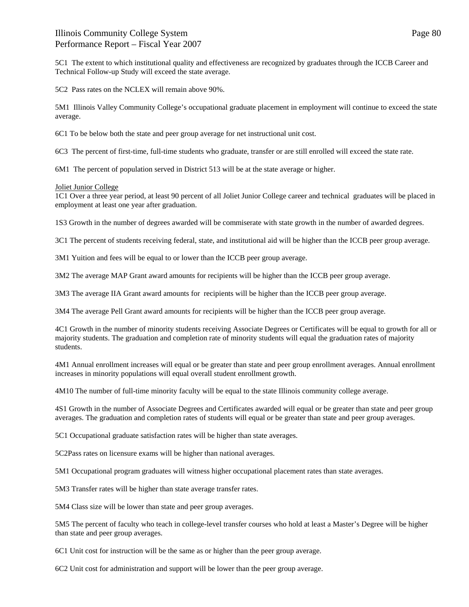5C1 The extent to which institutional quality and effectiveness are recognized by graduates through the ICCB Career and Technical Follow-up Study will exceed the state average.

5C2 Pass rates on the NCLEX will remain above 90%.

5M1 Illinois Valley Community College's occupational graduate placement in employment will continue to exceed the state average.

6C1 To be below both the state and peer group average for net instructional unit cost.

6C3 The percent of first-time, full-time students who graduate, transfer or are still enrolled will exceed the state rate.

6M1 The percent of population served in District 513 will be at the state average or higher.

### Joliet Junior College

1C1 Over a three year period, at least 90 percent of all Joliet Junior College career and technical graduates will be placed in employment at least one year after graduation.

1S3 Growth in the number of degrees awarded will be commiserate with state growth in the number of awarded degrees.

3C1 The percent of students receiving federal, state, and institutional aid will be higher than the ICCB peer group average.

3M1 Yuition and fees will be equal to or lower than the ICCB peer group average.

3M2 The average MAP Grant award amounts for recipients will be higher than the ICCB peer group average.

3M3 The average IIA Grant award amounts for recipients will be higher than the ICCB peer group average.

3M4 The average Pell Grant award amounts for recipients will be higher than the ICCB peer group average.

4C1 Growth in the number of minority students receiving Associate Degrees or Certificates will be equal to growth for all or majority students. The graduation and completion rate of minority students will equal the graduation rates of majority students.

4M1 Annual enrollment increases will equal or be greater than state and peer group enrollment averages. Annual enrollment increases in minority populations will equal overall student enrollment growth.

4M10 The number of full-time minority faculty will be equal to the state Illinois community college average.

4S1 Growth in the number of Associate Degrees and Certificates awarded will equal or be greater than state and peer group averages. The graduation and completion rates of students will equal or be greater than state and peer group averages.

5C1 Occupational graduate satisfaction rates will be higher than state averages.

5C2Pass rates on licensure exams will be higher than national averages.

5M1 Occupational program graduates will witness higher occupational placement rates than state averages.

5M3 Transfer rates will be higher than state average transfer rates.

5M4 Class size will be lower than state and peer group averages.

5M5 The percent of faculty who teach in college-level transfer courses who hold at least a Master's Degree will be higher than state and peer group averages.

6C1 Unit cost for instruction will be the same as or higher than the peer group average.

6C2 Unit cost for administration and support will be lower than the peer group average.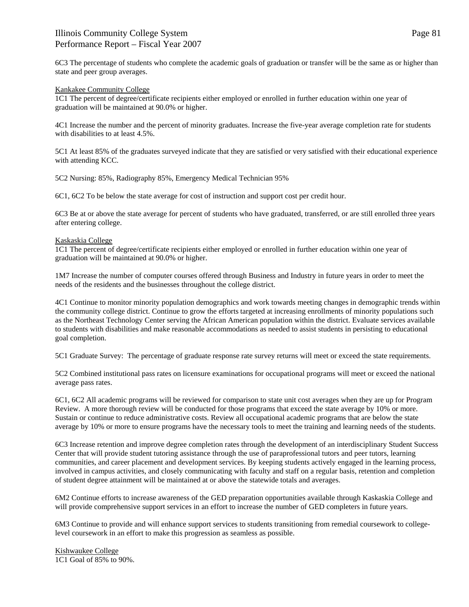6C3 The percentage of students who complete the academic goals of graduation or transfer will be the same as or higher than state and peer group averages.

### Kankakee Community College

1C1 The percent of degree/certificate recipients either employed or enrolled in further education within one year of graduation will be maintained at 90.0% or higher.

4C1 Increase the number and the percent of minority graduates. Increase the five-year average completion rate for students with disabilities to at least 4.5%.

5C1 At least 85% of the graduates surveyed indicate that they are satisfied or very satisfied with their educational experience with attending KCC.

5C2 Nursing: 85%, Radiography 85%, Emergency Medical Technician 95%

6C1, 6C2 To be below the state average for cost of instruction and support cost per credit hour.

6C3 Be at or above the state average for percent of students who have graduated, transferred, or are still enrolled three years after entering college.

### Kaskaskia College

1C1 The percent of degree/certificate recipients either employed or enrolled in further education within one year of graduation will be maintained at 90.0% or higher.

1M7 Increase the number of computer courses offered through Business and Industry in future years in order to meet the needs of the residents and the businesses throughout the college district.

4C1 Continue to monitor minority population demographics and work towards meeting changes in demographic trends within the community college district. Continue to grow the efforts targeted at increasing enrollments of minority populations such as the Northeast Technology Center serving the African American population within the district. Evaluate services available to students with disabilities and make reasonable accommodations as needed to assist students in persisting to educational goal completion.

5C1 Graduate Survey: The percentage of graduate response rate survey returns will meet or exceed the state requirements.

5C2 Combined institutional pass rates on licensure examinations for occupational programs will meet or exceed the national average pass rates.

6C1, 6C2 All academic programs will be reviewed for comparison to state unit cost averages when they are up for Program Review. A more thorough review will be conducted for those programs that exceed the state average by 10% or more. Sustain or continue to reduce administrative costs. Review all occupational academic programs that are below the state average by 10% or more to ensure programs have the necessary tools to meet the training and learning needs of the students.

6C3 Increase retention and improve degree completion rates through the development of an interdisciplinary Student Success Center that will provide student tutoring assistance through the use of paraprofessional tutors and peer tutors, learning communities, and career placement and development services. By keeping students actively engaged in the learning process, involved in campus activities, and closely communicating with faculty and staff on a regular basis, retention and completion of student degree attainment will be maintained at or above the statewide totals and averages.

6M2 Continue efforts to increase awareness of the GED preparation opportunities available through Kaskaskia College and will provide comprehensive support services in an effort to increase the number of GED completers in future years.

6M3 Continue to provide and will enhance support services to students transitioning from remedial coursework to collegelevel coursework in an effort to make this progression as seamless as possible.

Kishwaukee College 1C1 Goal of 85% to 90%.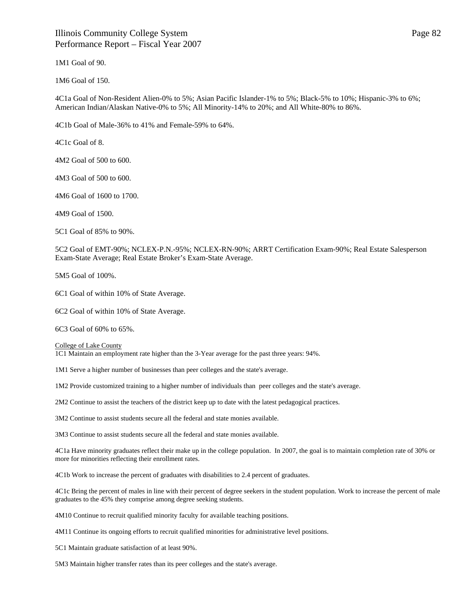1M1 Goal of 90.

1M6 Goal of 150.

4C1a Goal of Non-Resident Alien-0% to 5%; Asian Pacific Islander-1% to 5%; Black-5% to 10%; Hispanic-3% to 6%; American Indian/Alaskan Native-0% to 5%; All Minority-14% to 20%; and All White-80% to 86%.

4C1b Goal of Male-36% to 41% and Female-59% to 64%.

4C1c Goal of 8.

4M2 Goal of 500 to 600.

4M3 Goal of 500 to 600.

4M6 Goal of 1600 to 1700.

4M9 Goal of 1500.

5C1 Goal of 85% to 90%.

5C2 Goal of EMT-90%; NCLEX-P.N.-95%; NCLEX-RN-90%; ARRT Certification Exam-90%; Real Estate Salesperson Exam-State Average; Real Estate Broker's Exam-State Average.

5M5 Goal of 100%.

6C1 Goal of within 10% of State Average.

6C2 Goal of within 10% of State Average.

6C3 Goal of 60% to 65%.

College of Lake County

1C1 Maintain an employment rate higher than the 3-Year average for the past three years: 94%.

1M1 Serve a higher number of businesses than peer colleges and the state's average.

1M2 Provide customized training to a higher number of individuals than peer colleges and the state's average.

2M2 Continue to assist the teachers of the district keep up to date with the latest pedagogical practices.

3M2 Continue to assist students secure all the federal and state monies available.

3M3 Continue to assist students secure all the federal and state monies available.

4C1a Have minority graduates reflect their make up in the college population. In 2007, the goal is to maintain completion rate of 30% or more for minorities reflecting their enrollment rates.

4C1b Work to increase the percent of graduates with disabilities to 2.4 percent of graduates.

4C1c Bring the percent of males in line with their percent of degree seekers in the student population. Work to increase the percent of male graduates to the 45% they comprise among degree seeking students.

4M10 Continue to recruit qualified minority faculty for available teaching positions.

4M11 Continue its ongoing efforts to recruit qualified minorities for administrative level positions.

5C1 Maintain graduate satisfaction of at least 90%.

5M3 Maintain higher transfer rates than its peer colleges and the state's average.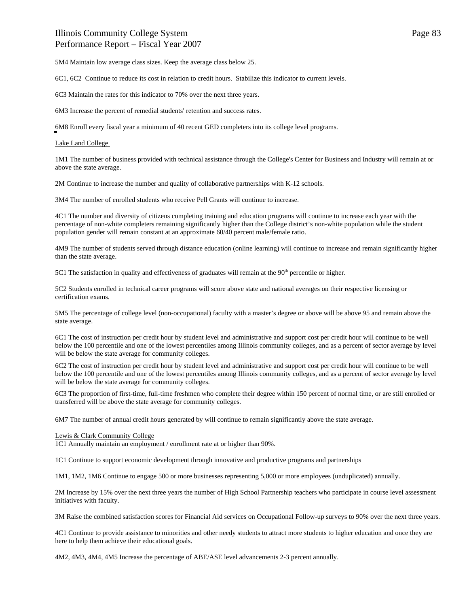5M4 Maintain low average class sizes. Keep the average class below 25.

6C1, 6C2 Continue to reduce its cost in relation to credit hours. Stabilize this indicator to current levels.

6C3 Maintain the rates for this indicator to 70% over the next three years.

6M3 Increase the percent of remedial students' retention and success rates.

6M8 Enroll every fiscal year a minimum of 40 recent GED completers into its college level programs.

### Lake Land College

1M1 The number of business provided with technical assistance through the College's Center for Business and Industry will remain at or above the state average.

2M Continue to increase the number and quality of collaborative partnerships with K-12 schools.

3M4 The number of enrolled students who receive Pell Grants will continue to increase.

4C1 The number and diversity of citizens completing training and education programs will continue to increase each year with the percentage of non-white completers remaining significantly higher than the College district's non-white population while the student population gender will remain constant at an approximate 60/40 percent male/female ratio.

4M9 The number of students served through distance education (online learning) will continue to increase and remain significantly higher than the state average.

5C1 The satisfaction in quality and effectiveness of graduates will remain at the  $90<sup>th</sup>$  percentile or higher.

5C2 Students enrolled in technical career programs will score above state and national averages on their respective licensing or certification exams.

5M5 The percentage of college level (non-occupational) faculty with a master's degree or above will be above 95 and remain above the state average.

6C1 The cost of instruction per credit hour by student level and administrative and support cost per credit hour will continue to be well below the 100 percentile and one of the lowest percentiles among Illinois community colleges, and as a percent of sector average by level will be below the state average for community colleges.

6C2 The cost of instruction per credit hour by student level and administrative and support cost per credit hour will continue to be well below the 100 percentile and one of the lowest percentiles among Illinois community colleges, and as a percent of sector average by level will be below the state average for community colleges.

6C3 The proportion of first-time, full-time freshmen who complete their degree within 150 percent of normal time, or are still enrolled or transferred will be above the state average for community colleges.

6M7 The number of annual credit hours generated by will continue to remain significantly above the state average.

#### Lewis & Clark Community College

1C1 Annually maintain an employment / enrollment rate at or higher than 90%.

1C1 Continue to support economic development through innovative and productive programs and partnerships

1M1, 1M2, 1M6 Continue to engage 500 or more businesses representing 5,000 or more employees (unduplicated) annually.

2M Increase by 15% over the next three years the number of High School Partnership teachers who participate in course level assessment initiatives with faculty.

3M Raise the combined satisfaction scores for Financial Aid services on Occupational Follow-up surveys to 90% over the next three years.

4C1 Continue to provide assistance to minorities and other needy students to attract more students to higher education and once they are here to help them achieve their educational goals.

4M2, 4M3, 4M4, 4M5 Increase the percentage of ABE/ASE level advancements 2-3 percent annually.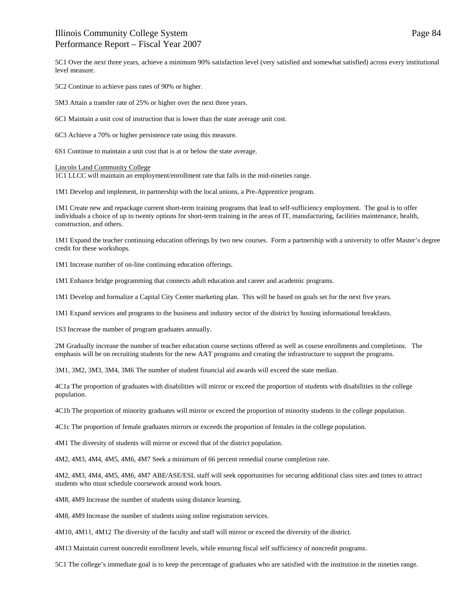5C1 Over the next three years, achieve a minimum 90% satisfaction level (very satisfied and somewhat satisfied) across every institutional level measure.

5C2 Continue to achieve pass rates of 90% or higher.

5M3 Attain a transfer rate of 25% or higher over the next three years.

6C1 Maintain a unit cost of instruction that is lower than the state average unit cost.

6C3 Achieve a 70% or higher persistence rate using this measure.

6S1 Continue to maintain a unit cost that is at or below the state average.

Lincoln Land Community College

1C1 LLCC will maintain an employment/enrollment rate that falls in the mid-nineties range.

1M1 Develop and implement, in partnership with the local unions, a Pre-Apprentice program.

1M1 Create new and repackage current short-term training programs that lead to self-sufficiency employment. The goal is to offer individuals a choice of up to twenty options for short-term training in the areas of IT, manufacturing, facilities maintenance, health, construction, and others.

1M1 Expand the teacher continuing education offerings by two new courses. Form a partnership with a university to offer Master's degree credit for these workshops.

1M1 Increase number of on-line continuing education offerings.

1M1 Enhance bridge programming that connects adult education and career and academic programs.

1M1 Develop and formalize a Capital City Center marketing plan. This will be based on goals set for the next five years.

1M1 Expand services and programs to the business and industry sector of the district by hosting informational breakfasts.

1S3 Increase the number of program graduates annually.

2M Gradually increase the number of teacher education course sections offered as well as course enrollments and completions. The emphasis will be on recruiting students for the new AAT programs and creating the infrastructure to support the programs.

3M1, 3M2, 3M3, 3M4, 3M6 The number of student financial aid awards will exceed the state median.

4C1a The proportion of graduates with disabilities will mirror or exceed the proportion of students with disabilities in the college population.

4C1b The proportion of minority graduates will mirror or exceed the proportion of minority students in the college population.

4C1c The proportion of female graduates mirrors or exceeds the proportion of females in the college population.

4M1 The diversity of students will mirror or exceed that of the district population.

4M2, 4M3, 4M4, 4M5, 4M6, 4M7 Seek a minimum of 66 percent remedial course completion rate.

4M2, 4M3, 4M4, 4M5, 4M6, 4M7 ABE/ASE/ESL staff will seek opportunities for securing additional class sites and times to attract students who must schedule coursework around work hours.

4M8, 4M9 Increase the number of students using distance learning.

4M8, 4M9 Increase the number of students using online registration services.

4M10, 4M11, 4M12 The diversity of the faculty and staff will mirror or exceed the diversity of the district.

4M13 Maintain current noncredit enrollment levels, while ensuring fiscal self sufficiency of noncredit programs.

5C1 The college's immediate goal is to keep the percentage of graduates who are satisfied with the institution in the nineties range.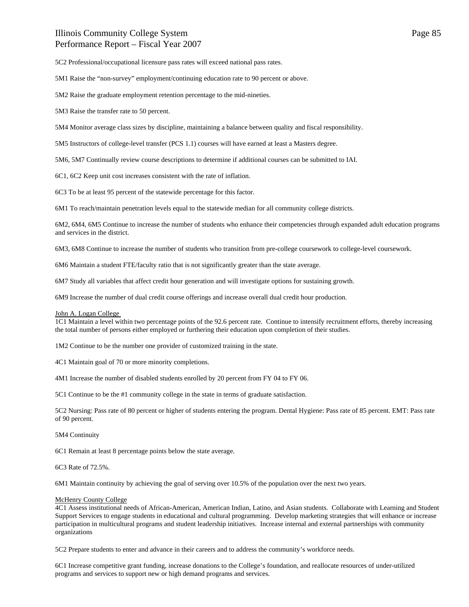5C2 Professional/occupational licensure pass rates will exceed national pass rates.

5M1 Raise the "non-survey" employment/continuing education rate to 90 percent or above.

5M2 Raise the graduate employment retention percentage to the mid-nineties.

5M3 Raise the transfer rate to 50 percent.

5M4 Monitor average class sizes by discipline, maintaining a balance between quality and fiscal responsibility.

5M5 Instructors of college-level transfer (PCS 1.1) courses will have earned at least a Masters degree.

5M6, 5M7 Continually review course descriptions to determine if additional courses can be submitted to IAI.

6C1, 6C2 Keep unit cost increases consistent with the rate of inflation.

6C3 To be at least 95 percent of the statewide percentage for this factor.

6M1 To reach/maintain penetration levels equal to the statewide median for all community college districts.

6M2, 6M4, 6M5 Continue to increase the number of students who enhance their competencies through expanded adult education programs and services in the district.

6M3, 6M8 Continue to increase the number of students who transition from pre-college coursework to college-level coursework.

6M6 Maintain a student FTE/faculty ratio that is not significantly greater than the state average.

6M7 Study all variables that affect credit hour generation and will investigate options for sustaining growth.

6M9 Increase the number of dual credit course offerings and increase overall dual credit hour production.

#### John A. Logan College

1C1 Maintain a level within two percentage points of the 92.6 percent rate. Continue to intensify recruitment efforts, thereby increasing the total number of persons either employed or furthering their education upon completion of their studies.

1M2 Continue to be the number one provider of customized training in the state.

4C1 Maintain goal of 70 or more minority completions.

4M1 Increase the number of disabled students enrolled by 20 percent from FY 04 to FY 06.

5C1 Continue to be the #1 community college in the state in terms of graduate satisfaction.

5C2 Nursing: Pass rate of 80 percent or higher of students entering the program. Dental Hygiene: Pass rate of 85 percent. EMT: Pass rate of 90 percent.

5M4 Continuity

6C1 Remain at least 8 percentage points below the state average.

6C3 Rate of 72.5%.

6M1 Maintain continuity by achieving the goal of serving over 10.5% of the population over the next two years.

#### McHenry County College

4C1 Assess institutional needs of African-American, American Indian, Latino, and Asian students. Collaborate with Learning and Student Support Services to engage students in educational and cultural programming. Develop marketing strategies that will enhance or increase participation in multicultural programs and student leadership initiatives. Increase internal and external partnerships with community organizations

5C2 Prepare students to enter and advance in their careers and to address the community's workforce needs.

6C1 Increase competitive grant funding, increase donations to the College's foundation, and reallocate resources of under-utilized programs and services to support new or high demand programs and services.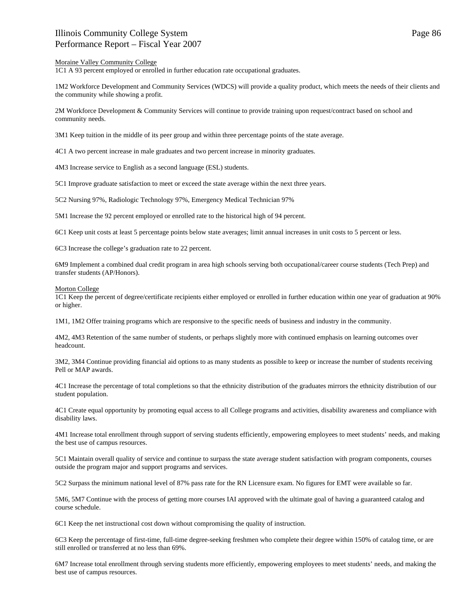1C1 A 93 percent employed or enrolled in further education rate occupational graduates.

1M2 Workforce Development and Community Services (WDCS) will provide a quality product, which meets the needs of their clients and the community while showing a profit.

2M Workforce Development & Community Services will continue to provide training upon request/contract based on school and community needs.

3M1 Keep tuition in the middle of its peer group and within three percentage points of the state average.

4C1 A two percent increase in male graduates and two percent increase in minority graduates.

4M3 Increase service to English as a second language (ESL) students.

5C1 Improve graduate satisfaction to meet or exceed the state average within the next three years.

5C2 Nursing 97%, Radiologic Technology 97%, Emergency Medical Technician 97%

5M1 Increase the 92 percent employed or enrolled rate to the historical high of 94 percent.

6C1 Keep unit costs at least 5 percentage points below state averages; limit annual increases in unit costs to 5 percent or less.

6C3 Increase the college's graduation rate to 22 percent.

6M9 Implement a combined dual credit program in area high schools serving both occupational/career course students (Tech Prep) and transfer students (AP/Honors).

#### Morton College

1C1 Keep the percent of degree/certificate recipients either employed or enrolled in further education within one year of graduation at 90% or higher.

1M1, 1M2 Offer training programs which are responsive to the specific needs of business and industry in the community.

4M2, 4M3 Retention of the same number of students, or perhaps slightly more with continued emphasis on learning outcomes over headcount.

3M2, 3M4 Continue providing financial aid options to as many students as possible to keep or increase the number of students receiving Pell or MAP awards.

4C1 Increase the percentage of total completions so that the ethnicity distribution of the graduates mirrors the ethnicity distribution of our student population.

4C1 Create equal opportunity by promoting equal access to all College programs and activities, disability awareness and compliance with disability laws.

4M1 Increase total enrollment through support of serving students efficiently, empowering employees to meet students' needs, and making the best use of campus resources.

5C1 Maintain overall quality of service and continue to surpass the state average student satisfaction with program components, courses outside the program major and support programs and services.

5C2 Surpass the minimum national level of 87% pass rate for the RN Licensure exam. No figures for EMT were available so far.

5M6, 5M7 Continue with the process of getting more courses IAI approved with the ultimate goal of having a guaranteed catalog and course schedule.

6C1 Keep the net instructional cost down without compromising the quality of instruction.

6C3 Keep the percentage of first-time, full-time degree-seeking freshmen who complete their degree within 150% of catalog time, or are still enrolled or transferred at no less than 69%.

6M7 Increase total enrollment through serving students more efficiently, empowering employees to meet students' needs, and making the best use of campus resources.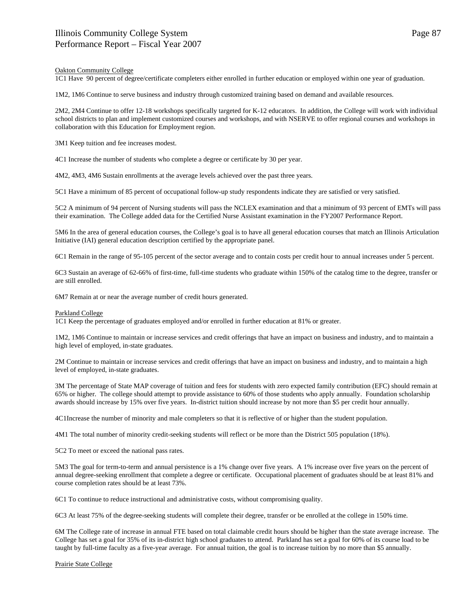### Oakton Community College

1C1 Have 90 percent of degree/certificate completers either enrolled in further education or employed within one year of graduation.

1M2, 1M6 Continue to serve business and industry through customized training based on demand and available resources.

2M2, 2M4 Continue to offer 12-18 workshops specifically targeted for K-12 educators. In addition, the College will work with individual school districts to plan and implement customized courses and workshops, and with NSERVE to offer regional courses and workshops in collaboration with this Education for Employment region.

3M1 Keep tuition and fee increases modest.

4C1 Increase the number of students who complete a degree or certificate by 30 per year.

4M2, 4M3, 4M6 Sustain enrollments at the average levels achieved over the past three years.

5C1 Have a minimum of 85 percent of occupational follow-up study respondents indicate they are satisfied or very satisfied.

5C2 A minimum of 94 percent of Nursing students will pass the NCLEX examination and that a minimum of 93 percent of EMTs will pass their examination. The College added data for the Certified Nurse Assistant examination in the FY2007 Performance Report.

5M6 In the area of general education courses, the College's goal is to have all general education courses that match an Illinois Articulation Initiative (IAI) general education description certified by the appropriate panel.

6C1 Remain in the range of 95-105 percent of the sector average and to contain costs per credit hour to annual increases under 5 percent.

6C3 Sustain an average of 62-66% of first-time, full-time students who graduate within 150% of the catalog time to the degree, transfer or are still enrolled.

6M7 Remain at or near the average number of credit hours generated.

#### Parkland College

1C1 Keep the percentage of graduates employed and/or enrolled in further education at 81% or greater.

1M2, 1M6 Continue to maintain or increase services and credit offerings that have an impact on business and industry, and to maintain a high level of employed, in-state graduates.

2M Continue to maintain or increase services and credit offerings that have an impact on business and industry, and to maintain a high level of employed, in-state graduates.

3M The percentage of State MAP coverage of tuition and fees for students with zero expected family contribution (EFC) should remain at 65% or higher. The college should attempt to provide assistance to 60% of those students who apply annually. Foundation scholarship awards should increase by 15% over five years. In-district tuition should increase by not more than \$5 per credit hour annually.

4C1Increase the number of minority and male completers so that it is reflective of or higher than the student population.

4M1 The total number of minority credit-seeking students will reflect or be more than the District 505 population (18%).

5C2 To meet or exceed the national pass rates.

5M3 The goal for term-to-term and annual persistence is a 1% change over five years. A 1% increase over five years on the percent of annual degree-seeking enrollment that complete a degree or certificate. Occupational placement of graduates should be at least 81% and course completion rates should be at least 73%.

6C1 To continue to reduce instructional and administrative costs, without compromising quality.

6C3 At least 75% of the degree-seeking students will complete their degree, transfer or be enrolled at the college in 150% time.

6M The College rate of increase in annual FTE based on total claimable credit hours should be higher than the state average increase. The College has set a goal for 35% of its in-district high school graduates to attend. Parkland has set a goal for 60% of its course load to be taught by full-time faculty as a five-year average. For annual tuition, the goal is to increase tuition by no more than \$5 annually.

Prairie State College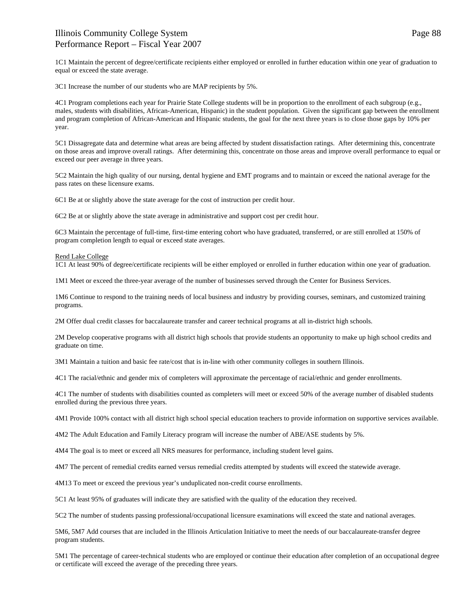1C1 Maintain the percent of degree/certificate recipients either employed or enrolled in further education within one year of graduation to equal or exceed the state average.

3C1 Increase the number of our students who are MAP recipients by 5%.

4C1 Program completions each year for Prairie State College students will be in proportion to the enrollment of each subgroup (e.g., males, students with disabilities, African-American, Hispanic) in the student population. Given the significant gap between the enrollment and program completion of African-American and Hispanic students, the goal for the next three years is to close those gaps by 10% per year.

5C1 Dissagregate data and determine what areas are being affected by student dissatisfaction ratings. After determining this, concentrate on those areas and improve overall ratings. After determining this, concentrate on those areas and improve overall performance to equal or exceed our peer average in three years.

5C2 Maintain the high quality of our nursing, dental hygiene and EMT programs and to maintain or exceed the national average for the pass rates on these licensure exams.

6C1 Be at or slightly above the state average for the cost of instruction per credit hour.

6C2 Be at or slightly above the state average in administrative and support cost per credit hour.

6C3 Maintain the percentage of full-time, first-time entering cohort who have graduated, transferred, or are still enrolled at 150% of program completion length to equal or exceed state averages.

#### Rend Lake College

1C1 At least 90% of degree/certificate recipients will be either employed or enrolled in further education within one year of graduation.

1M1 Meet or exceed the three-year average of the number of businesses served through the Center for Business Services.

1M6 Continue to respond to the training needs of local business and industry by providing courses, seminars, and customized training programs.

2M Offer dual credit classes for baccalaureate transfer and career technical programs at all in-district high schools.

2M Develop cooperative programs with all district high schools that provide students an opportunity to make up high school credits and graduate on time.

3M1 Maintain a tuition and basic fee rate/cost that is in-line with other community colleges in southern Illinois.

4C1 The racial/ethnic and gender mix of completers will approximate the percentage of racial/ethnic and gender enrollments.

4C1 The number of students with disabilities counted as completers will meet or exceed 50% of the average number of disabled students enrolled during the previous three years.

4M1 Provide 100% contact with all district high school special education teachers to provide information on supportive services available.

4M2 The Adult Education and Family Literacy program will increase the number of ABE/ASE students by 5%.

4M4 The goal is to meet or exceed all NRS measures for performance, including student level gains.

4M7 The percent of remedial credits earned versus remedial credits attempted by students will exceed the statewide average.

4M13 To meet or exceed the previous year's unduplicated non-credit course enrollments.

5C1 At least 95% of graduates will indicate they are satisfied with the quality of the education they received.

5C2 The number of students passing professional/occupational licensure examinations will exceed the state and national averages.

5M6, 5M7 Add courses that are included in the Illinois Articulation Initiative to meet the needs of our baccalaureate-transfer degree program students.

5M1 The percentage of career-technical students who are employed or continue their education after completion of an occupational degree or certificate will exceed the average of the preceding three years.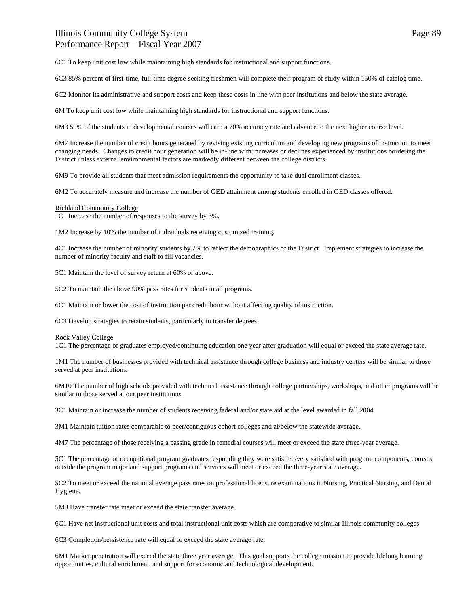6C1 To keep unit cost low while maintaining high standards for instructional and support functions.

6C3 85% percent of first-time, full-time degree-seeking freshmen will complete their program of study within 150% of catalog time.

6C2 Monitor its administrative and support costs and keep these costs in line with peer institutions and below the state average.

6M To keep unit cost low while maintaining high standards for instructional and support functions.

6M3 50% of the students in developmental courses will earn a 70% accuracy rate and advance to the next higher course level.

6M7 Increase the number of credit hours generated by revising existing curriculum and developing new programs of instruction to meet changing needs. Changes to credit hour generation will be in-line with increases or declines experienced by institutions bordering the District unless external environmental factors are markedly different between the college districts.

6M9 To provide all students that meet admission requirements the opportunity to take dual enrollment classes.

6M2 To accurately measure and increase the number of GED attainment among students enrolled in GED classes offered.

#### Richland Community College

1C1 Increase the number of responses to the survey by 3%.

1M2 Increase by 10% the number of individuals receiving customized training.

4C1 Increase the number of minority students by 2% to reflect the demographics of the District. Implement strategies to increase the number of minority faculty and staff to fill vacancies.

5C1 Maintain the level of survey return at 60% or above.

5C2 To maintain the above 90% pass rates for students in all programs.

6C1 Maintain or lower the cost of instruction per credit hour without affecting quality of instruction.

6C3 Develop strategies to retain students, particularly in transfer degrees.

#### Rock Valley College

1C1 The percentage of graduates employed/continuing education one year after graduation will equal or exceed the state average rate.

1M1 The number of businesses provided with technical assistance through college business and industry centers will be similar to those served at peer institutions*.* 

6M10 The number of high schools provided with technical assistance through college partnerships, workshops, and other programs will be similar to those served at our peer institutions*.*

3C1 Maintain or increase the number of students receiving federal and/or state aid at the level awarded in fall 2004.

3M1 Maintain tuition rates comparable to peer/contiguous cohort colleges and at/below the statewide average.

4M7 The percentage of those receiving a passing grade in remedial courses will meet or exceed the state three-year average.

5C1 The percentage of occupational program graduates responding they were satisfied/very satisfied with program components, courses outside the program major and support programs and services will meet or exceed the three-year state average.

5C2 To meet or exceed the national average pass rates on professional licensure examinations in Nursing, Practical Nursing, and Dental Hygiene.

5M3 Have transfer rate meet or exceed the state transfer average.

6C1 Have net instructional unit costs and total instructional unit costs which are comparative to similar Illinois community colleges.

6C3 Completion/persistence rate will equal or exceed the state average rate.

6M1 Market penetration will exceed the state three year average. This goal supports the college mission to provide lifelong learning opportunities, cultural enrichment, and support for economic and technological development.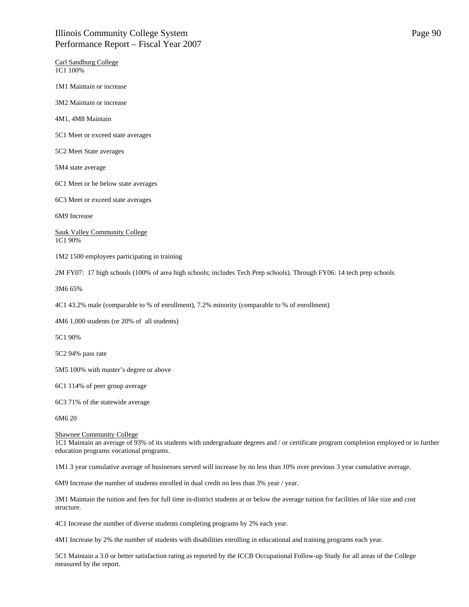Carl Sandburg College 1C1 100%

1M1 Maintain or increase

3M2 Maintain or increase

4M1, 4M8 Maintain

5C1 Meet or exceed state averages

5C2 Meet State averages

5M4 state average

6C1 Meet or be below state averages

6C3 Meet or exceed state averages

6M9 Increase

Sauk Valley Community College 1C1 90%

1M2 1500 employees participating in training

2M FY07: 17 high schools (100% of area high schools; includes Tech Prep schools). Through FY06: 14 tech prep schools

3M6 65%

4C1 43.2% male (comparable to % of enrollment), 7.2% minority (comparable to % of enrollment)

4M6 1,000 students (or 20% of all students)

5C1 90%

5C2 94% pass rate

5M5 100% with master's degree or above

6C1 114% of peer group average

6C3 71% of the statewide average

6M6 20

#### Shawnee Community College

1C1 Maintain an average of 93% of its students with undergraduate degrees and / or certificate program completion employed or in further education programs vocational programs.

1M1 3 year cumulative average of businesses served will increase by no less than 10% over previous 3 year cumulative average.

6M9 Increase the number of students enrolled in dual credit no less than 3% year / year.

3M1 Maintain the tuition and fees for full time in-district students at or below the average tuition for facilities of like size and cost structure.

4C1 Increase the number of diverse students completing programs by 2% each year.

4M1 Increase by 2% the number of students with disabilities enrolling in educational and training programs each year.

5C1 Maintain a 3.0 or better satisfaction rating as reported by the ICCB Occupational Follow-up Study for all areas of the College measured by the report.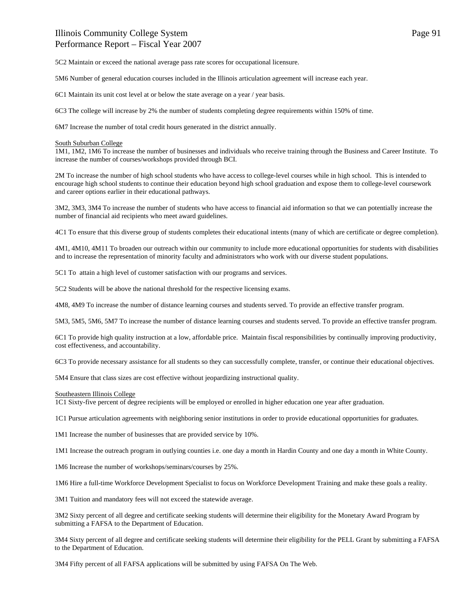5M6 Number of general education courses included in the Illinois articulation agreement will increase each year.

6C1 Maintain its unit cost level at or below the state average on a year / year basis.

6C3 The college will increase by 2% the number of students completing degree requirements within 150% of time.

6M7 Increase the number of total credit hours generated in the district annually.

#### South Suburban College

1M1, 1M2, 1M6 To increase the number of businesses and individuals who receive training through the Business and Career Institute. To increase the number of courses/workshops provided through BCI.

2M To increase the number of high school students who have access to college-level courses while in high school. This is intended to encourage high school students to continue their education beyond high school graduation and expose them to college-level coursework and career options earlier in their educational pathways.

3M2, 3M3, 3M4 To increase the number of students who have access to financial aid information so that we can potentially increase the number of financial aid recipients who meet award guidelines.

4C1 To ensure that this diverse group of students completes their educational intents (many of which are certificate or degree completion).

4M1, 4M10, 4M11 To broaden our outreach within our community to include more educational opportunities for students with disabilities and to increase the representation of minority faculty and administrators who work with our diverse student populations.

5C1 To attain a high level of customer satisfaction with our programs and services.

5C2 Students will be above the national threshold for the respective licensing exams.

4M8, 4M9 To increase the number of distance learning courses and students served. To provide an effective transfer program.

5M3, 5M5, 5M6, 5M7 To increase the number of distance learning courses and students served. To provide an effective transfer program.

6C1 To provide high quality instruction at a low, affordable price. Maintain fiscal responsibilities by continually improving productivity, cost effectiveness, and accountability.

6C3 To provide necessary assistance for all students so they can successfully complete, transfer, or continue their educational objectives.

5M4 Ensure that class sizes are cost effective without jeopardizing instructional quality.

Southeastern Illinois College

1C1 Sixty-five percent of degree recipients will be employed or enrolled in higher education one year after graduation.

1C1 Pursue articulation agreements with neighboring senior institutions in order to provide educational opportunities for graduates.

1M1 Increase the number of businesses that are provided service by 10%.

1M1 Increase the outreach program in outlying counties i.e. one day a month in Hardin County and one day a month in White County.

1M6 Increase the number of workshops/seminars/courses by 25%.

1M6 Hire a full-time Workforce Development Specialist to focus on Workforce Development Training and make these goals a reality.

3M1 Tuition and mandatory fees will not exceed the statewide average.

3M2 Sixty percent of all degree and certificate seeking students will determine their eligibility for the Monetary Award Program by submitting a FAFSA to the Department of Education.

3M4 Sixty percent of all degree and certificate seeking students will determine their eligibility for the PELL Grant by submitting a FAFSA to the Department of Education.

3M4 Fifty percent of all FAFSA applications will be submitted by using FAFSA On The Web.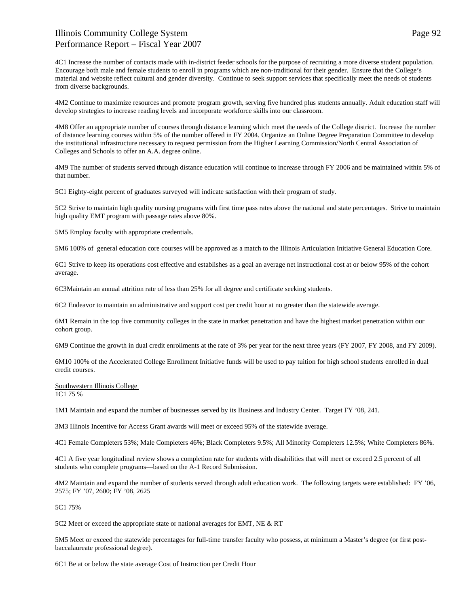4C1 Increase the number of contacts made with in-district feeder schools for the purpose of recruiting a more diverse student population. Encourage both male and female students to enroll in programs which are non-traditional for their gender. Ensure that the College's material and website reflect cultural and gender diversity. Continue to seek support services that specifically meet the needs of students from diverse backgrounds.

4M2 Continue to maximize resources and promote program growth, serving five hundred plus students annually. Adult education staff will develop strategies to increase reading levels and incorporate workforce skills into our classroom.

4M8 Offer an appropriate number of courses through distance learning which meet the needs of the College district. Increase the number of distance learning courses within 5% of the number offered in FY 2004. Organize an Online Degree Preparation Committee to develop the institutional infrastructure necessary to request permission from the Higher Learning Commission/North Central Association of Colleges and Schools to offer an A.A. degree online.

4M9 The number of students served through distance education will continue to increase through FY 2006 and be maintained within 5% of that number.

5C1 Eighty-eight percent of graduates surveyed will indicate satisfaction with their program of study.

5C2 Strive to maintain high quality nursing programs with first time pass rates above the national and state percentages. Strive to maintain high quality EMT program with passage rates above 80%.

5M5 Employ faculty with appropriate credentials.

5M6 100% of general education core courses will be approved as a match to the Illinois Articulation Initiative General Education Core.

6C1 Strive to keep its operations cost effective and establishes as a goal an average net instructional cost at or below 95% of the cohort average.

6C3Maintain an annual attrition rate of less than 25% for all degree and certificate seeking students.

6C2 Endeavor to maintain an administrative and support cost per credit hour at no greater than the statewide average.

6M1 Remain in the top five community colleges in the state in market penetration and have the highest market penetration within our cohort group.

6M9 Continue the growth in dual credit enrollments at the rate of 3% per year for the next three years (FY 2007, FY 2008, and FY 2009).

6M10 100% of the Accelerated College Enrollment Initiative funds will be used to pay tuition for high school students enrolled in dual credit courses.

Southwestern Illinois College 1C1 75 %

1M1 Maintain and expand the number of businesses served by its Business and Industry Center. Target FY '08, 241.

3M3 Illinois Incentive for Access Grant awards will meet or exceed 95% of the statewide average.

4C1 Female Completers 53%; Male Completers 46%; Black Completers 9.5%; All Minority Completers 12.5%; White Completers 86%.

4C1 A five year longitudinal review shows a completion rate for students with disabilities that will meet or exceed 2.5 percent of all students who complete programs—based on the A-1 Record Submission.

4M2 Maintain and expand the number of students served through adult education work. The following targets were established: FY '06, 2575; FY '07, 2600; FY '08, 2625

5C1 75%

5C2 Meet or exceed the appropriate state or national averages for EMT, NE & RT

5M5 Meet or exceed the statewide percentages for full-time transfer faculty who possess, at minimum a Master's degree (or first postbaccalaureate professional degree).

6C1 Be at or below the state average Cost of Instruction per Credit Hour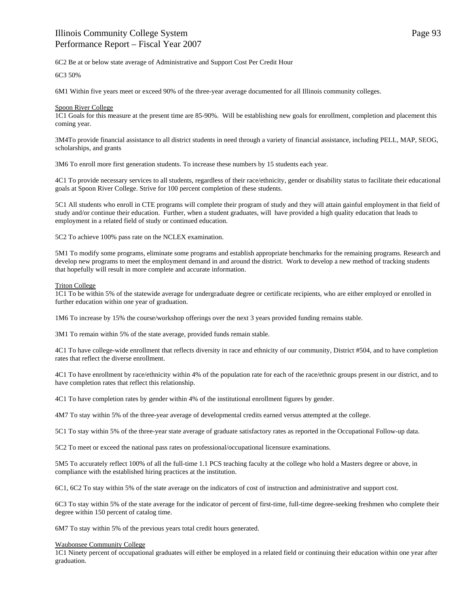6C2 Be at or below state average of Administrative and Support Cost Per Credit Hour

6C3 50%

6M1 Within five years meet or exceed 90% of the three-year average documented for all Illinois community colleges.

#### Spoon River College

1C1 Goals for this measure at the present time are 85-90%. Will be establishing new goals for enrollment, completion and placement this coming year.

3M4To provide financial assistance to all district students in need through a variety of financial assistance, including PELL, MAP, SEOG, scholarships, and grants

3M6 To enroll more first generation students. To increase these numbers by 15 students each year.

4C1 To provide necessary services to all students, regardless of their race/ethnicity, gender or disability status to facilitate their educational goals at Spoon River College. Strive for 100 percent completion of these students.

5C1 All students who enroll in CTE programs will complete their program of study and they will attain gainful employment in that field of study and/or continue their education. Further, when a student graduates, will have provided a high quality education that leads to employment in a related field of study or continued education.

5C2 To achieve 100% pass rate on the NCLEX examination.

5M1 To modify some programs, eliminate some programs and establish appropriate benchmarks for the remaining programs. Research and develop new programs to meet the employment demand in and around the district. Work to develop a new method of tracking students that hopefully will result in more complete and accurate information.

#### Triton College

1C1 To be within 5% of the statewide average for undergraduate degree or certificate recipients, who are either employed or enrolled in further education within one year of graduation.

1M6 To increase by 15% the course/workshop offerings over the next 3 years provided funding remains stable.

3M1 To remain within 5% of the state average, provided funds remain stable.

4C1 To have college-wide enrollment that reflects diversity in race and ethnicity of our community, District #504, and to have completion rates that reflect the diverse enrollment.

4C1 To have enrollment by race/ethnicity within 4% of the population rate for each of the race/ethnic groups present in our district, and to have completion rates that reflect this relationship.

4C1 To have completion rates by gender within 4% of the institutional enrollment figures by gender.

4M7 To stay within 5% of the three-year average of developmental credits earned versus attempted at the college.

5C1 To stay within 5% of the three-year state average of graduate satisfactory rates as reported in the Occupational Follow-up data.

5C2 To meet or exceed the national pass rates on professional/occupational licensure examinations.

5M5 To accurately reflect 100% of all the full-time 1.1 PCS teaching faculty at the college who hold a Masters degree or above, in compliance with the established hiring practices at the institution.

6C1, 6C2 To stay within 5% of the state average on the indicators of cost of instruction and administrative and support cost.

6C3 To stay within 5% of the state average for the indicator of percent of first-time, full-time degree-seeking freshmen who complete their degree within 150 percent of catalog time.

6M7 To stay within 5% of the previous years total credit hours generated.

#### Waubonsee Community College

1C1 Ninety percent of occupational graduates will either be employed in a related field or continuing their education within one year after graduation.